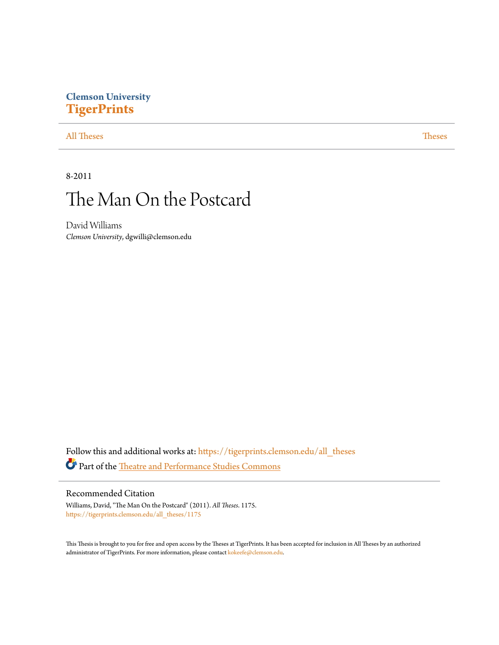## **Clemson University [TigerPrints](https://tigerprints.clemson.edu?utm_source=tigerprints.clemson.edu%2Fall_theses%2F1175&utm_medium=PDF&utm_campaign=PDFCoverPages)**

#### [All Theses](https://tigerprints.clemson.edu/all_theses?utm_source=tigerprints.clemson.edu%2Fall_theses%2F1175&utm_medium=PDF&utm_campaign=PDFCoverPages) **[Theses](https://tigerprints.clemson.edu/theses?utm_source=tigerprints.clemson.edu%2Fall_theses%2F1175&utm_medium=PDF&utm_campaign=PDFCoverPages)**

8-2011

# The Man On the Postcard

David Williams *Clemson University*, dgwilli@clemson.edu

Follow this and additional works at: [https://tigerprints.clemson.edu/all\\_theses](https://tigerprints.clemson.edu/all_theses?utm_source=tigerprints.clemson.edu%2Fall_theses%2F1175&utm_medium=PDF&utm_campaign=PDFCoverPages) Part of the [Theatre and Performance Studies Commons](http://network.bepress.com/hgg/discipline/552?utm_source=tigerprints.clemson.edu%2Fall_theses%2F1175&utm_medium=PDF&utm_campaign=PDFCoverPages)

#### Recommended Citation

Williams, David, "The Man On the Postcard" (2011). *All Theses*. 1175. [https://tigerprints.clemson.edu/all\\_theses/1175](https://tigerprints.clemson.edu/all_theses/1175?utm_source=tigerprints.clemson.edu%2Fall_theses%2F1175&utm_medium=PDF&utm_campaign=PDFCoverPages)

This Thesis is brought to you for free and open access by the Theses at TigerPrints. It has been accepted for inclusion in All Theses by an authorized administrator of TigerPrints. For more information, please contact [kokeefe@clemson.edu](mailto:kokeefe@clemson.edu).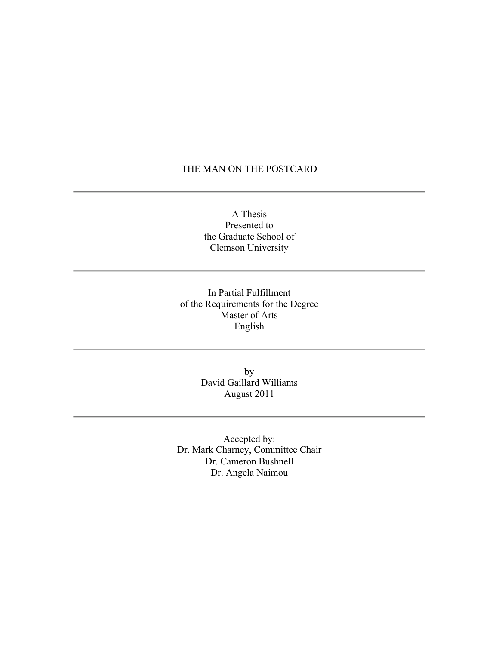#### THE MAN ON THE POSTCARD

A Thesis Presented to the Graduate School of Clemson University

In Partial Fulfillment of the Requirements for the Degree Master of Arts English

> by David Gaillard Williams August 2011

Accepted by: Dr. Mark Charney, Committee Chair Dr. Cameron Bushnell Dr. Angela Naimou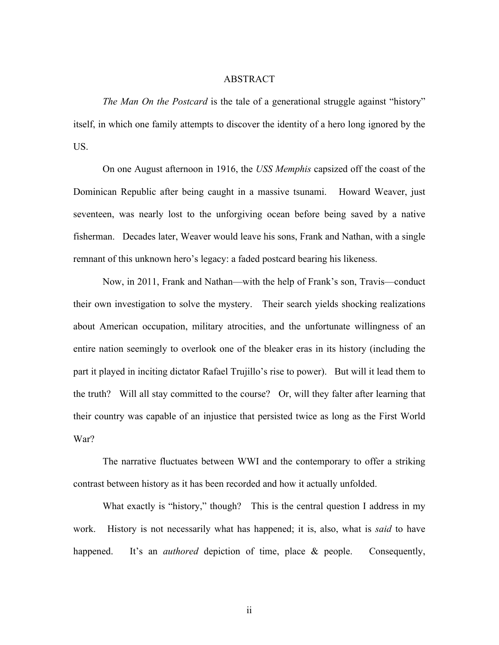#### ABSTRACT

*The Man On the Postcard* is the tale of a generational struggle against "history" itself, in which one family attempts to discover the identity of a hero long ignored by the US.

On one August afternoon in 1916, the *USS Memphis* capsized off the coast of the Dominican Republic after being caught in a massive tsunami. Howard Weaver, just seventeen, was nearly lost to the unforgiving ocean before being saved by a native fisherman. Decades later, Weaver would leave his sons, Frank and Nathan, with a single remnant of this unknown hero's legacy: a faded postcard bearing his likeness.

Now, in 2011, Frank and Nathan—with the help of Frank's son, Travis—conduct their own investigation to solve the mystery. Their search yields shocking realizations about American occupation, military atrocities, and the unfortunate willingness of an entire nation seemingly to overlook one of the bleaker eras in its history (including the part it played in inciting dictator Rafael Trujillo's rise to power). But will it lead them to the truth? Will all stay committed to the course? Or, will they falter after learning that their country was capable of an injustice that persisted twice as long as the First World War?

The narrative fluctuates between WWI and the contemporary to offer a striking contrast between history as it has been recorded and how it actually unfolded.

What exactly is "history," though? This is the central question I address in my work. History is not necessarily what has happened; it is, also, what is *said* to have happened. It's an *authored* depiction of time, place & people. Consequently,

ii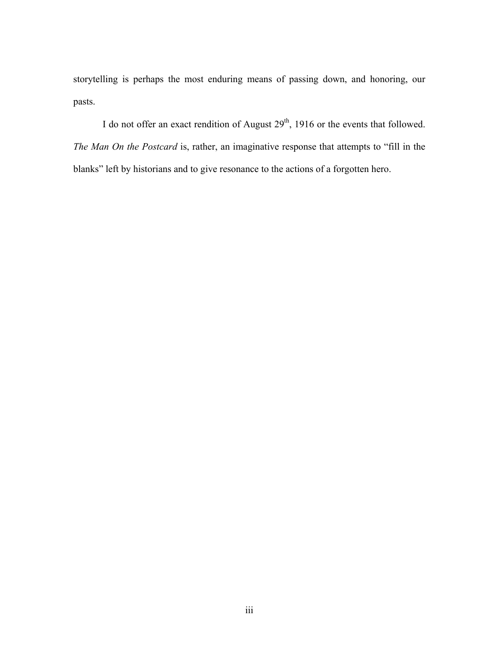storytelling is perhaps the most enduring means of passing down, and honoring, our pasts.

I do not offer an exact rendition of August 29<sup>th</sup>, 1916 or the events that followed. *The Man On the Postcard* is, rather, an imaginative response that attempts to "fill in the blanks" left by historians and to give resonance to the actions of a forgotten hero.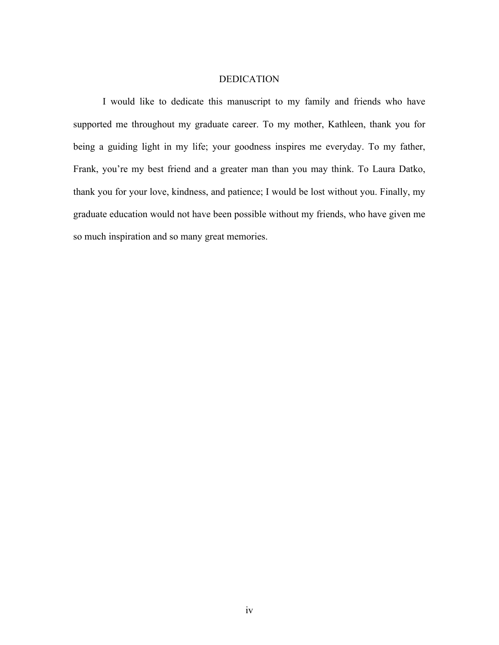#### DEDICATION

I would like to dedicate this manuscript to my family and friends who have supported me throughout my graduate career. To my mother, Kathleen, thank you for being a guiding light in my life; your goodness inspires me everyday. To my father, Frank, you're my best friend and a greater man than you may think. To Laura Datko, thank you for your love, kindness, and patience; I would be lost without you. Finally, my graduate education would not have been possible without my friends, who have given me so much inspiration and so many great memories.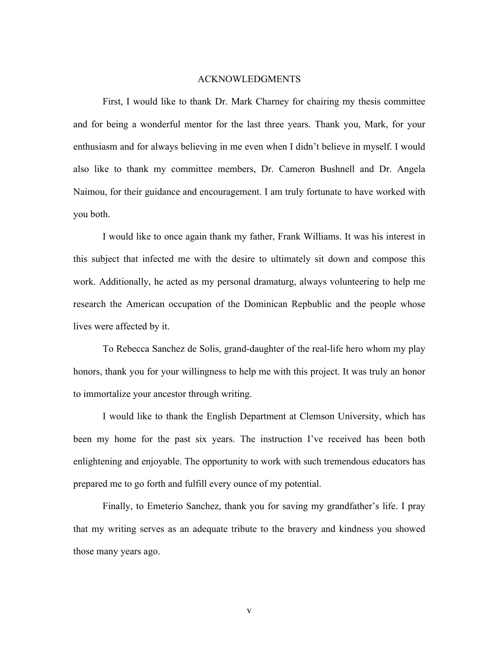#### ACKNOWLEDGMENTS

First, I would like to thank Dr. Mark Charney for chairing my thesis committee and for being a wonderful mentor for the last three years. Thank you, Mark, for your enthusiasm and for always believing in me even when I didn't believe in myself. I would also like to thank my committee members, Dr. Cameron Bushnell and Dr. Angela Naimou, for their guidance and encouragement. I am truly fortunate to have worked with you both.

I would like to once again thank my father, Frank Williams. It was his interest in this subject that infected me with the desire to ultimately sit down and compose this work. Additionally, he acted as my personal dramaturg, always volunteering to help me research the American occupation of the Dominican Repbublic and the people whose lives were affected by it.

To Rebecca Sanchez de Solis, grand-daughter of the real-life hero whom my play honors, thank you for your willingness to help me with this project. It was truly an honor to immortalize your ancestor through writing.

I would like to thank the English Department at Clemson University, which has been my home for the past six years. The instruction I've received has been both enlightening and enjoyable. The opportunity to work with such tremendous educators has prepared me to go forth and fulfill every ounce of my potential.

Finally, to Emeterio Sanchez, thank you for saving my grandfather's life. I pray that my writing serves as an adequate tribute to the bravery and kindness you showed those many years ago.

v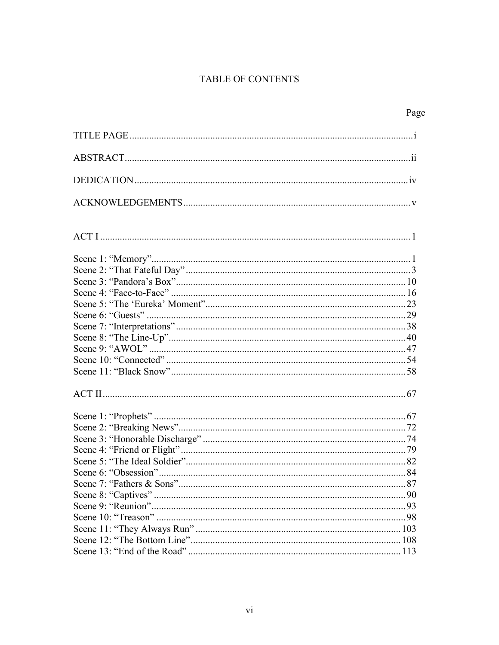## TABLE OF CONTENTS

| Page |
|------|
|      |
|      |
|      |
|      |
|      |
|      |
|      |
|      |
|      |
|      |
|      |
|      |
|      |
|      |
|      |
|      |
|      |
|      |
|      |
|      |
|      |
|      |
|      |
|      |
|      |
|      |
|      |
|      |
|      |
|      |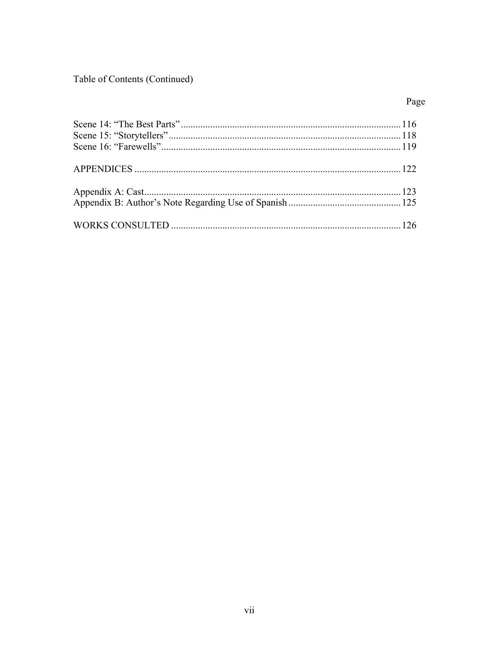Table of Contents (Continued)

## Page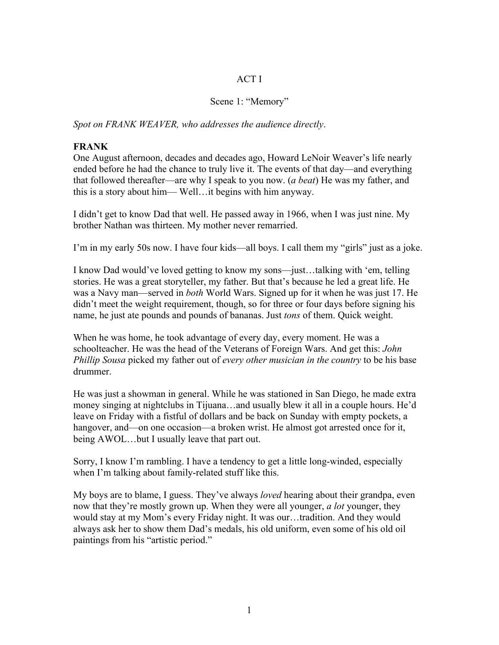#### ACT I

#### Scene 1: "Memory"

*Spot on FRANK WEAVER, who addresses the audience directly*.

#### **FRANK**

One August afternoon, decades and decades ago, Howard LeNoir Weaver's life nearly ended before he had the chance to truly live it. The events of that day—and everything that followed thereafter—are why I speak to you now. (*a beat*) He was my father, and this is a story about him— Well…it begins with him anyway.

I didn't get to know Dad that well. He passed away in 1966, when I was just nine. My brother Nathan was thirteen. My mother never remarried.

I'm in my early 50s now. I have four kids—all boys. I call them my "girls" just as a joke.

I know Dad would've loved getting to know my sons—just…talking with 'em, telling stories. He was a great storyteller, my father. But that's because he led a great life. He was a Navy man—served in *both* World Wars. Signed up for it when he was just 17. He didn't meet the weight requirement, though, so for three or four days before signing his name, he just ate pounds and pounds of bananas. Just *tons* of them. Quick weight.

When he was home, he took advantage of every day, every moment. He was a schoolteacher. He was the head of the Veterans of Foreign Wars. And get this: *John Phillip Sousa* picked my father out of *every other musician in the country* to be his base drummer.

He was just a showman in general. While he was stationed in San Diego, he made extra money singing at nightclubs in Tijuana…and usually blew it all in a couple hours. He'd leave on Friday with a fistful of dollars and be back on Sunday with empty pockets, a hangover, and—on one occasion—a broken wrist. He almost got arrested once for it, being AWOL…but I usually leave that part out.

Sorry, I know I'm rambling. I have a tendency to get a little long-winded, especially when I'm talking about family-related stuff like this.

My boys are to blame, I guess. They've always *loved* hearing about their grandpa, even now that they're mostly grown up. When they were all younger, *a lot* younger, they would stay at my Mom's every Friday night. It was our…tradition. And they would always ask her to show them Dad's medals, his old uniform, even some of his old oil paintings from his "artistic period."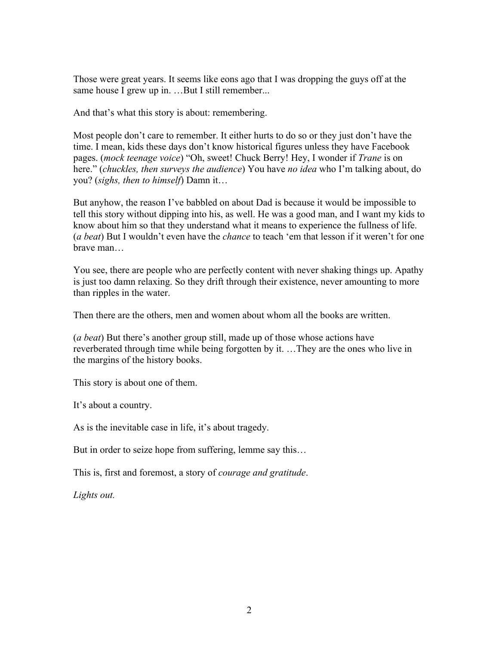Those were great years. It seems like eons ago that I was dropping the guys off at the same house I grew up in. …But I still remember...

And that's what this story is about: remembering.

Most people don't care to remember. It either hurts to do so or they just don't have the time. I mean, kids these days don't know historical figures unless they have Facebook pages. (*mock teenage voice*) "Oh, sweet! Chuck Berry! Hey, I wonder if *Trane* is on here." (*chuckles, then surveys the audience*) You have *no idea* who I'm talking about, do you? (*sighs, then to himself*) Damn it…

But anyhow, the reason I've babbled on about Dad is because it would be impossible to tell this story without dipping into his, as well. He was a good man, and I want my kids to know about him so that they understand what it means to experience the fullness of life. (*a beat*) But I wouldn't even have the *chance* to teach 'em that lesson if it weren't for one brave man…

You see, there are people who are perfectly content with never shaking things up. Apathy is just too damn relaxing. So they drift through their existence, never amounting to more than ripples in the water.

Then there are the others, men and women about whom all the books are written.

(*a beat*) But there's another group still, made up of those whose actions have reverberated through time while being forgotten by it. …They are the ones who live in the margins of the history books.

This story is about one of them.

It's about a country.

As is the inevitable case in life, it's about tragedy.

But in order to seize hope from suffering, lemme say this…

This is, first and foremost, a story of *courage and gratitude*.

*Lights out.*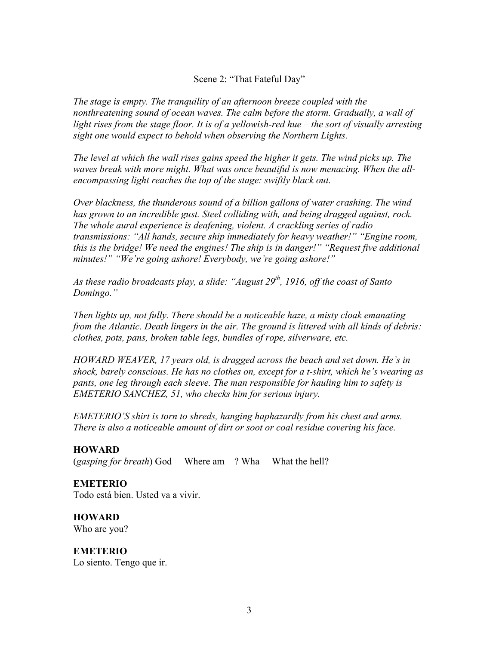#### Scene 2: "That Fateful Day"

*The stage is empty. The tranquility of an afternoon breeze coupled with the nonthreatening sound of ocean waves. The calm before the storm. Gradually, a wall of light rises from the stage floor. It is of a yellowish-red hue – the sort of visually arresting sight one would expect to behold when observing the Northern Lights.* 

*The level at which the wall rises gains speed the higher it gets. The wind picks up. The waves break with more might. What was once beautiful is now menacing. When the allencompassing light reaches the top of the stage: swiftly black out.* 

*Over blackness, the thunderous sound of a billion gallons of water crashing. The wind has grown to an incredible gust. Steel colliding with, and being dragged against, rock. The whole aural experience is deafening, violent. A crackling series of radio transmissions: "All hands, secure ship immediately for heavy weather!" "Engine room, this is the bridge! We need the engines! The ship is in danger!" "Request five additional minutes!" "We're going ashore! Everybody, we're going ashore!"*

As these radio broadcasts play, a slide: "August 29<sup>th</sup>, 1916, off the coast of Santo *Domingo."*

*Then lights up, not fully. There should be a noticeable haze, a misty cloak emanating from the Atlantic. Death lingers in the air. The ground is littered with all kinds of debris: clothes, pots, pans, broken table legs, bundles of rope, silverware, etc.* 

*HOWARD WEAVER, 17 years old, is dragged across the beach and set down. He's in shock, barely conscious. He has no clothes on, except for a t-shirt, which he's wearing as pants, one leg through each sleeve. The man responsible for hauling him to safety is EMETERIO SANCHEZ, 51, who checks him for serious injury.* 

*EMETERIO'S shirt is torn to shreds, hanging haphazardly from his chest and arms. There is also a noticeable amount of dirt or soot or coal residue covering his face.* 

#### **HOWARD**

(*gasping for breath*) God— Where am—? Wha— What the hell?

#### **EMETERIO**

Todo está bien. Usted va a vivir.

**HOWARD** Who are you?

**EMETERIO**  Lo siento. Tengo que ir.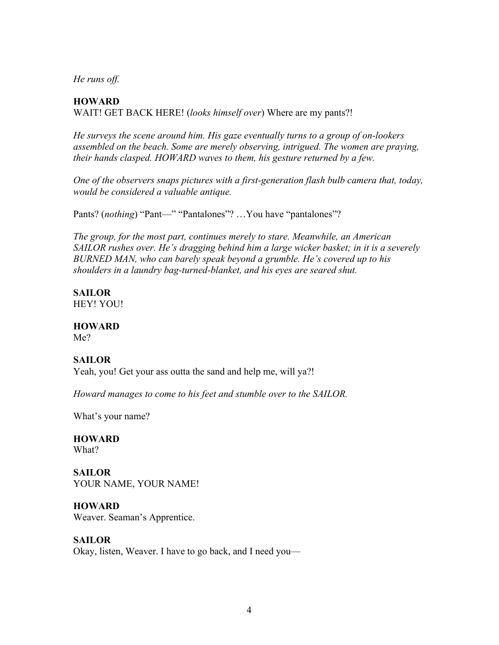*He runs off.*

#### **HOWARD**

WAIT! GET BACK HERE! (*looks himself over*) Where are my pants?!

*He surveys the scene around him. His gaze eventually turns to a group of on-lookers assembled on the beach. Some are merely observing, intrigued. The women are praying, their hands clasped. HOWARD waves to them, his gesture returned by a few.* 

*One of the observers snaps pictures with a first-generation flash bulb camera that, today, would be considered a valuable antique.* 

Pants? (*nothing*) "Pant—" "Pantalones"? ... You have "pantalones"?

*The group, for the most part, continues merely to stare. Meanwhile, an American SAILOR rushes over. He's dragging behind him a large wicker basket; in it is a severely BURNED MAN, who can barely speak beyond a grumble. He's covered up to his shoulders in a laundry bag-turned-blanket, and his eyes are seared shut.* 

**SAILOR** HEY! YOU!

#### **HOWARD**

Me?

#### **SAILOR**

Yeah, you! Get your ass outta the sand and help me, will ya?!

*Howard manages to come to his feet and stumble over to the SAILOR.* 

What's your name?

**HOWARD** What?

**SAILOR** YOUR NAME, YOUR NAME!

**HOWARD** Weaver. Seaman's Apprentice.

#### **SAILOR**

Okay, listen, Weaver. I have to go back, and I need you—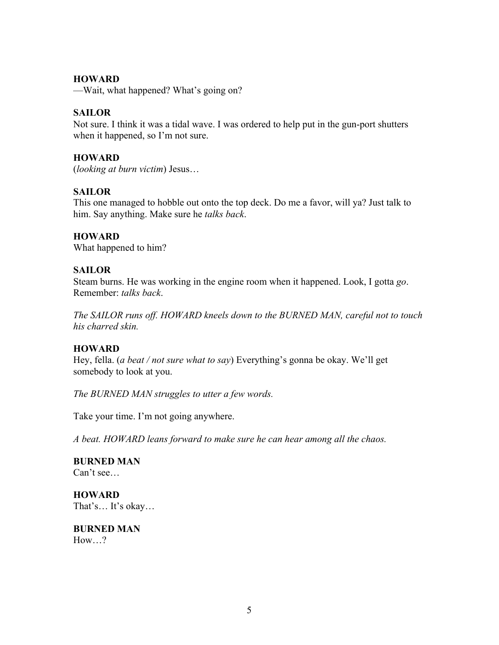#### **HOWARD**

—Wait, what happened? What's going on?

#### **SAILOR**

Not sure. I think it was a tidal wave. I was ordered to help put in the gun-port shutters when it happened, so I'm not sure.

#### **HOWARD**

(*looking at burn victim*) Jesus…

#### **SAILOR**

This one managed to hobble out onto the top deck. Do me a favor, will ya? Just talk to him. Say anything. Make sure he *talks back*.

#### **HOWARD**

What happened to him?

#### **SAILOR**

Steam burns. He was working in the engine room when it happened. Look, I gotta *go*. Remember: *talks back*.

*The SAILOR runs off. HOWARD kneels down to the BURNED MAN, careful not to touch his charred skin.*

#### **HOWARD**

Hey, fella. (*a beat / not sure what to say*) Everything's gonna be okay. We'll get somebody to look at you.

*The BURNED MAN struggles to utter a few words.*

Take your time. I'm not going anywhere.

*A beat. HOWARD leans forward to make sure he can hear among all the chaos.* 

**BURNED MAN** Can't see…

**HOWARD** That's… It's okay…

**BURNED MAN** How ?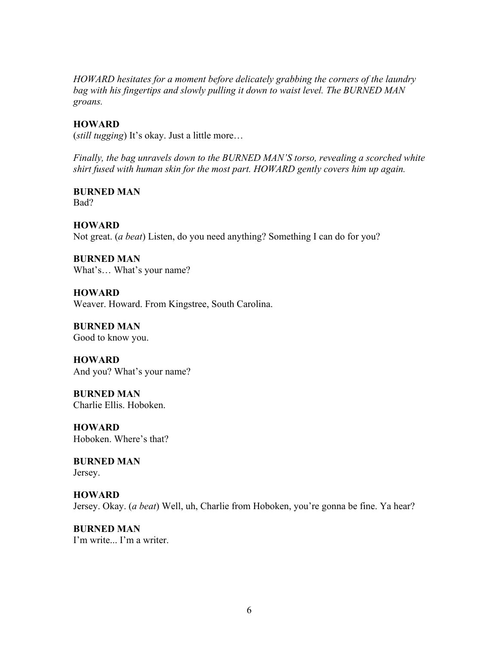*HOWARD hesitates for a moment before delicately grabbing the corners of the laundry bag with his fingertips and slowly pulling it down to waist level. The BURNED MAN groans.*

#### **HOWARD**

(*still tugging*) It's okay. Just a little more…

*Finally, the bag unravels down to the BURNED MAN'S torso, revealing a scorched white shirt fused with human skin for the most part. HOWARD gently covers him up again.* 

#### **BURNED MAN** Bad?

#### **HOWARD**

Not great. (*a beat*) Listen, do you need anything? Something I can do for you?

**BURNED MAN** What's… What's your name?

**HOWARD** Weaver. Howard. From Kingstree, South Carolina.

**BURNED MAN** Good to know you.

**HOWARD** And you? What's your name?

**BURNED MAN** Charlie Ellis. Hoboken.

**HOWARD** Hoboken. Where's that?

**BURNED MAN** Jersey.

**HOWARD** Jersey. Okay. (*a beat*) Well, uh, Charlie from Hoboken, you're gonna be fine. Ya hear?

**BURNED MAN** I'm write... I'm a writer.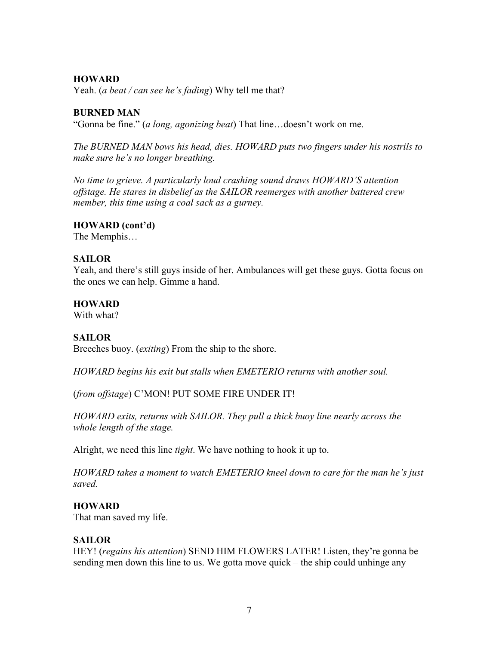#### **HOWARD**

Yeah. (*a beat / can see he's fading*) Why tell me that?

#### **BURNED MAN**

"Gonna be fine." (*a long, agonizing beat*) That line…doesn't work on me.

*The BURNED MAN bows his head, dies. HOWARD puts two fingers under his nostrils to make sure he's no longer breathing.*

*No time to grieve. A particularly loud crashing sound draws HOWARD'S attention offstage. He stares in disbelief as the SAILOR reemerges with another battered crew member, this time using a coal sack as a gurney.* 

#### **HOWARD (cont'd)**

The Memphis…

#### **SAILOR**

Yeah, and there's still guys inside of her. Ambulances will get these guys. Gotta focus on the ones we can help. Gimme a hand.

#### **HOWARD**

With what?

#### **SAILOR**

Breeches buoy. (*exiting*) From the ship to the shore.

*HOWARD begins his exit but stalls when EMETERIO returns with another soul.* 

(*from offstage*) C'MON! PUT SOME FIRE UNDER IT!

*HOWARD exits, returns with SAILOR. They pull a thick buoy line nearly across the whole length of the stage.*

Alright, we need this line *tight*. We have nothing to hook it up to.

*HOWARD takes a moment to watch EMETERIO kneel down to care for the man he's just saved.* 

#### **HOWARD**

That man saved my life.

#### **SAILOR**

HEY! (*regains his attention*) SEND HIM FLOWERS LATER! Listen, they're gonna be sending men down this line to us. We gotta move quick – the ship could unhinge any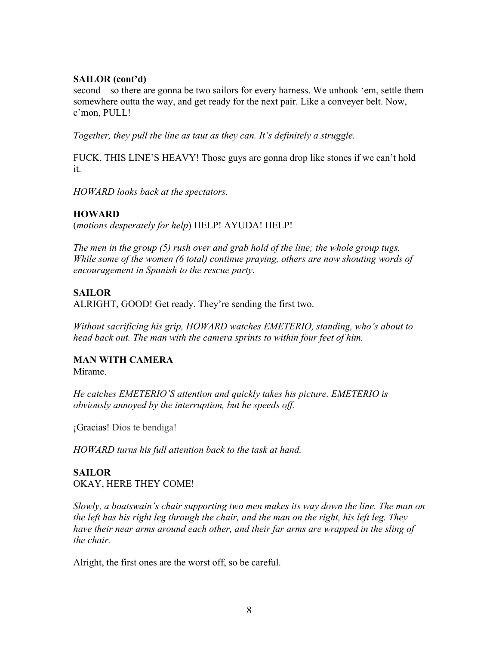#### **SAILOR (cont'd)**

second – so there are gonna be two sailors for every harness. We unhook 'em, settle them somewhere outta the way, and get ready for the next pair. Like a conveyer belt. Now, c'mon, PULL!

*Together, they pull the line as taut as they can. It's definitely a struggle.*

FUCK, THIS LINE'S HEAVY! Those guys are gonna drop like stones if we can't hold it.

*HOWARD looks back at the spectators.* 

#### **HOWARD**

(*motions desperately for help*) HELP! AYUDA! HELP!

*The men in the group (5) rush over and grab hold of the line; the whole group tugs. While some of the women (6 total) continue praying, others are now shouting words of encouragement in Spanish to the rescue party.* 

## **SAILOR**

ALRIGHT, GOOD! Get ready. They're sending the first two.

*Without sacrificing his grip, HOWARD watches EMETERIO, standing, who's about to head back out. The man with the camera sprints to within four feet of him.* 

## **MAN WITH CAMERA**

Mírame.

*He catches EMETERIO'S attention and quickly takes his picture. EMETERIO is obviously annoyed by the interruption, but he speeds off.* 

¡Gracias! Dios te bendiga!

*HOWARD turns his full attention back to the task at hand.*

## **SAILOR** OKAY, HERE THEY COME!

*Slowly, a boatswain's chair supporting two men makes its way down the line. The man on the left has his right leg through the chair, and the man on the right, his left leg. They*  have their near arms around each other, and their far arms are wrapped in the sling of *the chair.* 

Alright, the first ones are the worst off, so be careful.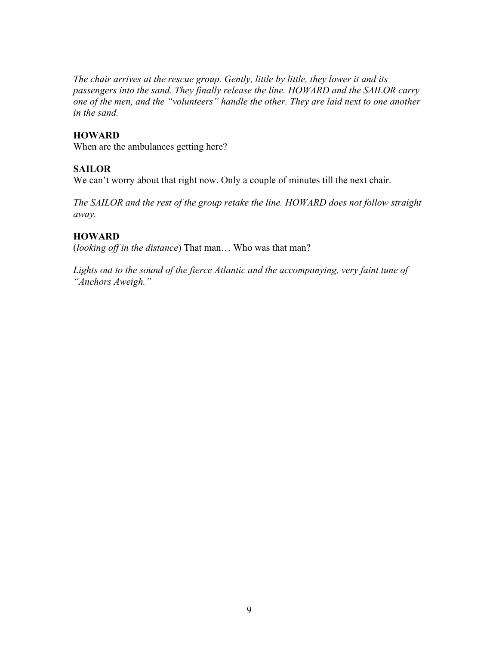*The chair arrives at the rescue group. Gently, little by little, they lower it and its passengers into the sand. They finally release the line. HOWARD and the SAILOR carry one of the men, and the "volunteers" handle the other. They are laid next to one another in the sand.* 

#### **HOWARD**

When are the ambulances getting here?

#### **SAILOR**

We can't worry about that right now. Only a couple of minutes till the next chair.

*The SAILOR and the rest of the group retake the line. HOWARD does not follow straight away.*

#### **HOWARD**

(*looking off in the distance*) That man… Who was that man?

*Lights out to the sound of the fierce Atlantic and the accompanying, very faint tune of "Anchors Aweigh."*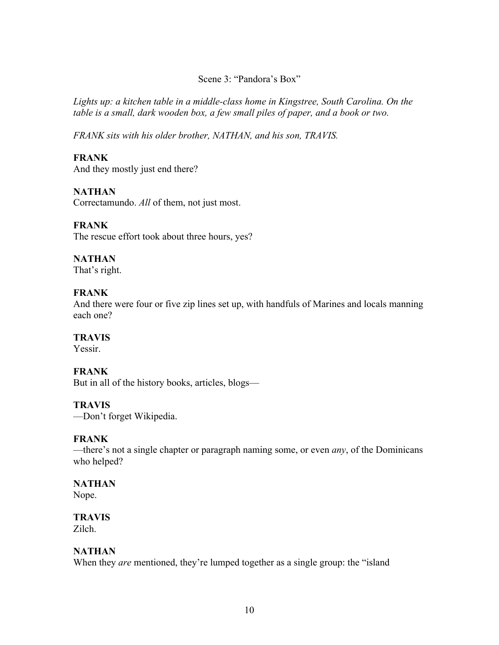#### Scene 3: "Pandora's Box"

*Lights up: a kitchen table in a middle-class home in Kingstree, South Carolina. On the table is a small, dark wooden box, a few small piles of paper, and a book or two.* 

*FRANK sits with his older brother, NATHAN, and his son, TRAVIS.*

## **FRANK**

And they mostly just end there?

#### **NATHAN**

Correctamundo. *All* of them, not just most.

#### **FRANK**

The rescue effort took about three hours, yes?

## **NATHAN**

That's right.

#### **FRANK**

And there were four or five zip lines set up, with handfuls of Marines and locals manning each one?

## **TRAVIS**

Yessir.

#### **FRANK**

But in all of the history books, articles, blogs—

#### **TRAVIS**

—Don't forget Wikipedia.

#### **FRANK**

—there's not a single chapter or paragraph naming some, or even *any*, of the Dominicans who helped?

## **NATHAN**

Nope.

#### **TRAVIS** Zilch.

#### **NATHAN**

When they *are* mentioned, they're lumped together as a single group: the "island"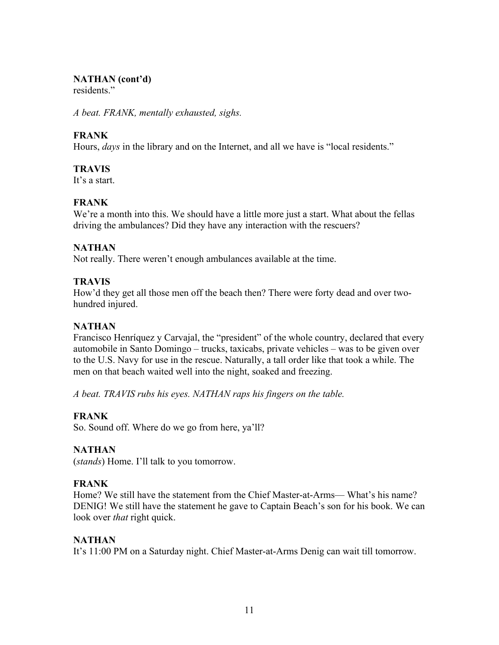#### **NATHAN (cont'd)**

residents<sup>"</sup>

*A beat. FRANK, mentally exhausted, sighs.*

## **FRANK**

Hours, *days* in the library and on the Internet, and all we have is "local residents."

#### **TRAVIS**

It's a start.

## **FRANK**

We're a month into this. We should have a little more just a start. What about the fellas driving the ambulances? Did they have any interaction with the rescuers?

## **NATHAN**

Not really. There weren't enough ambulances available at the time.

## **TRAVIS**

How'd they get all those men off the beach then? There were forty dead and over twohundred injured.

#### **NATHAN**

Francisco Henríquez y Carvajal, the "president" of the whole country, declared that every automobile in Santo Domingo – trucks, taxicabs, private vehicles – was to be given over to the U.S. Navy for use in the rescue. Naturally, a tall order like that took a while. The men on that beach waited well into the night, soaked and freezing.

*A beat. TRAVIS rubs his eyes. NATHAN raps his fingers on the table.*

## **FRANK**

So. Sound off. Where do we go from here, ya'll?

#### **NATHAN**

(*stands*) Home. I'll talk to you tomorrow.

#### **FRANK**

Home? We still have the statement from the Chief Master-at-Arms— What's his name? DENIG! We still have the statement he gave to Captain Beach's son for his book. We can look over *that* right quick.

#### **NATHAN**

It's 11:00 PM on a Saturday night. Chief Master-at-Arms Denig can wait till tomorrow.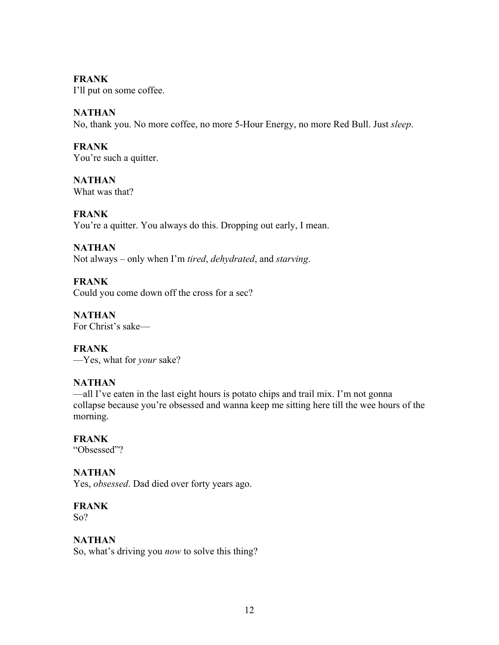#### **FRANK**

I'll put on some coffee.

## **NATHAN**

No, thank you. No more coffee, no more 5-Hour Energy, no more Red Bull. Just *sleep*.

## **FRANK**

You're such a quitter.

**NATHAN** What was that?

## **FRANK**

You're a quitter. You always do this. Dropping out early, I mean.

## **NATHAN**

Not always – only when I'm *tired*, *dehydrated*, and *starving*.

## **FRANK**

Could you come down off the cross for a sec?

**NATHAN**  For Christ's sake—

**FRANK** —Yes, what for *your* sake?

## **NATHAN**

—all I've eaten in the last eight hours is potato chips and trail mix. I'm not gonna collapse because you're obsessed and wanna keep me sitting here till the wee hours of the morning.

## **FRANK**

"Obsessed"?

## **NATHAN**

Yes, *obsessed*. Dad died over forty years ago.

## **FRANK**

So?

## **NATHAN**

So, what's driving you *now* to solve this thing?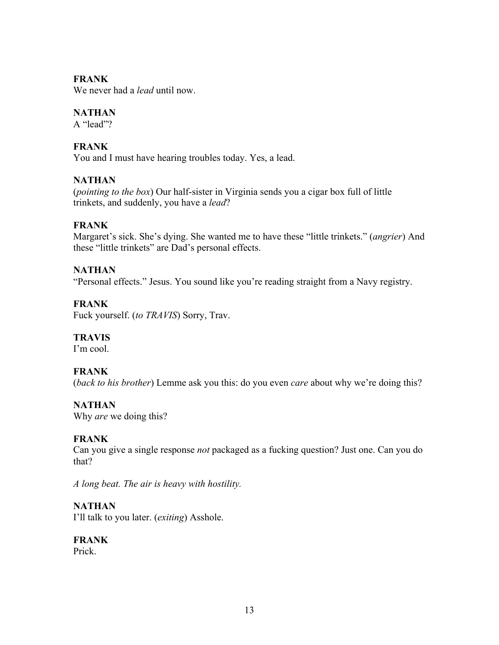#### **FRANK**

We never had a *lead* until now.

## **NATHAN**

A "lead"?

## **FRANK**

You and I must have hearing troubles today. Yes, a lead.

## **NATHAN**

(*pointing to the box*) Our half-sister in Virginia sends you a cigar box full of little trinkets, and suddenly, you have a *lead*?

## **FRANK**

Margaret's sick. She's dying. She wanted me to have these "little trinkets." (*angrier*) And these "little trinkets" are Dad's personal effects.

#### **NATHAN**

"Personal effects." Jesus. You sound like you're reading straight from a Navy registry.

## **FRANK**

Fuck yourself. (*to TRAVIS*) Sorry, Trav.

#### **TRAVIS**

I'm cool.

#### **FRANK**

(*back to his brother*) Lemme ask you this: do you even *care* about why we're doing this?

#### **NATHAN**

Why *are* we doing this?

#### **FRANK**

Can you give a single response *not* packaged as a fucking question? Just one. Can you do that?

*A long beat. The air is heavy with hostility.* 

#### **NATHAN**

I'll talk to you later. (*exiting*) Asshole.

#### **FRANK**

Prick.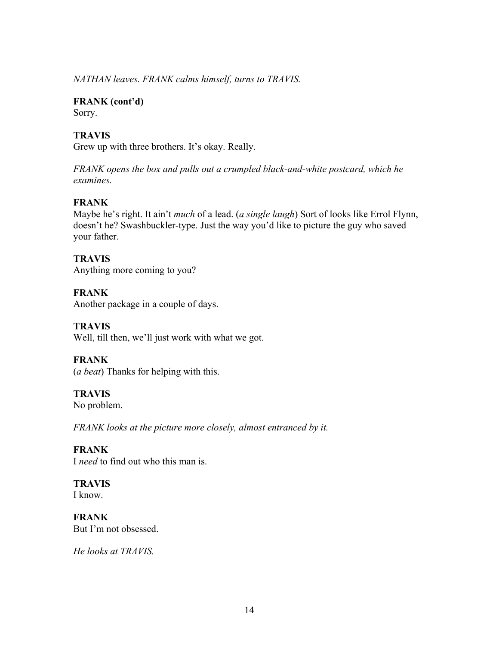*NATHAN leaves. FRANK calms himself, turns to TRAVIS.* 

**FRANK (cont'd)** Sorry.

## **TRAVIS**

Grew up with three brothers. It's okay. Really.

*FRANK opens the box and pulls out a crumpled black-and-white postcard, which he examines.*

#### **FRANK**

Maybe he's right. It ain't *much* of a lead. (*a single laugh*) Sort of looks like Errol Flynn, doesn't he? Swashbuckler-type. Just the way you'd like to picture the guy who saved your father.

**TRAVIS** Anything more coming to you?

**FRANK** Another package in a couple of days.

**TRAVIS** Well, till then, we'll just work with what we got.

**FRANK** (*a beat*) Thanks for helping with this.

**TRAVIS** No problem.

*FRANK looks at the picture more closely, almost entranced by it.* 

#### **FRANK**

I *need* to find out who this man is.

**TRAVIS** I know.

**FRANK** But I'm not obsessed.

*He looks at TRAVIS.*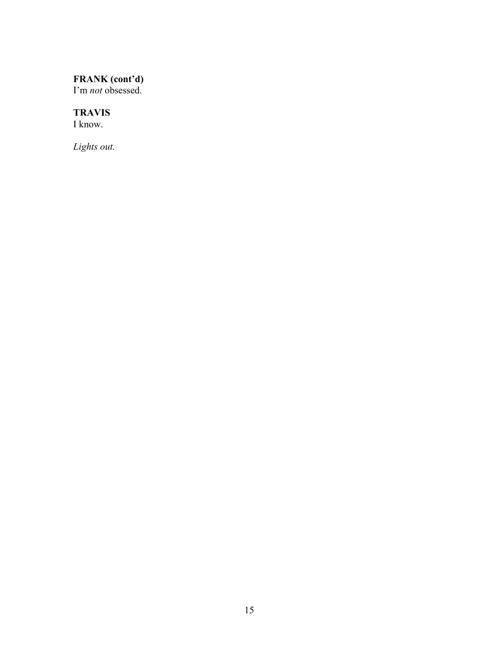#### **FRANK (cont'd)**

I'm *not* obsessed.

#### **TRAVIS**

I know.

*Lights out.*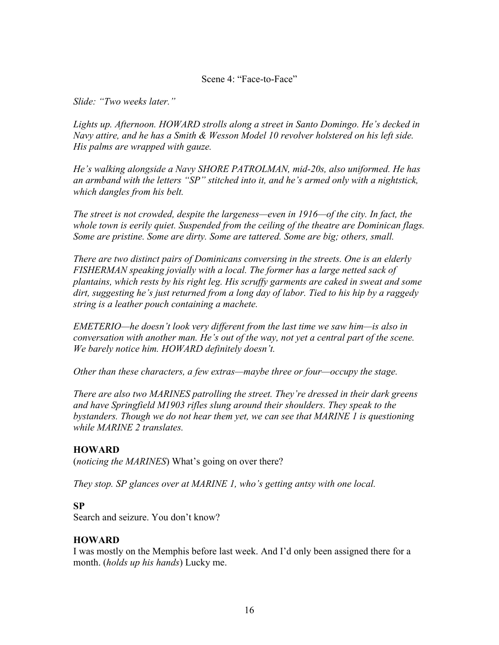#### Scene 4: "Face-to-Face"

*Slide: "Two weeks later."*

*Lights up. Afternoon. HOWARD strolls along a street in Santo Domingo. He's decked in Navy attire, and he has a Smith & Wesson Model 10 revolver holstered on his left side. His palms are wrapped with gauze.* 

*He's walking alongside a Navy SHORE PATROLMAN, mid-20s, also uniformed. He has an armband with the letters "SP" stitched into it, and he's armed only with a nightstick, which dangles from his belt.*

*The street is not crowded, despite the largeness—even in 1916—of the city. In fact, the whole town is eerily quiet. Suspended from the ceiling of the theatre are Dominican flags. Some are pristine. Some are dirty. Some are tattered. Some are big; others, small.*

*There are two distinct pairs of Dominicans conversing in the streets. One is an elderly FISHERMAN speaking jovially with a local. The former has a large netted sack of plantains, which rests by his right leg. His scruffy garments are caked in sweat and some dirt, suggesting he's just returned from a long day of labor. Tied to his hip by a raggedy string is a leather pouch containing a machete.*

*EMETERIO—he doesn't look very different from the last time we saw him—is also in conversation with another man. He's out of the way, not yet a central part of the scene. We barely notice him. HOWARD definitely doesn't.*

*Other than these characters, a few extras—maybe three or four—occupy the stage.*

*There are also two MARINES patrolling the street. They're dressed in their dark greens and have Springfield M1903 rifles slung around their shoulders. They speak to the bystanders. Though we do not hear them yet, we can see that MARINE 1 is questioning while MARINE 2 translates.* 

#### **HOWARD**

(*noticing the MARINES*) What's going on over there?

*They stop. SP glances over at MARINE 1, who's getting antsy with one local.* 

#### **SP**

Search and seizure. You don't know?

#### **HOWARD**

I was mostly on the Memphis before last week. And I'd only been assigned there for a month. (*holds up his hands*) Lucky me.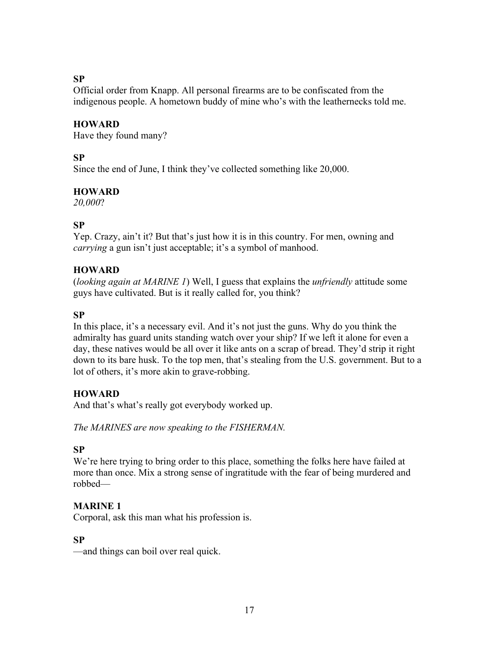#### **SP**

Official order from Knapp. All personal firearms are to be confiscated from the indigenous people. A hometown buddy of mine who's with the leathernecks told me.

#### **HOWARD**

Have they found many?

#### **SP**

Since the end of June, I think they've collected something like 20,000.

#### **HOWARD**

*20,000*?

#### **SP**

Yep. Crazy, ain't it? But that's just how it is in this country. For men, owning and *carrying* a gun isn't just acceptable; it's a symbol of manhood.

#### **HOWARD**

(*looking again at MARINE 1*) Well, I guess that explains the *unfriendly* attitude some guys have cultivated. But is it really called for, you think?

## **SP**

In this place, it's a necessary evil. And it's not just the guns. Why do you think the admiralty has guard units standing watch over your ship? If we left it alone for even a day, these natives would be all over it like ants on a scrap of bread. They'd strip it right down to its bare husk. To the top men, that's stealing from the U.S. government. But to a lot of others, it's more akin to grave-robbing.

#### **HOWARD**

And that's what's really got everybody worked up.

*The MARINES are now speaking to the FISHERMAN.* 

#### **SP**

We're here trying to bring order to this place, something the folks here have failed at more than once. Mix a strong sense of ingratitude with the fear of being murdered and robbed—

#### **MARINE 1**

Corporal, ask this man what his profession is.

#### **SP**

—and things can boil over real quick.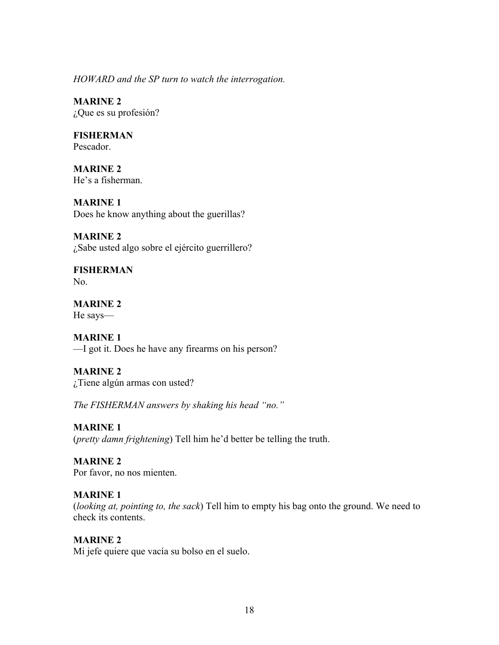*HOWARD and the SP turn to watch the interrogation.* 

**MARINE 2** ¿Que es su profesión?

**FISHERMAN** Pescador.

**MARINE 2** He's a fisherman.

**MARINE 1** Does he know anything about the guerillas?

**MARINE 2** ¿Sabe usted algo sobre el ejército guerrillero?

**FISHERMAN** No.

**MARINE 2** He says—

**MARINE 1** —I got it. Does he have any firearms on his person?

**MARINE 2** ¿Tiene algún armas con usted?

*The FISHERMAN answers by shaking his head "no."*

**MARINE 1** (*pretty damn frightening*) Tell him he'd better be telling the truth.

**MARINE 2** Por favor, no nos mienten.

#### **MARINE 1**

(*looking at, pointing to, the sack*) Tell him to empty his bag onto the ground. We need to check its contents.

#### **MARINE 2**

Mi jefe quiere que vacía su bolso en el suelo.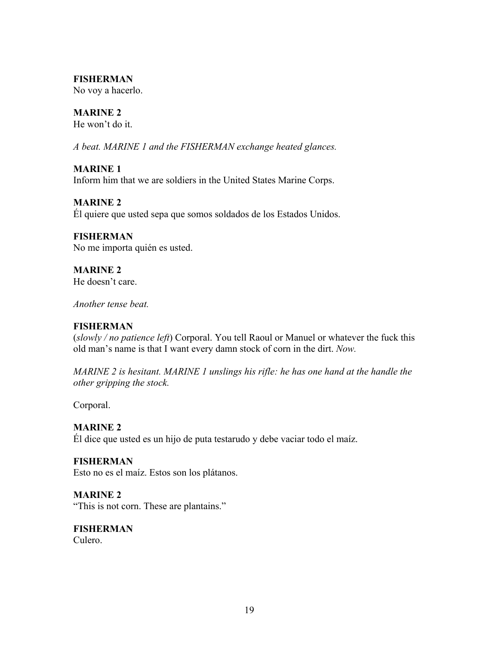#### **FISHERMAN**

No voy a hacerlo.

## **MARINE 2**

He won't do it.

*A beat. MARINE 1 and the FISHERMAN exchange heated glances.*

#### **MARINE 1**

Inform him that we are soldiers in the United States Marine Corps.

#### **MARINE 2**

Él quiere que usted sepa que somos soldados de los Estados Unidos.

## **FISHERMAN**

No me importa quién es usted.

**MARINE 2**  He doesn't care.

*Another tense beat.*

## **FISHERMAN**

(*slowly / no patience left*) Corporal. You tell Raoul or Manuel or whatever the fuck this old man's name is that I want every damn stock of corn in the dirt. *Now.*

*MARINE 2 is hesitant. MARINE 1 unslings his rifle: he has one hand at the handle the other gripping the stock.* 

Corporal.

## **MARINE 2**

Él dice que usted es un hijo de puta testarudo y debe vaciar todo el maíz.

## **FISHERMAN**

Esto no es el maíz. Estos son los plátanos.

## **MARINE 2**

"This is not corn. These are plantains."

#### **FISHERMAN** Culero.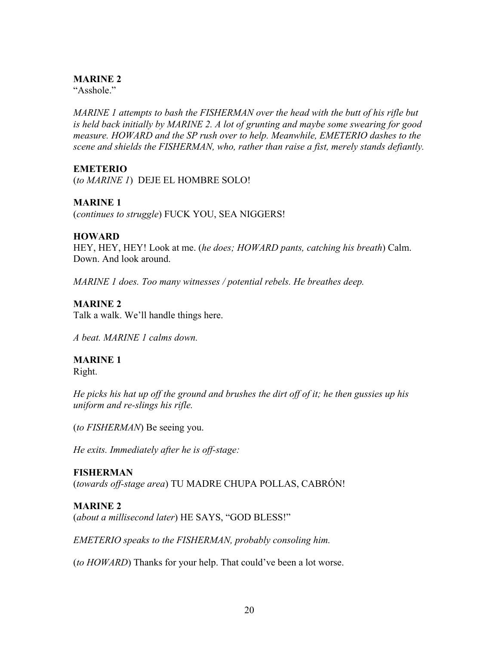#### **MARINE 2**

"Asshole."

*MARINE 1 attempts to bash the FISHERMAN over the head with the butt of his rifle but is held back initially by MARINE 2. A lot of grunting and maybe some swearing for good measure. HOWARD and the SP rush over to help. Meanwhile, EMETERIO dashes to the scene and shields the FISHERMAN, who, rather than raise a fist, merely stands defiantly.* 

#### **EMETERIO**

(*to MARINE 1*) DEJE EL HOMBRE SOLO!

#### **MARINE 1**

(*continues to struggle*) FUCK YOU, SEA NIGGERS!

#### **HOWARD**

HEY, HEY, HEY! Look at me. (*he does; HOWARD pants, catching his breath*) Calm. Down. And look around.

*MARINE 1 does. Too many witnesses / potential rebels. He breathes deep.*

#### **MARINE 2**

Talk a walk. We'll handle things here.

*A beat. MARINE 1 calms down.* 

## **MARINE 1**

Right.

*He picks his hat up off the ground and brushes the dirt off of it; he then gussies up his uniform and re-slings his rifle.* 

(*to FISHERMAN*) Be seeing you.

*He exits. Immediately after he is off-stage:*

#### **FISHERMAN**

(*towards off-stage area*) TU MADRE CHUPA POLLAS, CABRÓN!

#### **MARINE 2**

(*about a millisecond later*) HE SAYS, "GOD BLESS!"

*EMETERIO speaks to the FISHERMAN, probably consoling him.* 

(*to HOWARD*) Thanks for your help. That could've been a lot worse.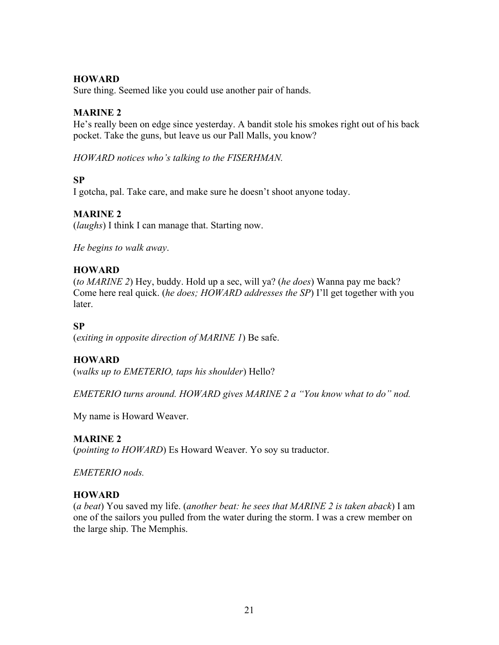#### **HOWARD**

Sure thing. Seemed like you could use another pair of hands.

#### **MARINE 2**

He's really been on edge since yesterday. A bandit stole his smokes right out of his back pocket. Take the guns, but leave us our Pall Malls, you know?

*HOWARD notices who's talking to the FISERHMAN.*

#### **SP**

I gotcha, pal. Take care, and make sure he doesn't shoot anyone today.

## **MARINE 2**

(*laughs*) I think I can manage that. Starting now.

*He begins to walk away*.

#### **HOWARD**

(*to MARINE 2*) Hey, buddy. Hold up a sec, will ya? (*he does*) Wanna pay me back? Come here real quick. (*he does; HOWARD addresses the SP*) I'll get together with you **later** 

#### **SP**

(*exiting in opposite direction of MARINE 1*) Be safe.

#### **HOWARD**

(*walks up to EMETERIO, taps his shoulder*) Hello?

*EMETERIO turns around. HOWARD gives MARINE 2 a "You know what to do" nod.* 

My name is Howard Weaver.

#### **MARINE 2**

(*pointing to HOWARD*) Es Howard Weaver. Yo soy su traductor.

*EMETERIO nods.*

#### **HOWARD**

(*a beat*) You saved my life. (*another beat: he sees that MARINE 2 is taken aback*) I am one of the sailors you pulled from the water during the storm. I was a crew member on the large ship. The Memphis.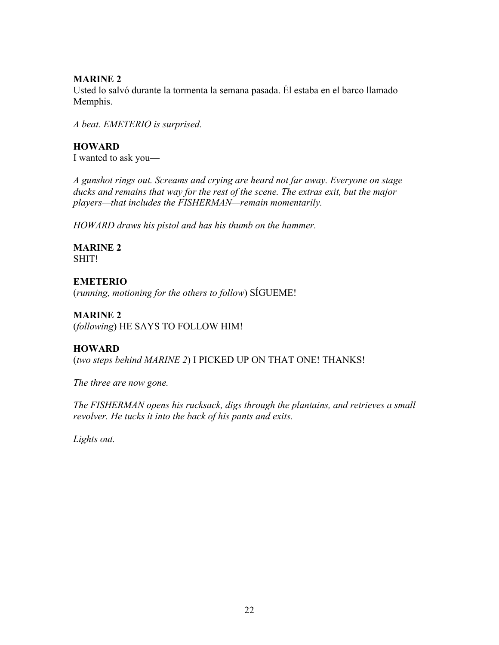#### **MARINE 2**

Usted lo salvó durante la tormenta la semana pasada. Él estaba en el barco llamado Memphis.

*A beat. EMETERIO is surprised.* 

**HOWARD** I wanted to ask you—

*A gunshot rings out. Screams and crying are heard not far away. Everyone on stage ducks and remains that way for the rest of the scene. The extras exit, but the major players—that includes the FISHERMAN—remain momentarily.*

*HOWARD draws his pistol and has his thumb on the hammer.* 

**MARINE 2** SHIT!

#### **EMETERIO**

(*running, motioning for the others to follow*) SÍGUEME!

#### **MARINE 2**

(*following*) HE SAYS TO FOLLOW HIM!

## **HOWARD**

(*two steps behind MARINE 2*) I PICKED UP ON THAT ONE! THANKS!

*The three are now gone.* 

*The FISHERMAN opens his rucksack, digs through the plantains, and retrieves a small revolver. He tucks it into the back of his pants and exits.*

*Lights out.*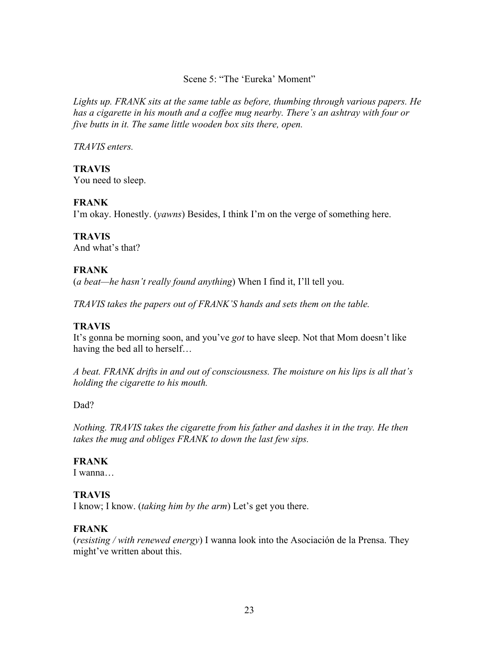#### Scene 5: "The 'Eureka' Moment"

*Lights up. FRANK sits at the same table as before, thumbing through various papers. He has a cigarette in his mouth and a coffee mug nearby. There's an ashtray with four or five butts in it. The same little wooden box sits there, open.* 

*TRAVIS enters.*

**TRAVIS** You need to sleep.

#### **FRANK**

I'm okay. Honestly. (*yawns*) Besides, I think I'm on the verge of something here.

#### **TRAVIS**

And what's that?

#### **FRANK**

(*a beat—he hasn't really found anything*) When I find it, I'll tell you.

*TRAVIS takes the papers out of FRANK'S hands and sets them on the table.* 

#### **TRAVIS**

It's gonna be morning soon, and you've *got* to have sleep. Not that Mom doesn't like having the bed all to herself…

*A beat. FRANK drifts in and out of consciousness. The moisture on his lips is all that's holding the cigarette to his mouth.* 

#### Dad?

*Nothing. TRAVIS takes the cigarette from his father and dashes it in the tray. He then takes the mug and obliges FRANK to down the last few sips.*

#### **FRANK**

I wanna…

#### **TRAVIS**

I know; I know. (*taking him by the arm*) Let's get you there.

#### **FRANK**

(*resisting / with renewed energy*) I wanna look into the Asociación de la Prensa. They might've written about this.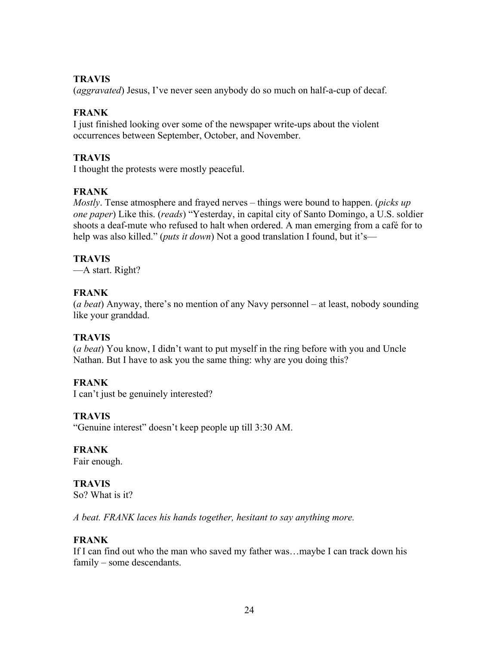#### **TRAVIS**

(*aggravated*) Jesus, I've never seen anybody do so much on half-a-cup of decaf.

#### **FRANK**

I just finished looking over some of the newspaper write-ups about the violent occurrences between September, October, and November.

#### **TRAVIS**

I thought the protests were mostly peaceful.

## **FRANK**

*Mostly*. Tense atmosphere and frayed nerves – things were bound to happen. (*picks up one paper*) Like this. (*reads*) "Yesterday, in capital city of Santo Domingo, a U.S. soldier shoots a deaf-mute who refused to halt when ordered. A man emerging from a café for to help was also killed." (*puts it down*) Not a good translation I found, but it's—

## **TRAVIS**

—A start. Right?

## **FRANK**

(*a beat*) Anyway, there's no mention of any Navy personnel – at least, nobody sounding like your granddad.

#### **TRAVIS**

(*a beat*) You know, I didn't want to put myself in the ring before with you and Uncle Nathan. But I have to ask you the same thing: why are you doing this?

## **FRANK**

I can't just be genuinely interested?

#### **TRAVIS**

"Genuine interest" doesn't keep people up till 3:30 AM.

**FRANK** Fair enough.

## **TRAVIS**

So? What is it?

*A beat. FRANK laces his hands together, hesitant to say anything more.* 

#### **FRANK**

If I can find out who the man who saved my father was…maybe I can track down his family – some descendants.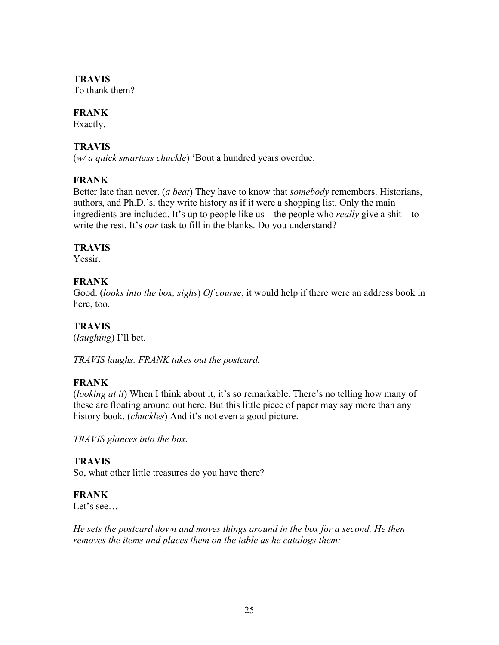## **TRAVIS**

To thank them?

#### **FRANK**

Exactly.

## **TRAVIS**

(*w/ a quick smartass chuckle*) 'Bout a hundred years overdue.

## **FRANK**

Better late than never. (*a beat*) They have to know that *somebody* remembers. Historians, authors, and Ph.D.'s, they write history as if it were a shopping list. Only the main ingredients are included. It's up to people like us—the people who *really* give a shit—to write the rest. It's *our* task to fill in the blanks. Do you understand?

## **TRAVIS**

Yessir.

## **FRANK**

Good. (*looks into the box, sighs*) *Of course*, it would help if there were an address book in here, too.

## **TRAVIS**

(*laughing*) I'll bet.

*TRAVIS laughs. FRANK takes out the postcard.*

## **FRANK**

(*looking at it*) When I think about it, it's so remarkable. There's no telling how many of these are floating around out here. But this little piece of paper may say more than any history book. (*chuckles*) And it's not even a good picture.

*TRAVIS glances into the box.*

## **TRAVIS**

So, what other little treasures do you have there?

#### **FRANK**

Let's see…

*He sets the postcard down and moves things around in the box for a second. He then removes the items and places them on the table as he catalogs them:*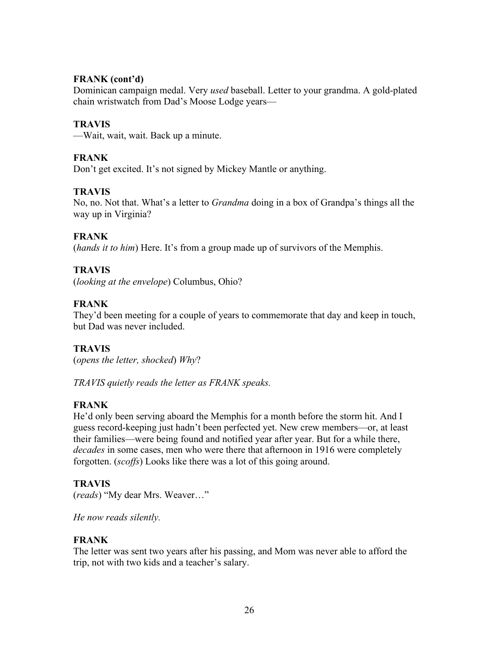#### **FRANK (cont'd)**

Dominican campaign medal. Very *used* baseball. Letter to your grandma. A gold-plated chain wristwatch from Dad's Moose Lodge years—

#### **TRAVIS**

—Wait, wait, wait. Back up a minute.

## **FRANK**

Don't get excited. It's not signed by Mickey Mantle or anything.

#### **TRAVIS**

No, no. Not that. What's a letter to *Grandma* doing in a box of Grandpa's things all the way up in Virginia?

#### **FRANK**

(*hands it to him*) Here. It's from a group made up of survivors of the Memphis.

#### **TRAVIS**

(*looking at the envelope*) Columbus, Ohio?

#### **FRANK**

They'd been meeting for a couple of years to commemorate that day and keep in touch, but Dad was never included.

#### **TRAVIS**

(*opens the letter, shocked*) *Why*?

*TRAVIS quietly reads the letter as FRANK speaks.*

#### **FRANK**

He'd only been serving aboard the Memphis for a month before the storm hit. And I guess record-keeping just hadn't been perfected yet. New crew members—or, at least their families—were being found and notified year after year. But for a while there, *decades* in some cases, men who were there that afternoon in 1916 were completely forgotten. (*scoffs*) Looks like there was a lot of this going around.

#### **TRAVIS**

(*reads*) "My dear Mrs. Weaver…"

*He now reads silently.*

#### **FRANK**

The letter was sent two years after his passing, and Mom was never able to afford the trip, not with two kids and a teacher's salary.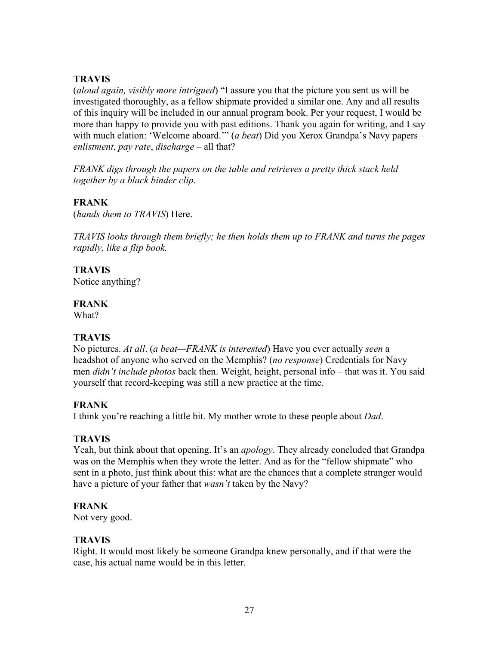#### **TRAVIS**

(*aloud again, visibly more intrigued*) "I assure you that the picture you sent us will be investigated thoroughly, as a fellow shipmate provided a similar one. Any and all results of this inquiry will be included in our annual program book. Per your request, I would be more than happy to provide you with past editions. Thank you again for writing, and I say with much elation: 'Welcome aboard.'" (*a beat*) Did you Xerox Grandpa's Navy papers – *enlistment*, *pay rate*, *discharge* – all that?

*FRANK digs through the papers on the table and retrieves a pretty thick stack held together by a black binder clip.* 

## **FRANK**

(*hands them to TRAVIS*) Here.

*TRAVIS looks through them briefly; he then holds them up to FRANK and turns the pages rapidly, like a flip book.* 

**TRAVIS**

Notice anything?

## **FRANK**

What?

## **TRAVIS**

No pictures. *At all*. (*a beat—FRANK is interested*) Have you ever actually *seen* a headshot of anyone who served on the Memphis? (*no response*) Credentials for Navy men *didn't include photos* back then. Weight, height, personal info – that was it. You said yourself that record-keeping was still a new practice at the time.

## **FRANK**

I think you're reaching a little bit. My mother wrote to these people about *Dad*.

## **TRAVIS**

Yeah, but think about that opening. It's an *apology*. They already concluded that Grandpa was on the Memphis when they wrote the letter. And as for the "fellow shipmate" who sent in a photo, just think about this: what are the chances that a complete stranger would have a picture of your father that *wasn't* taken by the Navy?

## **FRANK**

Not very good.

## **TRAVIS**

Right. It would most likely be someone Grandpa knew personally, and if that were the case, his actual name would be in this letter.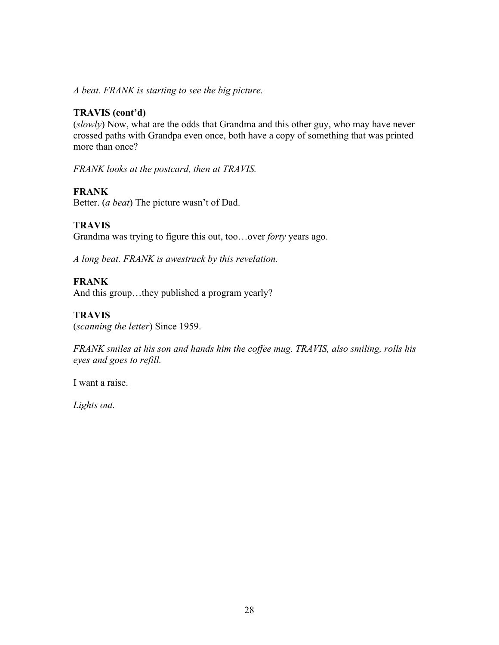*A beat. FRANK is starting to see the big picture.*

#### **TRAVIS (cont'd)**

(*slowly*) Now, what are the odds that Grandma and this other guy, who may have never crossed paths with Grandpa even once, both have a copy of something that was printed more than once?

*FRANK looks at the postcard, then at TRAVIS.*

## **FRANK**

Better. (*a beat*) The picture wasn't of Dad.

## **TRAVIS**

Grandma was trying to figure this out, too…over *forty* years ago.

*A long beat. FRANK is awestruck by this revelation.* 

## **FRANK**

And this group…they published a program yearly?

## **TRAVIS**

(*scanning the letter*) Since 1959.

*FRANK smiles at his son and hands him the coffee mug. TRAVIS, also smiling, rolls his eyes and goes to refill.*

I want a raise.

*Lights out.*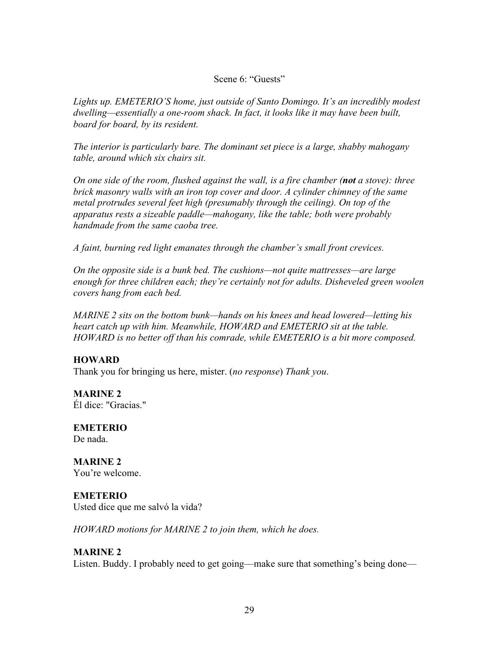#### Scene 6: "Guests"

*Lights up. EMETERIO'S home, just outside of Santo Domingo. It's an incredibly modest dwelling—essentially a one-room shack. In fact, it looks like it may have been built, board for board, by its resident.* 

*The interior is particularly bare. The dominant set piece is a large, shabby mahogany table, around which six chairs sit.* 

*On one side of the room, flushed against the wall, is a fire chamber (not a stove): three brick masonry walls with an iron top cover and door. A cylinder chimney of the same metal protrudes several feet high (presumably through the ceiling). On top of the apparatus rests a sizeable paddle—mahogany, like the table; both were probably handmade from the same caoba tree.* 

*A faint, burning red light emanates through the chamber's small front crevices.* 

*On the opposite side is a bunk bed. The cushions—not quite mattresses—are large enough for three children each; they're certainly not for adults. Disheveled green woolen covers hang from each bed.*

*MARINE 2 sits on the bottom bunk—hands on his knees and head lowered—letting his heart catch up with him. Meanwhile, HOWARD and EMETERIO sit at the table. HOWARD is no better off than his comrade, while EMETERIO is a bit more composed.*

# **HOWARD**

Thank you for bringing us here, mister. (*no response*) *Thank you*.

**MARINE 2** Él dice: "Gracias."

**EMETERIO** De nada.

**MARINE 2** You're welcome.

#### **EMETERIO**

Usted dice que me salvó la vida?

*HOWARD motions for MARINE 2 to join them, which he does.* 

#### **MARINE 2**

Listen. Buddy. I probably need to get going—make sure that something's being done—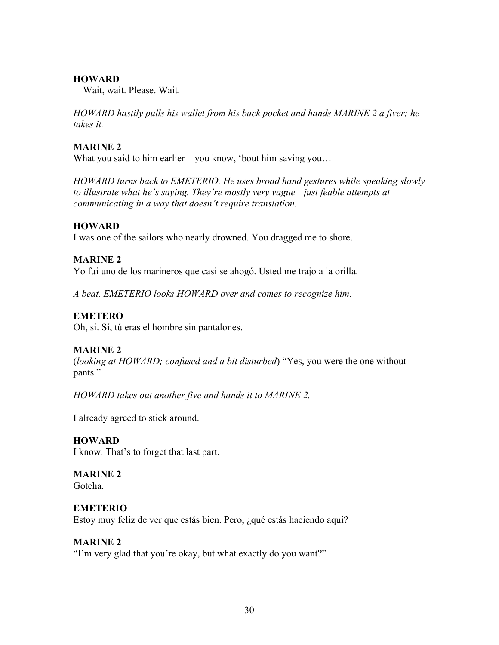—Wait, wait. Please. Wait.

*HOWARD hastily pulls his wallet from his back pocket and hands MARINE 2 a fiver; he takes it.* 

### **MARINE 2**

What you said to him earlier—you know, 'bout him saving you...

*HOWARD turns back to EMETERIO. He uses broad hand gestures while speaking slowly to illustrate what he's saying. They're mostly very vague—just feable attempts at communicating in a way that doesn't require translation.* 

### **HOWARD**

I was one of the sailors who nearly drowned. You dragged me to shore.

### **MARINE 2**

Yo fui uno de los marineros que casi se ahogó. Usted me trajo a la orilla.

*A beat. EMETERIO looks HOWARD over and comes to recognize him.*

# **EMETERO**

Oh, sí. Sí, tú eras el hombre sin pantalones.

# **MARINE 2**

(*looking at HOWARD; confused and a bit disturbed*) "Yes, you were the one without pants."

*HOWARD takes out another five and hands it to MARINE 2.*

I already agreed to stick around.

#### **HOWARD**

I know. That's to forget that last part.

# **MARINE 2**

Gotcha.

# **EMETERIO**

Estoy muy feliz de ver que estás bien. Pero, ¿qué estás haciendo aquí?

#### **MARINE 2**

"I'm very glad that you're okay, but what exactly do you want?"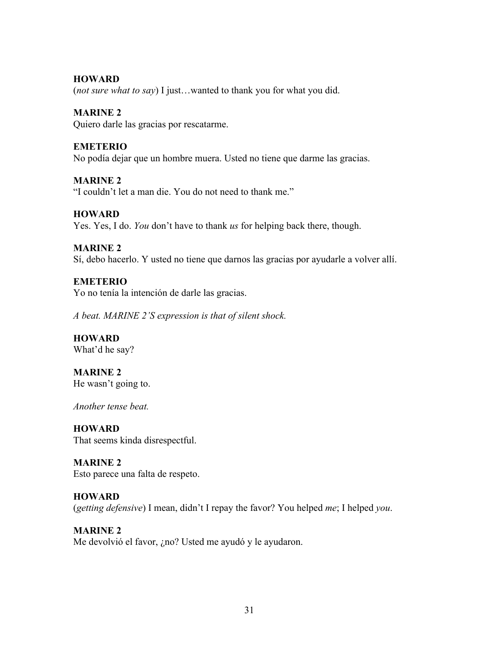(*not sure what to say*) I just…wanted to thank you for what you did.

### **MARINE 2**

Quiero darle las gracias por rescatarme.

### **EMETERIO**

No podía dejar que un hombre muera. Usted no tiene que darme las gracias.

# **MARINE 2**

"I couldn't let a man die. You do not need to thank me."

# **HOWARD**

Yes. Yes, I do. *You* don't have to thank *us* for helping back there, though.

# **MARINE 2**

Sí, debo hacerlo. Y usted no tiene que darnos las gracias por ayudarle a volver allí.

# **EMETERIO**

Yo no tenía la intención de darle las gracias.

*A beat. MARINE 2'S expression is that of silent shock.* 

**HOWARD** What'd he say?

**MARINE 2** He wasn't going to.

*Another tense beat.* 

**HOWARD** That seems kinda disrespectful.

**MARINE 2** Esto parece una falta de respeto.

#### **HOWARD**

(*getting defensive*) I mean, didn't I repay the favor? You helped *me*; I helped *you*.

### **MARINE 2** Me devolvió el favor, ¿no? Usted me ayudó y le ayudaron.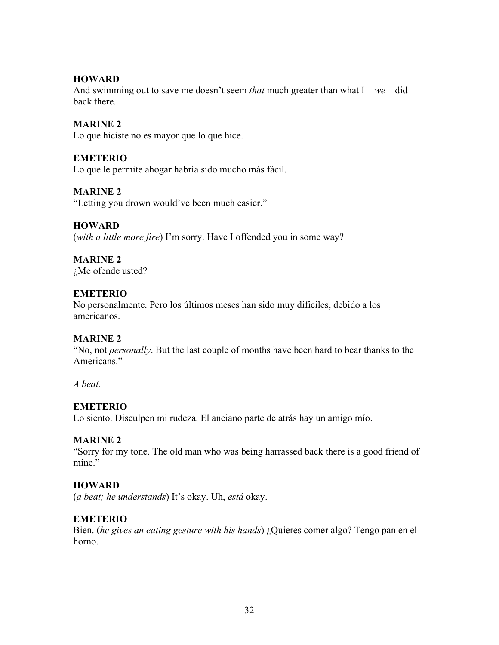And swimming out to save me doesn't seem *that* much greater than what I—*we*—did back there.

### **MARINE 2**

Lo que hiciste no es mayor que lo que hice.

#### **EMETERIO**

Lo que le permite ahogar habría sido mucho más fácil.

### **MARINE 2**

"Letting you drown would've been much easier."

### **HOWARD**

(*with a little more fire*) I'm sorry. Have I offended you in some way?

# **MARINE 2**

¿Me ofende usted?

# **EMETERIO**

No personalmente. Pero los últimos meses han sido muy difíciles, debido a los americanos.

#### **MARINE 2**

"No, not *personally*. But the last couple of months have been hard to bear thanks to the Americans."

*A beat.*

# **EMETERIO**

Lo siento. Disculpen mi rudeza. El anciano parte de atrás hay un amigo mío.

# **MARINE 2**

"Sorry for my tone. The old man who was being harrassed back there is a good friend of mine"

#### **HOWARD**

(*a beat; he understands*) It's okay. Uh, *está* okay.

#### **EMETERIO**

Bien. (*he gives an eating gesture with his hands*) ¿Quieres comer algo? Tengo pan en el horno.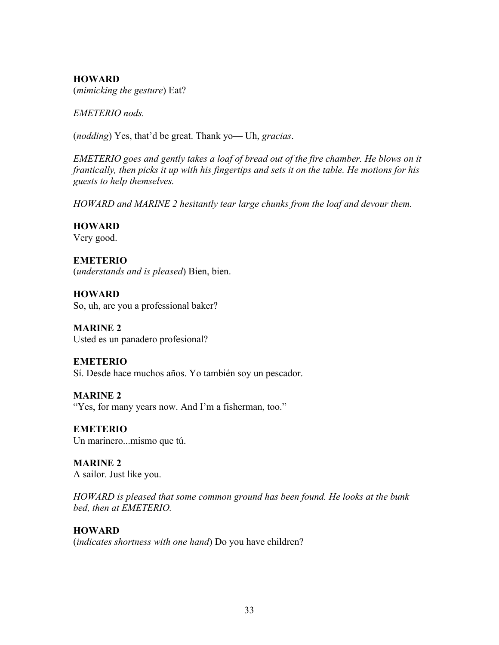### **HOWARD** (*mimicking the gesture*) Eat?

*EMETERIO nods.* 

(*nodding*) Yes, that'd be great. Thank yo— Uh, *gracias*.

*EMETERIO goes and gently takes a loaf of bread out of the fire chamber. He blows on it frantically, then picks it up with his fingertips and sets it on the table. He motions for his guests to help themselves.* 

*HOWARD and MARINE 2 hesitantly tear large chunks from the loaf and devour them.*

# **HOWARD**

Very good.

# **EMETERIO**

(*understands and is pleased*) Bien, bien.

**HOWARD** So, uh, are you a professional baker?

**MARINE 2** Usted es un panadero profesional?

# **EMETERIO**

Sí. Desde hace muchos años. Yo también soy un pescador.

**MARINE 2** "Yes, for many years now. And I'm a fisherman, too."

**EMETERIO** Un marinero...mismo que tú.

**MARINE 2** A sailor. Just like you.

*HOWARD is pleased that some common ground has been found. He looks at the bunk bed, then at EMETERIO.* 

# **HOWARD**

(*indicates shortness with one hand*) Do you have children?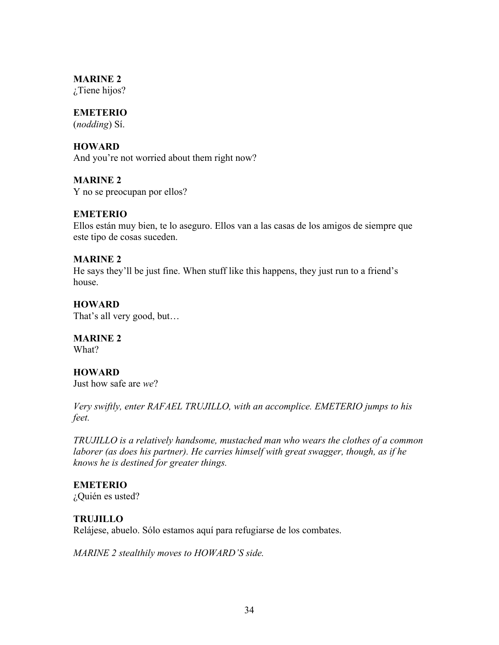### **MARINE 2**

¿Tiene hijos?

# **EMETERIO**

(*nodding*) Sí.

# **HOWARD**

And you're not worried about them right now?

# **MARINE 2**

Y no se preocupan por ellos?

# **EMETERIO**

Ellos están muy bien, te lo aseguro. Ellos van a las casas de los amigos de siempre que este tipo de cosas suceden.

### **MARINE 2**

He says they'll be just fine. When stuff like this happens, they just run to a friend's house.

# **HOWARD**

That's all very good, but…

# **MARINE 2**

What?

# **HOWARD**

Just how safe are *we*?

*Very swiftly, enter RAFAEL TRUJILLO, with an accomplice. EMETERIO jumps to his feet.*

*TRUJILLO is a relatively handsome, mustached man who wears the clothes of a common laborer (as does his partner). He carries himself with great swagger, though, as if he knows he is destined for greater things.*

# **EMETERIO**

¿Quién es usted?

# **TRUJILLO**

Relájese, abuelo. Sólo estamos aquí para refugiarse de los combates.

*MARINE 2 stealthily moves to HOWARD'S side.*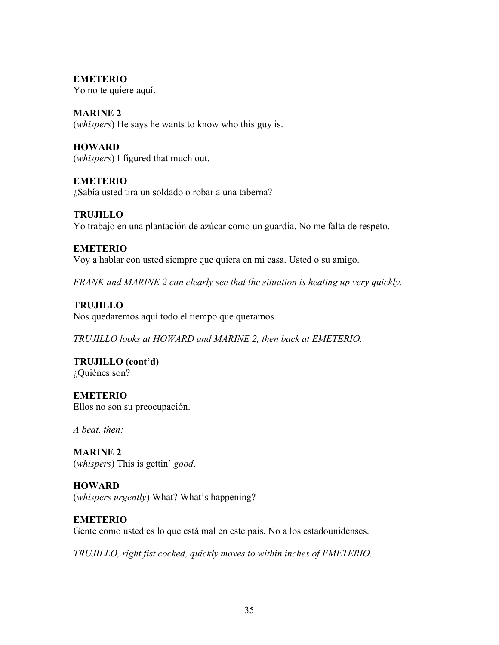**EMETERIO**

Yo no te quiere aquí.

**MARINE 2** (*whispers*) He says he wants to know who this guy is.

**HOWARD** (*whispers*) I figured that much out.

**EMETERIO** ¿Sabía usted tira un soldado o robar a una taberna?

**TRUJILLO** Yo trabajo en una plantación de azúcar como un guardia. No me falta de respeto.

**EMETERIO** Voy a hablar con usted siempre que quiera en mi casa. Usted o su amigo.

*FRANK and MARINE 2 can clearly see that the situation is heating up very quickly.*

**TRUJILLO**

Nos quedaremos aquí todo el tiempo que queramos.

*TRUJILLO looks at HOWARD and MARINE 2, then back at EMETERIO.*

**TRUJILLO (cont'd)** ¿Quiénes son?

**EMETERIO** Ellos no son su preocupación.

*A beat, then:*

**MARINE 2** (*whispers*) This is gettin' *good*.

**HOWARD** (*whispers urgently*) What? What's happening?

**EMETERIO** Gente como usted es lo que está mal en este país. No a los estadounidenses.

*TRUJILLO, right fist cocked, quickly moves to within inches of EMETERIO.*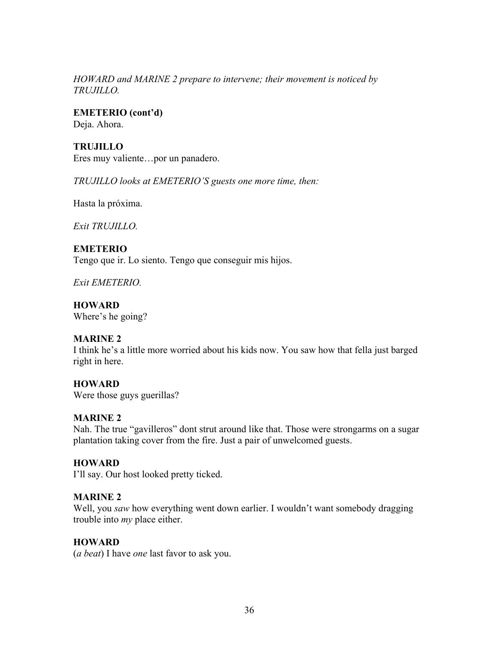#### *HOWARD and MARINE 2 prepare to intervene; their movement is noticed by TRUJILLO.*

**EMETERIO (cont'd)** Deja. Ahora.

**TRUJILLO** Eres muy valiente…por un panadero.

*TRUJILLO looks at EMETERIO'S guests one more time, then:*

Hasta la próxima.

*Exit TRUJILLO.*

### **EMETERIO**

Tengo que ir. Lo siento. Tengo que conseguir mis hijos.

*Exit EMETERIO.*

**HOWARD** Where's he going?

# **MARINE 2**

I think he's a little more worried about his kids now. You saw how that fella just barged right in here.

# **HOWARD**

Were those guys guerillas?

# **MARINE 2**

Nah. The true "gavilleros" dont strut around like that. Those were strongarms on a sugar plantation taking cover from the fire. Just a pair of unwelcomed guests.

# **HOWARD**

I'll say. Our host looked pretty ticked.

# **MARINE 2**

Well, you *saw* how everything went down earlier. I wouldn't want somebody dragging trouble into *my* place either.

# **HOWARD**

(*a beat*) I have *one* last favor to ask you.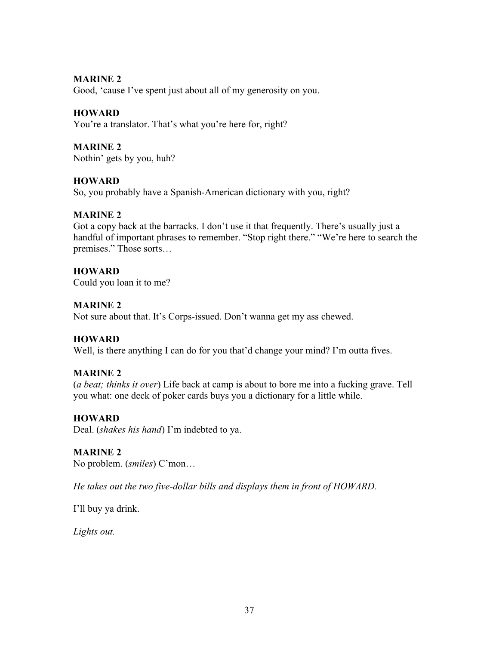#### **MARINE 2**

Good, 'cause I've spent just about all of my generosity on you.

# **HOWARD**

You're a translator. That's what you're here for, right?

# **MARINE 2**

Nothin' gets by you, huh?

### **HOWARD**

So, you probably have a Spanish-American dictionary with you, right?

# **MARINE 2**

Got a copy back at the barracks. I don't use it that frequently. There's usually just a handful of important phrases to remember. "Stop right there." "We're here to search the premises." Those sorts…

# **HOWARD**

Could you loan it to me?

# **MARINE 2**

Not sure about that. It's Corps-issued. Don't wanna get my ass chewed.

# **HOWARD**

Well, is there anything I can do for you that'd change your mind? I'm outta fives.

# **MARINE 2**

(*a beat; thinks it over*) Life back at camp is about to bore me into a fucking grave. Tell you what: one deck of poker cards buys you a dictionary for a little while.

# **HOWARD**

Deal. (*shakes his hand*) I'm indebted to ya.

# **MARINE 2**

No problem. (*smiles*) C'mon…

*He takes out the two five-dollar bills and displays them in front of HOWARD.* 

I'll buy ya drink.

*Lights out.*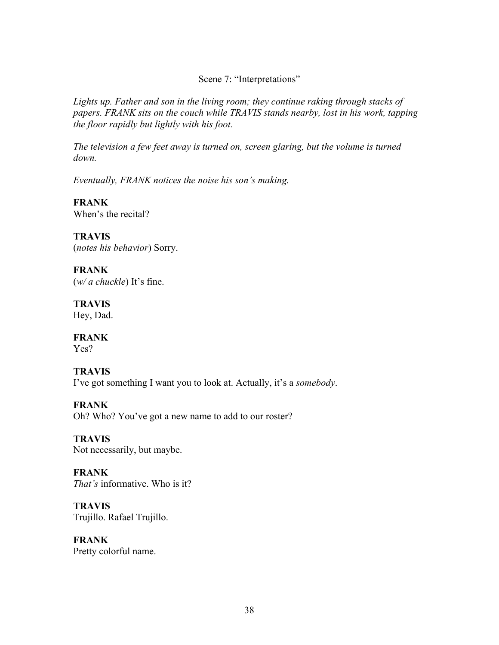Scene 7: "Interpretations"

*Lights up. Father and son in the living room; they continue raking through stacks of papers. FRANK sits on the couch while TRAVIS stands nearby, lost in his work, tapping the floor rapidly but lightly with his foot.*

*The television a few feet away is turned on, screen glaring, but the volume is turned down.*

*Eventually, FRANK notices the noise his son's making.*

**FRANK** When's the recital?

**TRAVIS** (*notes his behavior*) Sorry.

**FRANK** (*w/ a chuckle*) It's fine.

**TRAVIS** Hey, Dad.

**FRANK** Yes?

**TRAVIS** I've got something I want you to look at. Actually, it's a *somebody*.

**FRANK** Oh? Who? You've got a new name to add to our roster?

**TRAVIS** Not necessarily, but maybe.

**FRANK** *That's* informative. Who is it?

**TRAVIS** Trujillo. Rafael Trujillo.

**FRANK** Pretty colorful name.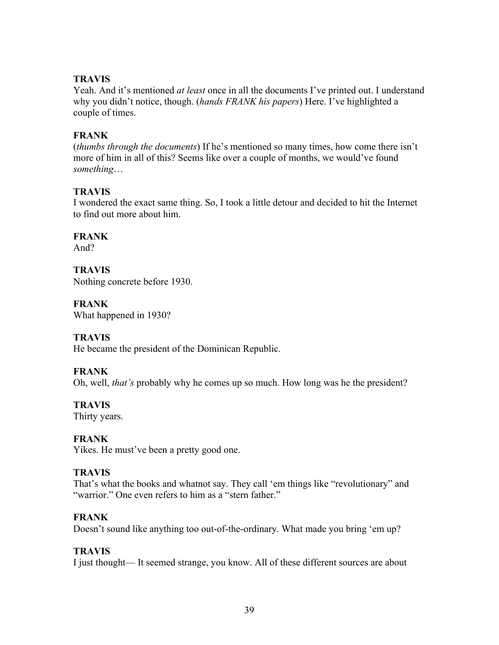# **TRAVIS**

Yeah. And it's mentioned *at least* once in all the documents I've printed out. I understand why you didn't notice, though. (*hands FRANK his papers*) Here. I've highlighted a couple of times.

### **FRANK**

(*thumbs through the documents*) If he's mentioned so many times, how come there isn't more of him in all of this? Seems like over a couple of months, we would've found *something*…

### **TRAVIS**

I wondered the exact same thing. So, I took a little detour and decided to hit the Internet to find out more about him.

### **FRANK**

And?

#### **TRAVIS** Nothing concrete before 1930.

**FRANK**

What happened in 1930?

# **TRAVIS**

He became the president of the Dominican Republic.

# **FRANK**

Oh, well, *that's* probably why he comes up so much. How long was he the president?

# **TRAVIS**

Thirty years.

# **FRANK**

Yikes. He must've been a pretty good one.

#### **TRAVIS**

That's what the books and whatnot say. They call 'em things like "revolutionary" and "warrior." One even refers to him as a "stern father."

# **FRANK**

Doesn't sound like anything too out-of-the-ordinary. What made you bring 'em up?

# **TRAVIS**

I just thought— It seemed strange, you know. All of these different sources are about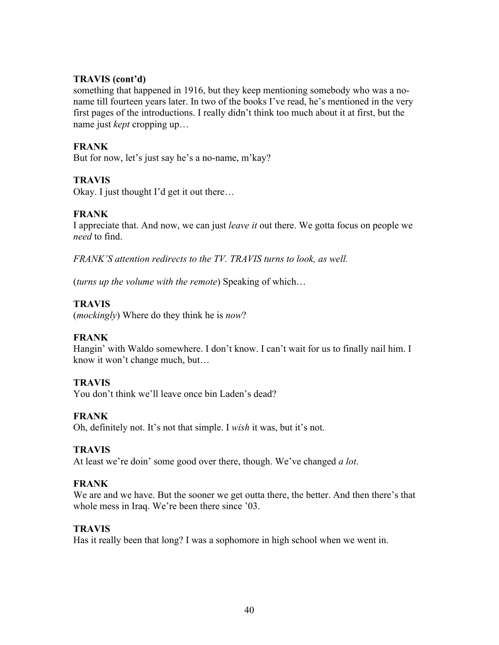# **TRAVIS (cont'd)**

something that happened in 1916, but they keep mentioning somebody who was a noname till fourteen years later. In two of the books I've read, he's mentioned in the very first pages of the introductions. I really didn't think too much about it at first, but the name just *kept* cropping up…

# **FRANK**

But for now, let's just say he's a no-name, m'kay?

# **TRAVIS**

Okay. I just thought I'd get it out there…

# **FRANK**

I appreciate that. And now, we can just *leave it* out there. We gotta focus on people we *need* to find.

*FRANK'S attention redirects to the TV. TRAVIS turns to look, as well.*

(*turns up the volume with the remote*) Speaking of which…

# **TRAVIS**

(*mockingly*) Where do they think he is *now*?

# **FRANK**

Hangin' with Waldo somewhere. I don't know. I can't wait for us to finally nail him. I know it won't change much, but…

# **TRAVIS**

You don't think we'll leave once bin Laden's dead?

# **FRANK**

Oh, definitely not. It's not that simple. I *wish* it was, but it's not.

# **TRAVIS**

At least we're doin' some good over there, though. We've changed *a lot*.

# **FRANK**

We are and we have. But the sooner we get outta there, the better. And then there's that whole mess in Iraq. We're been there since '03.

# **TRAVIS**

Has it really been that long? I was a sophomore in high school when we went in.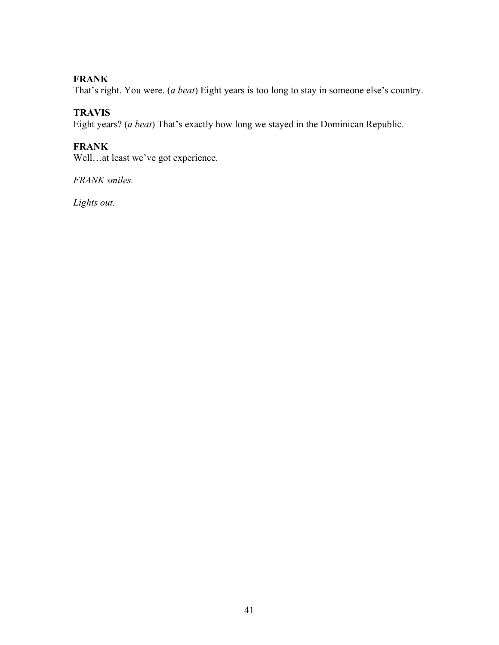# **FRANK**

That's right. You were. (*a beat*) Eight years is too long to stay in someone else's country.

# **TRAVIS**

Eight years? (*a beat*) That's exactly how long we stayed in the Dominican Republic.

# **FRANK**

Well…at least we've got experience.

*FRANK smiles.*

*Lights out.*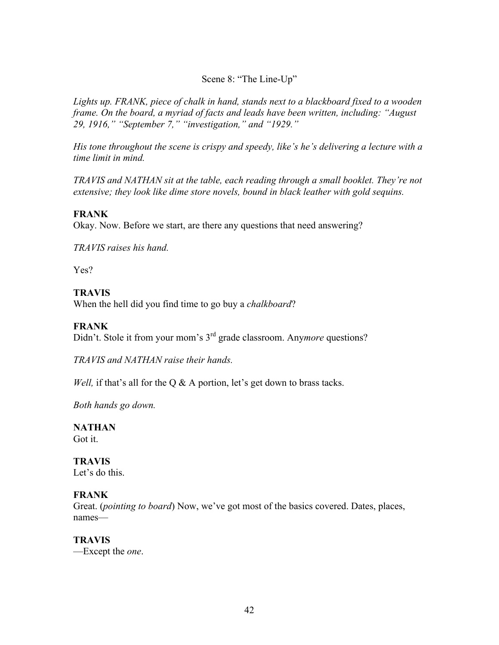# Scene 8: "The Line-Up"

*Lights up. FRANK, piece of chalk in hand, stands next to a blackboard fixed to a wooden frame. On the board, a myriad of facts and leads have been written, including: "August 29, 1916," "September 7," "investigation," and "1929."* 

*His tone throughout the scene is crispy and speedy, like's he's delivering a lecture with a time limit in mind.* 

*TRAVIS and NATHAN sit at the table, each reading through a small booklet. They're not extensive; they look like dime store novels, bound in black leather with gold sequins.* 

### **FRANK**

Okay. Now. Before we start, are there any questions that need answering?

*TRAVIS raises his hand.*

Yes?

# **TRAVIS**

When the hell did you find time to go buy a *chalkboard*?

# **FRANK**

Didn't. Stole it from your mom's 3rd grade classroom. Any*more* questions?

*TRAVIS and NATHAN raise their hands.*

*Well,* if that's all for the Q & A portion, let's get down to brass tacks.

*Both hands go down.* 

# **NATHAN**

Got it.

# **TRAVIS**

Let's do this.

# **FRANK**

Great. (*pointing to board*) Now, we've got most of the basics covered. Dates, places, names—

# **TRAVIS**

—Except the *one*.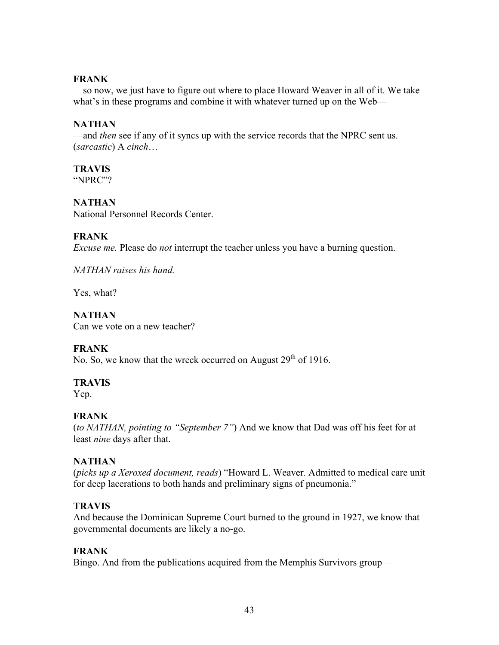### **FRANK**

—so now, we just have to figure out where to place Howard Weaver in all of it. We take what's in these programs and combine it with whatever turned up on the Web—

### **NATHAN**

—and *then* see if any of it syncs up with the service records that the NPRC sent us. (*sarcastic*) A *cinch*…

# **TRAVIS**

"NPRC"?

# **NATHAN**

National Personnel Records Center.

# **FRANK**

*Excuse me.* Please do *not* interrupt the teacher unless you have a burning question.

*NATHAN raises his hand.*

Yes, what?

**NATHAN**  Can we vote on a new teacher?

# **FRANK**

No. So, we know that the wreck occurred on August  $29<sup>th</sup>$  of 1916.

# **TRAVIS**

Yep.

# **FRANK**

(*to NATHAN, pointing to "September 7"*) And we know that Dad was off his feet for at least *nine* days after that.

# **NATHAN**

(*picks up a Xeroxed document, reads*) "Howard L. Weaver. Admitted to medical care unit for deep lacerations to both hands and preliminary signs of pneumonia."

# **TRAVIS**

And because the Dominican Supreme Court burned to the ground in 1927, we know that governmental documents are likely a no-go.

# **FRANK**

Bingo. And from the publications acquired from the Memphis Survivors group—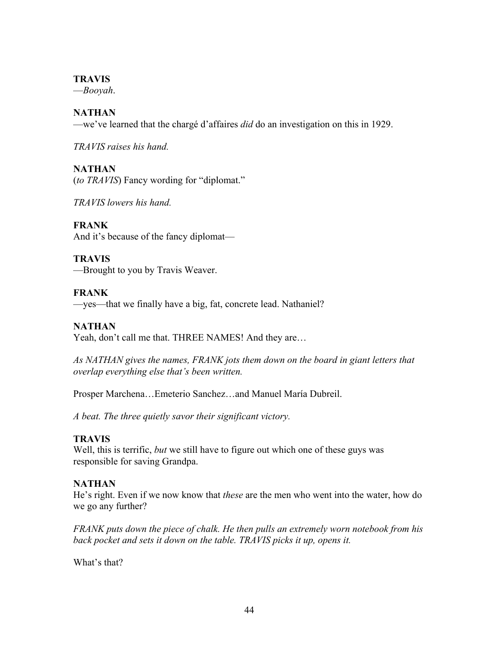### **TRAVIS**

—*Booyah*.

# **NATHAN**

—we've learned that the chargé d'affaires *did* do an investigation on this in 1929.

*TRAVIS raises his hand.*

# **NATHAN**

(*to TRAVIS*) Fancy wording for "diplomat."

*TRAVIS lowers his hand.* 

**FRANK** And it's because of the fancy diplomat—

**TRAVIS** —Brought to you by Travis Weaver.

**FRANK** —yes—that we finally have a big, fat, concrete lead. Nathaniel?

# **NATHAN**

Yeah, don't call me that. THREE NAMES! And they are...

As NATHAN gives the names, FRANK jots them down on the board in giant letters that *overlap everything else that's been written.* 

Prosper Marchena…Emeterio Sanchez…and Manuel María Dubreil.

*A beat. The three quietly savor their significant victory.*

# **TRAVIS**

Well, this is terrific, *but* we still have to figure out which one of these guys was responsible for saving Grandpa.

# **NATHAN**

He's right. Even if we now know that *these* are the men who went into the water, how do we go any further?

*FRANK puts down the piece of chalk. He then pulls an extremely worn notebook from his*  back pocket and sets it down on the table. TRAVIS picks it up, opens it.

What's that?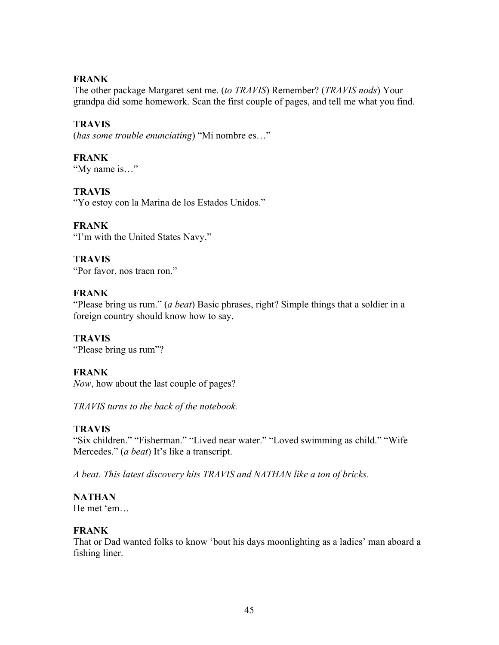# **FRANK**

The other package Margaret sent me. (*to TRAVIS*) Remember? (*TRAVIS nods*) Your grandpa did some homework. Scan the first couple of pages, and tell me what you find.

# **TRAVIS**

(*has some trouble enunciating*) "Mi nombre es…"

# **FRANK**

"My name is…"

# **TRAVIS**

"Yo estoy con la Marina de los Estados Unidos."

# **FRANK**

"I'm with the United States Navy."

# **TRAVIS**

"Por favor, nos traen ron."

# **FRANK**

"Please bring us rum." (*a beat*) Basic phrases, right? Simple things that a soldier in a foreign country should know how to say.

#### **TRAVIS** "Please bring us rum"?

# **FRANK**

*Now*, how about the last couple of pages?

*TRAVIS turns to the back of the notebook.* 

# **TRAVIS**

"Six children." "Fisherman." "Lived near water." "Loved swimming as child." "Wife— Mercedes." (*a beat*) It's like a transcript.

*A beat. This latest discovery hits TRAVIS and NATHAN like a ton of bricks.* 

# **NATHAN**

He met 'em…

# **FRANK**

That or Dad wanted folks to know 'bout his days moonlighting as a ladies' man aboard a fishing liner.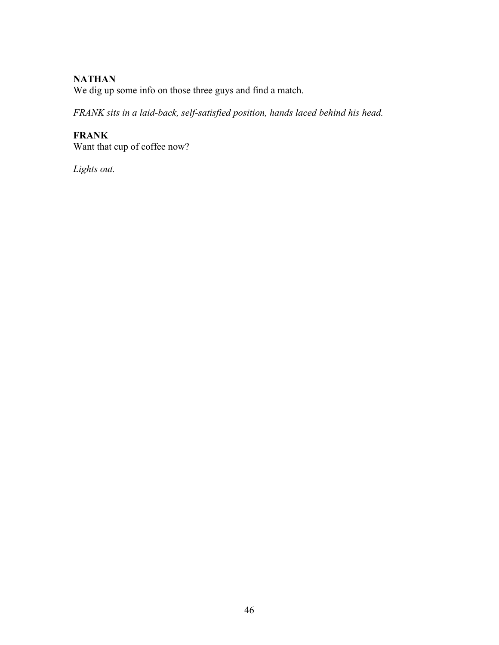# **NATHAN**

We dig up some info on those three guys and find a match.

*FRANK sits in a laid-back, self-satisfied position, hands laced behind his head.* 

# **FRANK**

Want that cup of coffee now?

*Lights out.*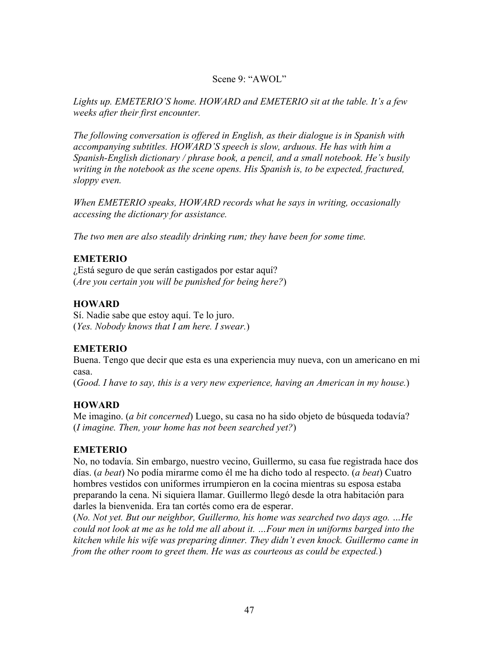### Scene 9: "AWOL"

*Lights up. EMETERIO'S home. HOWARD and EMETERIO sit at the table. It's a few weeks after their first encounter.*

*The following conversation is offered in English, as their dialogue is in Spanish with accompanying subtitles. HOWARD'S speech is slow, arduous. He has with him a Spanish-English dictionary / phrase book, a pencil, and a small notebook. He's busily*  writing in the notebook as the scene opens. His Spanish is, to be expected, fractured, *sloppy even.*

*When EMETERIO speaks, HOWARD records what he says in writing, occasionally accessing the dictionary for assistance.*

*The two men are also steadily drinking rum; they have been for some time.*

### **EMETERIO**

¿Está seguro de que serán castigados por estar aquí? (*Are you certain you will be punished for being here?*)

### **HOWARD**

Sí. Nadie sabe que estoy aquí. Te lo juro. (*Yes. Nobody knows that I am here. I swear.*)

# **EMETERIO**

Buena. Tengo que decir que esta es una experiencia muy nueva, con un americano en mi casa.

(*Good. I have to say, this is a very new experience, having an American in my house.*)

# **HOWARD**

Me imagino. (*a bit concerned*) Luego, su casa no ha sido objeto de búsqueda todavía? (*I imagine. Then, your home has not been searched yet?*)

# **EMETERIO**

No, no todavía. Sin embargo, nuestro vecino, Guillermo, su casa fue registrada hace dos días. (*a beat*) No podía mirarme como él me ha dicho todo al respecto. (*a beat*) Cuatro hombres vestidos con uniformes irrumpieron en la cocina mientras su esposa estaba preparando la cena. Ni siquiera llamar. Guillermo llegó desde la otra habitación para darles la bienvenida. Era tan cortés como era de esperar.

(*No. Not yet. But our neighbor, Guillermo, his home was searched two days ago. …He could not look at me as he told me all about it. …Four men in uniforms barged into the kitchen while his wife was preparing dinner. They didn't even knock. Guillermo came in from the other room to greet them. He was as courteous as could be expected.*)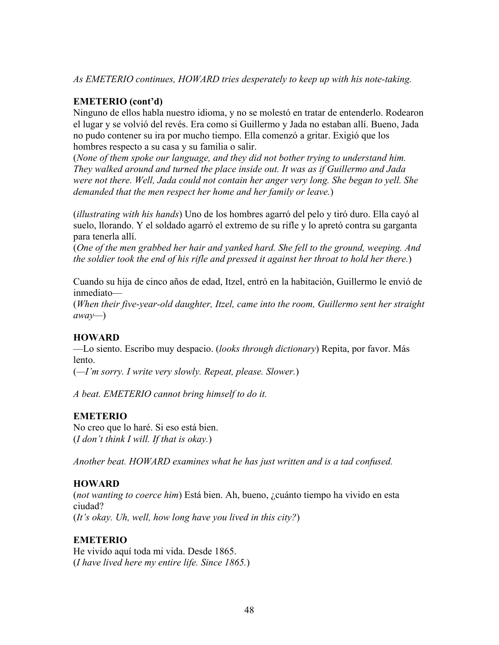*As EMETERIO continues, HOWARD tries desperately to keep up with his note-taking.* 

# **EMETERIO (cont'd)**

Ninguno de ellos habla nuestro idioma, y no se molestó en tratar de entenderlo. Rodearon el lugar y se volvió del revés. Era como si Guillermo y Jada no estaban allí. Bueno, Jada no pudo contener su ira por mucho tiempo. Ella comenzó a gritar. Exigió que los hombres respecto a su casa y su familia o salir.

(*None of them spoke our language, and they did not bother trying to understand him. They walked around and turned the place inside out. It was as if Guillermo and Jada were not there. Well, Jada could not contain her anger very long. She began to yell. She demanded that the men respect her home and her family or leave.*)

(*illustrating with his hands*) Uno de los hombres agarró del pelo y tiró duro. Ella cayó al suelo, llorando. Y el soldado agarró el extremo de su rifle y lo apretó contra su garganta para tenerla allí.

(*One of the men grabbed her hair and yanked hard. She fell to the ground, weeping. And the soldier took the end of his rifle and pressed it against her throat to hold her there.*)

Cuando su hija de cinco años de edad, Itzel, entró en la habitación, Guillermo le envió de inmediato—

(*When their five-year-old daughter, Itzel, came into the room, Guillermo sent her straight away—*)

# **HOWARD**

—Lo siento. Escribo muy despacio. (*looks through dictionary*) Repita, por favor. Más lento.

(*—I'm sorry. I write very slowly. Repeat, please. Slower.*)

*A beat. EMETERIO cannot bring himself to do it.* 

# **EMETERIO**

No creo que lo haré. Si eso está bien. (*I don't think I will. If that is okay.*)

*Another beat. HOWARD examines what he has just written and is a tad confused.* 

# **HOWARD**

(*not wanting to coerce him*) Está bien. Ah, bueno, ¿cuánto tiempo ha vivido en esta ciudad? (*It's okay. Uh, well, how long have you lived in this city?*)

# **EMETERIO**

He vivido aquí toda mi vida. Desde 1865. (*I have lived here my entire life. Since 1865.*)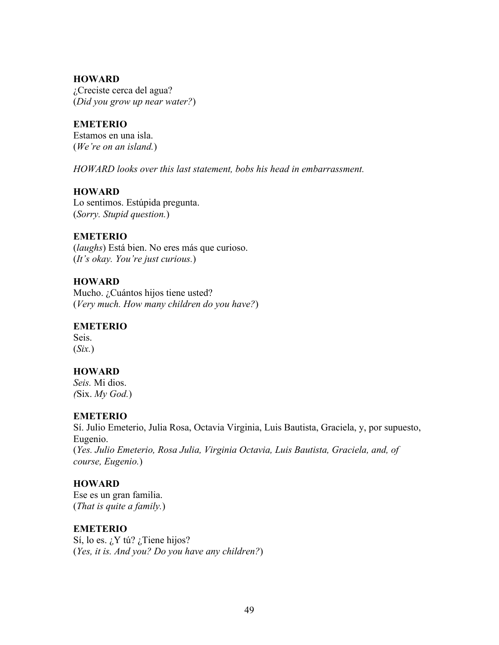¿Creciste cerca del agua? (*Did you grow up near water?*)

#### **EMETERIO**

Estamos en una isla. (*We're on an island.*)

*HOWARD looks over this last statement, bobs his head in embarrassment.* 

### **HOWARD**

Lo sentimos. Estúpida pregunta. (*Sorry. Stupid question.*)

# **EMETERIO**

(*laughs*) Está bien. No eres más que curioso. (*It's okay. You're just curious.*)

# **HOWARD**

Mucho. ¿Cuántos hijos tiene usted? (*Very much. How many children do you have?*)

#### **EMETERIO**

Seis. (*Six.*)

# **HOWARD**

*Seis.* Mi dios. *(*Six. *My God.*)

# **EMETERIO**

Sí. Julio Emeterio, Julia Rosa, Octavia Virginia, Luis Bautista, Graciela, y, por supuesto, Eugenio. (*Yes. Julio Emeterio, Rosa Julia, Virginia Octavia, Luis Bautista, Graciela, and, of course, Eugenio.*)

# **HOWARD**

Ese es un gran familia. (*That is quite a family.*)

#### **EMETERIO**

Sí, lo es.  $i$ Y tú?  $i$ Tiene hijos? (*Yes, it is. And you? Do you have any children?*)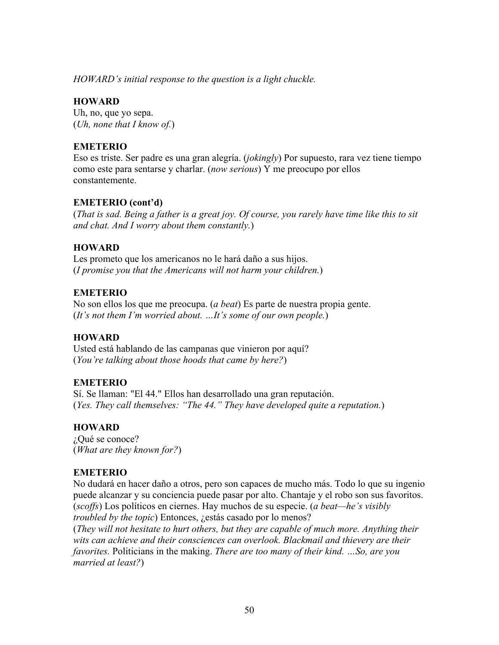*HOWARD's initial response to the question is a light chuckle.* 

### **HOWARD**

Uh, no, que yo sepa. (*Uh, none that I know of.*)

### **EMETERIO**

Eso es triste. Ser padre es una gran alegría. (*jokingly*) Por supuesto, rara vez tiene tiempo como este para sentarse y charlar. (*now serious*) Y me preocupo por ellos constantemente.

#### **EMETERIO (cont'd)**

(*That is sad. Being a father is a great joy. Of course, you rarely have time like this to sit and chat. And I worry about them constantly.*)

#### **HOWARD**

Les prometo que los americanos no le hará daño a sus hijos. (*I promise you that the Americans will not harm your children.*)

### **EMETERIO**

No son ellos los que me preocupa. (*a beat*) Es parte de nuestra propia gente. (*It's not them I'm worried about. …It's some of our own people.*)

#### **HOWARD**

Usted está hablando de las campanas que vinieron por aquí? (*You're talking about those hoods that came by here?*)

#### **EMETERIO**

Sí. Se llaman: "El 44." Ellos han desarrollado una gran reputación. (*Yes. They call themselves: "The 44." They have developed quite a reputation.*)

# **HOWARD**

¿Qué se conoce? (*What are they known for?*)

#### **EMETERIO**

No dudará en hacer daño a otros, pero son capaces de mucho más. Todo lo que su ingenio puede alcanzar y su conciencia puede pasar por alto. Chantaje y el robo son sus favoritos. (*scoffs*) Los políticos en ciernes. Hay muchos de su especie. (*a beat—he's visibly troubled by the topic*) Entonces, ¿estás casado por lo menos?

(*They will not hesitate to hurt others, but they are capable of much more. Anything their wits can achieve and their consciences can overlook. Blackmail and thievery are their favorites.* Politicians in the making. *There are too many of their kind. …So, are you married at least?*)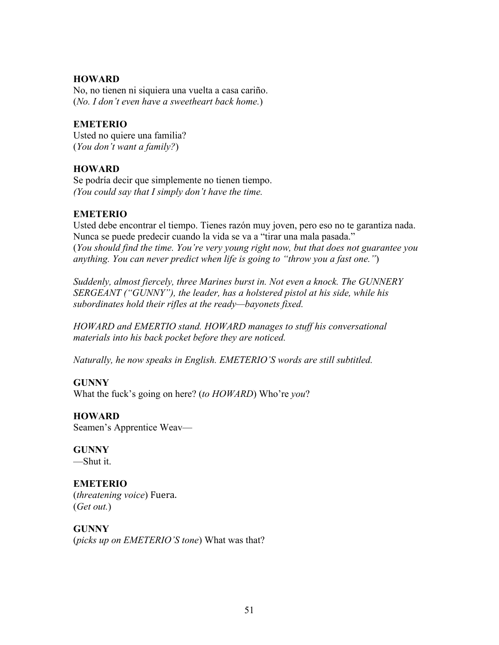No, no tienen ni siquiera una vuelta a casa cariño. (*No. I don't even have a sweetheart back home.*)

#### **EMETERIO**

Usted no quiere una familia? (*You don't want a family?*)

### **HOWARD**

Se podría decir que simplemente no tienen tiempo. *(You could say that I simply don't have the time.* 

# **EMETERIO**

Usted debe encontrar el tiempo. Tienes razón muy joven, pero eso no te garantiza nada. Nunca se puede predecir cuando la vida se va a "tirar una mala pasada." (*You should find the time. You're very young right now, but that does not guarantee you anything. You can never predict when life is going to "throw you a fast one."*)

*Suddenly, almost fiercely, three Marines burst in. Not even a knock. The GUNNERY SERGEANT ("GUNNY"), the leader, has a holstered pistol at his side, while his subordinates hold their rifles at the ready—bayonets fixed.*

*HOWARD and EMERTIO stand. HOWARD manages to stuff his conversational materials into his back pocket before they are noticed.* 

*Naturally, he now speaks in English. EMETERIO'S words are still subtitled.* 

# **GUNNY**

What the fuck's going on here? (*to HOWARD*) Who're *you*?

# **HOWARD**

Seamen's Apprentice Weav—

**GUNNY** —Shut it.

### **EMETERIO** (*threatening voice*) Fuera. (*Get out.*)

**GUNNY** (*picks up on EMETERIO'S tone*) What was that?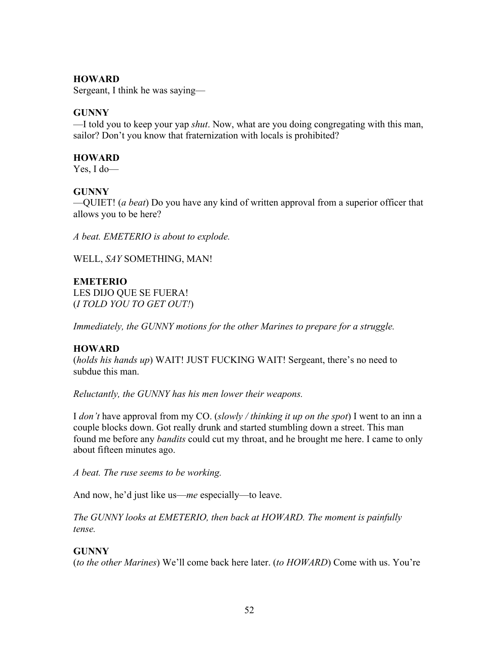Sergeant, I think he was saying—

#### **GUNNY**

—I told you to keep your yap *shut*. Now, what are you doing congregating with this man, sailor? Don't you know that fraternization with locals is prohibited?

#### **HOWARD**

Yes, I do—

### **GUNNY**

—QUIET! (*a beat*) Do you have any kind of written approval from a superior officer that allows you to be here?

*A beat. EMETERIO is about to explode.* 

WELL, *SAY* SOMETHING, MAN!

**EMETERIO** LES DIJO QUE SE FUERA! (*I TOLD YOU TO GET OUT!*)

*Immediately, the GUNNY motions for the other Marines to prepare for a struggle.* 

# **HOWARD**

(*holds his hands up*) WAIT! JUST FUCKING WAIT! Sergeant, there's no need to subdue this man

*Reluctantly, the GUNNY has his men lower their weapons.* 

I *don't* have approval from my CO. (*slowly / thinking it up on the spot*) I went to an inn a couple blocks down. Got really drunk and started stumbling down a street. This man found me before any *bandits* could cut my throat, and he brought me here. I came to only about fifteen minutes ago.

*A beat. The ruse seems to be working.*

And now, he'd just like us—*me* especially—to leave.

*The GUNNY looks at EMETERIO, then back at HOWARD. The moment is painfully tense.*

# **GUNNY**

(*to the other Marines*) We'll come back here later. (*to HOWARD*) Come with us. You're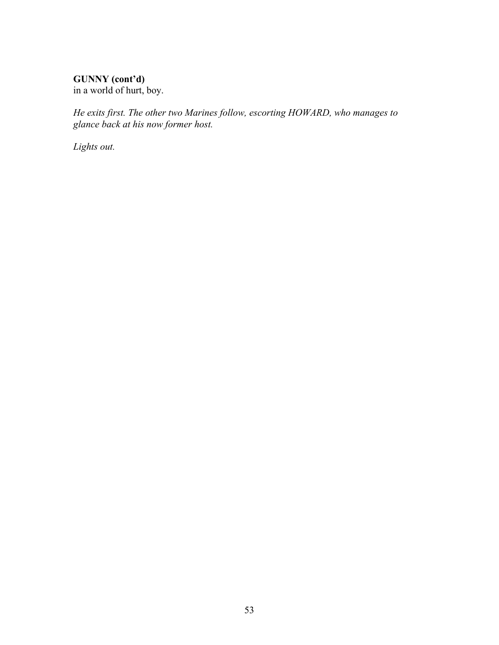# **GUNNY (cont'd)**

in a world of hurt, boy.

*He exits first. The other two Marines follow, escorting HOWARD, who manages to glance back at his now former host.* 

*Lights out.*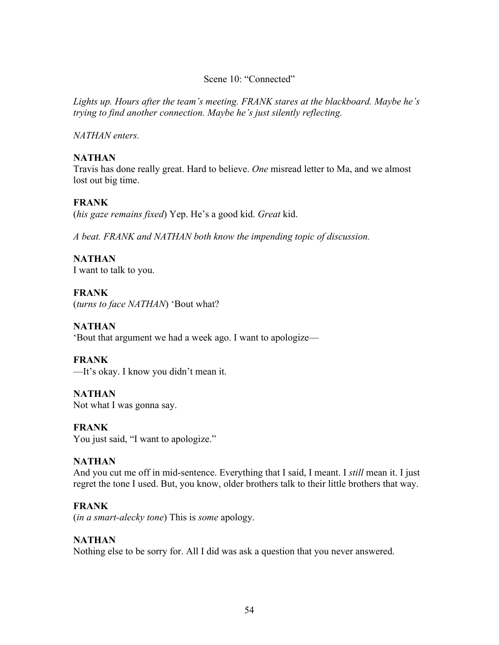#### Scene 10: "Connected"

*Lights up. Hours after the team's meeting. FRANK stares at the blackboard. Maybe he's trying to find another connection. Maybe he's just silently reflecting.* 

*NATHAN enters.* 

# **NATHAN**

Travis has done really great. Hard to believe. *One* misread letter to Ma, and we almost lost out big time.

# **FRANK**

(*his gaze remains fixed*) Yep. He's a good kid. *Great* kid.

*A beat. FRANK and NATHAN both know the impending topic of discussion.* 

# **NATHAN**

I want to talk to you.

# **FRANK**

(*turns to face NATHAN*) 'Bout what?

# **NATHAN**

'Bout that argument we had a week ago. I want to apologize—

# **FRANK**

—It's okay. I know you didn't mean it.

# **NATHAN**

Not what I was gonna say.

# **FRANK**

You just said, "I want to apologize."

# **NATHAN**

And you cut me off in mid-sentence. Everything that I said, I meant. I *still* mean it. I just regret the tone I used. But, you know, older brothers talk to their little brothers that way.

# **FRANK**

(*in a smart-alecky tone*) This is *some* apology.

# **NATHAN**

Nothing else to be sorry for. All I did was ask a question that you never answered.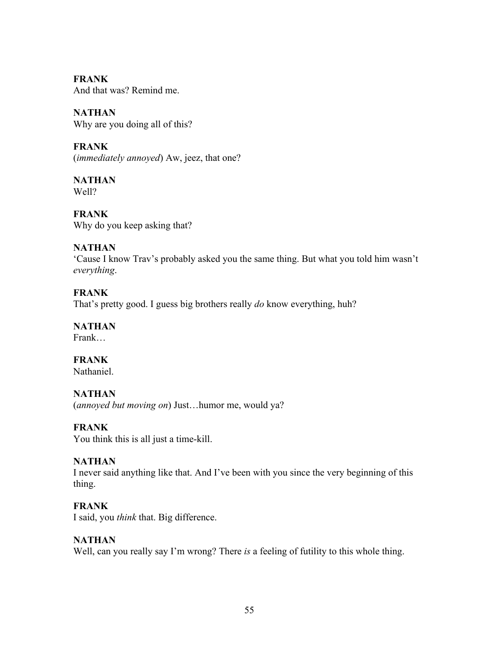**FRANK** And that was? Remind me.

**NATHAN**  Why are you doing all of this?

**FRANK** (*immediately annoyed*) Aw, jeez, that one?

**NATHAN** Well?

**FRANK** Why do you keep asking that?

# **NATHAN**

'Cause I know Trav's probably asked you the same thing. But what you told him wasn't *everything*.

# **FRANK**

That's pretty good. I guess big brothers really *do* know everything, huh?

# **NATHAN**

Frank…

# **FRANK**

Nathaniel.

# **NATHAN**

(*annoyed but moving on*) Just…humor me, would ya?

# **FRANK**

You think this is all just a time-kill.

# **NATHAN**

I never said anything like that. And I've been with you since the very beginning of this thing.

# **FRANK**

I said, you *think* that. Big difference.

# **NATHAN**

Well, can you really say I'm wrong? There *is* a feeling of futility to this whole thing.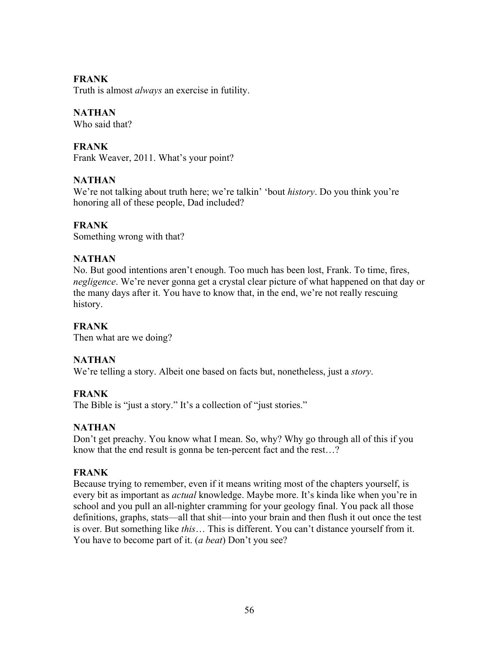# **FRANK**

Truth is almost *always* an exercise in futility.

# **NATHAN**

Who said that?

# **FRANK**

Frank Weaver, 2011. What's your point?

# **NATHAN**

We're not talking about truth here; we're talkin' 'bout *history*. Do you think you're honoring all of these people, Dad included?

# **FRANK**

Something wrong with that?

# **NATHAN**

No. But good intentions aren't enough. Too much has been lost, Frank. To time, fires, *negligence*. We're never gonna get a crystal clear picture of what happened on that day or the many days after it. You have to know that, in the end, we're not really rescuing history.

# **FRANK**

Then what are we doing?

# **NATHAN**

We're telling a story. Albeit one based on facts but, nonetheless, just a *story*.

# **FRANK**

The Bible is "just a story." It's a collection of "just stories."

# **NATHAN**

Don't get preachy. You know what I mean. So, why? Why go through all of this if you know that the end result is gonna be ten-percent fact and the rest…?

# **FRANK**

Because trying to remember, even if it means writing most of the chapters yourself, is every bit as important as *actual* knowledge. Maybe more. It's kinda like when you're in school and you pull an all-nighter cramming for your geology final. You pack all those definitions, graphs, stats—all that shit—into your brain and then flush it out once the test is over. But something like *this*… This is different. You can't distance yourself from it. You have to become part of it. (*a beat*) Don't you see?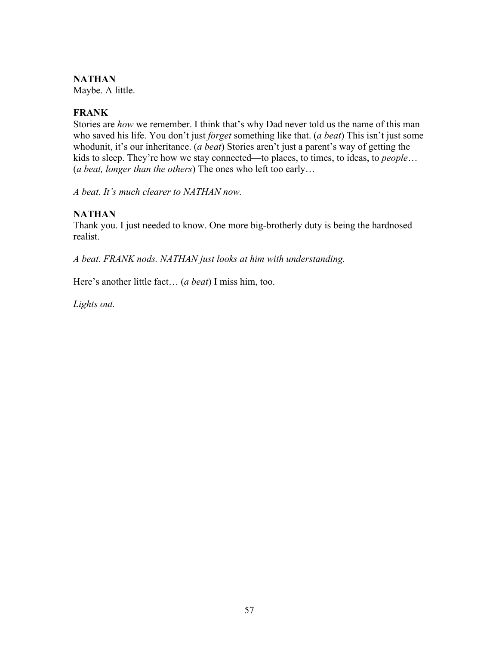# **NATHAN**

Maybe. A little.

### **FRANK**

Stories are *how* we remember. I think that's why Dad never told us the name of this man who saved his life. You don't just *forget* something like that. (*a beat*) This isn't just some whodunit, it's our inheritance. (*a beat*) Stories aren't just a parent's way of getting the kids to sleep. They're how we stay connected—to places, to times, to ideas, to *people*… (*a beat, longer than the others*) The ones who left too early…

*A beat. It's much clearer to NATHAN now.* 

# **NATHAN**

Thank you. I just needed to know. One more big-brotherly duty is being the hardnosed realist.

*A beat. FRANK nods. NATHAN just looks at him with understanding.* 

Here's another little fact… (*a beat*) I miss him, too.

*Lights out.*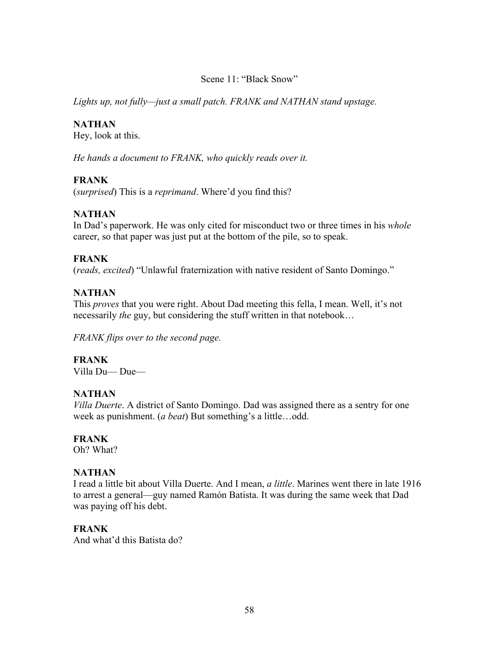### Scene 11: "Black Snow"

*Lights up, not fully—just a small patch. FRANK and NATHAN stand upstage.*

### **NATHAN**

Hey, look at this.

*He hands a document to FRANK, who quickly reads over it.* 

# **FRANK**

(*surprised*) This is a *reprimand*. Where'd you find this?

# **NATHAN**

In Dad's paperwork. He was only cited for misconduct two or three times in his *whole* career, so that paper was just put at the bottom of the pile, so to speak.

# **FRANK**

(*reads, excited*) "Unlawful fraternization with native resident of Santo Domingo."

# **NATHAN**

This *proves* that you were right. About Dad meeting this fella, I mean. Well, it's not necessarily *the* guy, but considering the stuff written in that notebook…

*FRANK flips over to the second page.*

# **FRANK**

Villa Du— Due—

# **NATHAN**

*Villa Duerte*. A district of Santo Domingo. Dad was assigned there as a sentry for one week as punishment. (*a beat*) But something's a little…odd.

# **FRANK**

Oh? What?

# **NATHAN**

I read a little bit about Villa Duerte. And I mean, *a little*. Marines went there in late 1916 to arrest a general—guy named Ramón Batista. It was during the same week that Dad was paying off his debt.

# **FRANK**

And what'd this Batista do?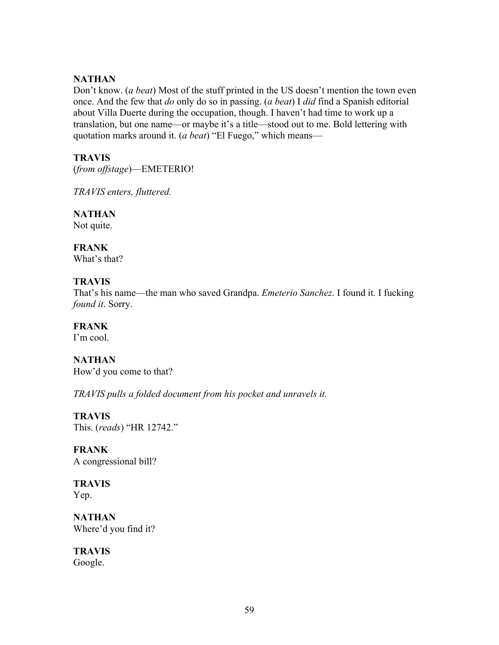### **NATHAN**

Don't know. (*a beat*) Most of the stuff printed in the US doesn't mention the town even once. And the few that *do* only do so in passing. (*a beat*) I *did* find a Spanish editorial about Villa Duerte during the occupation, though. I haven't had time to work up a translation, but one name—or maybe it's a title—stood out to me. Bold lettering with quotation marks around it. (*a beat*) "El Fuego," which means—

### **TRAVIS**

(*from offstage*)—EMETERIO!

*TRAVIS enters, fluttered.* 

**NATHAN** Not quite.

**FRANK**

What's that?

### **TRAVIS**

That's his name—the man who saved Grandpa. *Emeterio Sanchez*. I found it. I fucking *found it*. Sorry.

**FRANK** I'm cool.

**NATHAN**  How'd you come to that?

*TRAVIS pulls a folded document from his pocket and unravels it.*

**TRAVIS** This. (*reads*) "HR 12742."

**FRANK** A congressional bill?

**TRAVIS** Yep.

**NATHAN** Where'd you find it?

**TRAVIS** Google.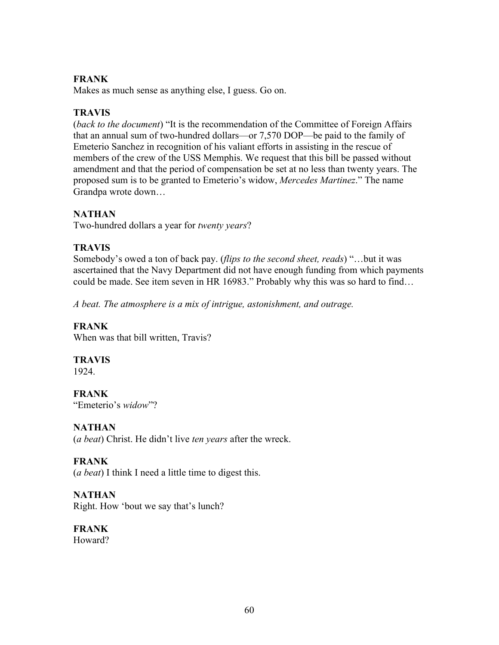# **FRANK**

Makes as much sense as anything else, I guess. Go on.

# **TRAVIS**

(*back to the document*) "It is the recommendation of the Committee of Foreign Affairs that an annual sum of two-hundred dollars—or 7,570 DOP—be paid to the family of Emeterio Sanchez in recognition of his valiant efforts in assisting in the rescue of members of the crew of the USS Memphis. We request that this bill be passed without amendment and that the period of compensation be set at no less than twenty years. The proposed sum is to be granted to Emeterio's widow, *Mercedes Martinez*." The name Grandpa wrote down…

# **NATHAN**

Two-hundred dollars a year for *twenty years*?

# **TRAVIS**

Somebody's owed a ton of back pay. (*flips to the second sheet, reads*) "…but it was ascertained that the Navy Department did not have enough funding from which payments could be made. See item seven in HR 16983." Probably why this was so hard to find…

*A beat. The atmosphere is a mix of intrigue, astonishment, and outrage.*

# **FRANK**

When was that bill written, Travis?

# **TRAVIS**

1924.

**FRANK** "Emeterio's *widow*"?

# **NATHAN**

(*a beat*) Christ. He didn't live *ten years* after the wreck.

# **FRANK**

(*a beat*) I think I need a little time to digest this.

# **NATHAN**

Right. How 'bout we say that's lunch?

**FRANK** Howard?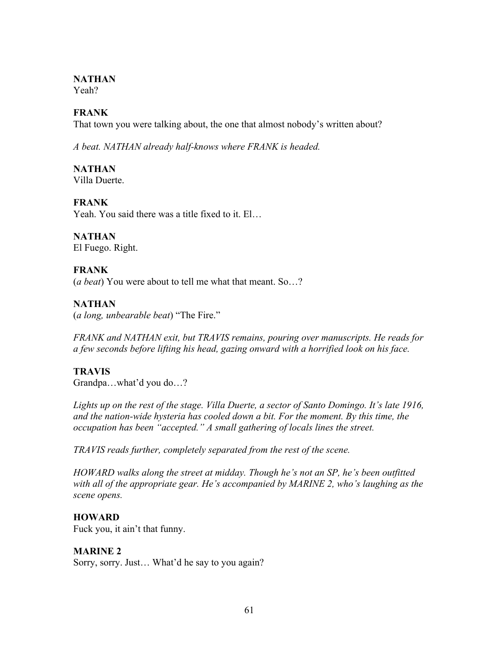# **NATHAN**

Yeah?

# **FRANK**

That town you were talking about, the one that almost nobody's written about?

*A beat. NATHAN already half-knows where FRANK is headed.*

**NATHAN** Villa Duerte.

**FRANK** Yeah. You said there was a title fixed to it. El…

#### **NATHAN** El Fuego. Right.

# **FRANK**

(*a beat*) You were about to tell me what that meant. So…?

# **NATHAN**

(*a long, unbearable beat*) "The Fire."

*FRANK and NATHAN exit, but TRAVIS remains, pouring over manuscripts. He reads for a few seconds before lifting his head, gazing onward with a horrified look on his face.*

# **TRAVIS**

Grandpa…what'd you do…?

*Lights up on the rest of the stage. Villa Duerte, a sector of Santo Domingo. It's late 1916, and the nation-wide hysteria has cooled down a bit. For the moment. By this time, the occupation has been "accepted." A small gathering of locals lines the street.*

*TRAVIS reads further, completely separated from the rest of the scene.* 

*HOWARD walks along the street at midday. Though he's not an SP, he's been outfitted with all of the appropriate gear. He's accompanied by MARINE 2, who's laughing as the scene opens.*

# **HOWARD**

Fuck you, it ain't that funny.

# **MARINE 2**

Sorry, sorry. Just… What'd he say to you again?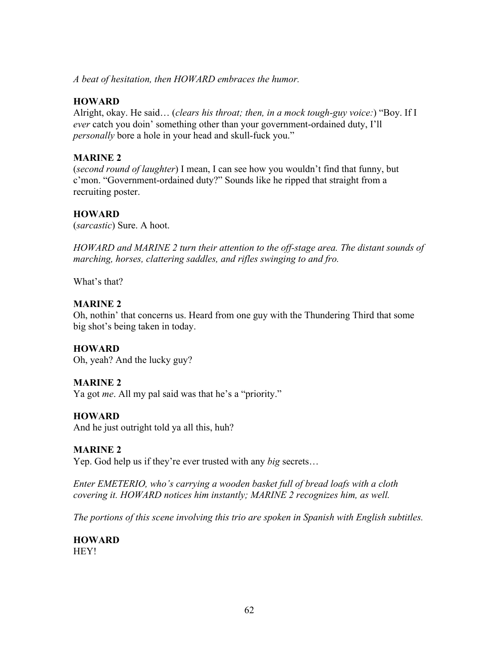*A beat of hesitation, then HOWARD embraces the humor.*

### **HOWARD**

Alright, okay. He said… (*clears his throat; then, in a mock tough-guy voice:*) "Boy. If I *ever* catch you doin' something other than your government-ordained duty, I'll *personally* bore a hole in your head and skull-fuck you."

# **MARINE 2**

(*second round of laughter*) I mean, I can see how you wouldn't find that funny, but c'mon. "Government-ordained duty?" Sounds like he ripped that straight from a recruiting poster.

### **HOWARD**

(*sarcastic*) Sure. A hoot.

*HOWARD and MARINE 2 turn their attention to the off-stage area. The distant sounds of marching, horses, clattering saddles, and rifles swinging to and fro.*

What's that?

#### **MARINE 2**

Oh, nothin' that concerns us. Heard from one guy with the Thundering Third that some big shot's being taken in today.

# **HOWARD**

Oh, yeah? And the lucky guy?

#### **MARINE 2**

Ya got *me*. All my pal said was that he's a "priority."

# **HOWARD**

And he just outright told ya all this, huh?

#### **MARINE 2**

Yep. God help us if they're ever trusted with any *big* secrets…

*Enter EMETERIO, who's carrying a wooden basket full of bread loafs with a cloth covering it. HOWARD notices him instantly; MARINE 2 recognizes him, as well.* 

*The portions of this scene involving this trio are spoken in Spanish with English subtitles.* 

**HOWARD HEY!**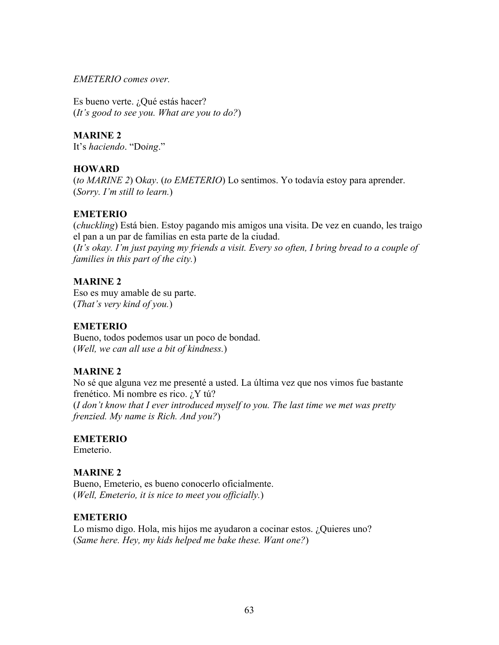*EMETERIO comes over.*

Es bueno verte. ¿Qué estás hacer? (*It's good to see you. What are you to do?*)

**MARINE 2**

It's *haciendo*. "Do*ing*."

# **HOWARD**

(*to MARINE 2*) O*kay*. (*to EMETERIO*) Lo sentimos. Yo todavía estoy para aprender. (*Sorry. I'm still to learn.*)

### **EMETERIO**

(*chuckling*) Está bien. Estoy pagando mis amigos una visita. De vez en cuando, les traigo el pan a un par de familias en esta parte de la ciudad.

(*It's okay. I'm just paying my friends a visit. Every so often, I bring bread to a couple of families in this part of the city.*)

# **MARINE 2**

Eso es muy amable de su parte. (*That's very kind of you.*)

# **EMETERIO**

Bueno, todos podemos usar un poco de bondad. (*Well, we can all use a bit of kindness.*)

# **MARINE 2**

No sé que alguna vez me presenté a usted. La última vez que nos vimos fue bastante frenético. Mi nombre es rico. ¿Y tú? (*I don't know that I ever introduced myself to you. The last time we met was pretty frenzied. My name is Rich. And you?*)

#### **EMETERIO**

Emeterio.

# **MARINE 2**

Bueno, Emeterio, es bueno conocerlo oficialmente. (*Well, Emeterio, it is nice to meet you officially.*)

# **EMETERIO**

Lo mismo digo. Hola, mis hijos me ayudaron a cocinar estos. ¿Quieres uno? (*Same here. Hey, my kids helped me bake these. Want one?*)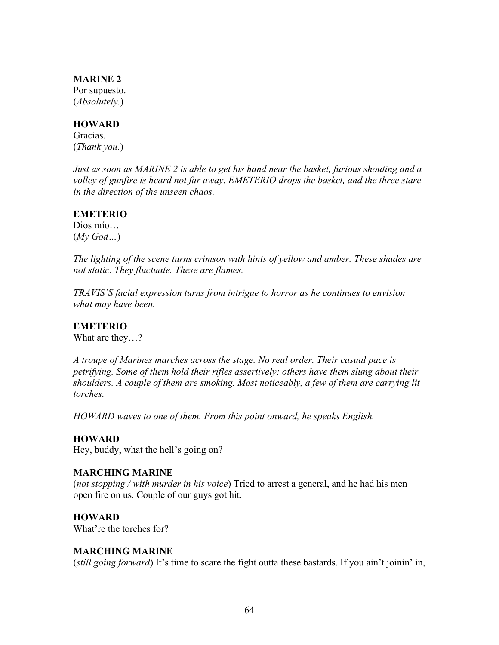#### **MARINE 2**

Por supuesto. (*Absolutely.*)

#### **HOWARD**

Gracias. (*Thank you.*)

*Just as soon as MARINE 2 is able to get his hand near the basket, furious shouting and a volley of gunfire is heard not far away. EMETERIO drops the basket, and the three stare in the direction of the unseen chaos.*

### **EMETERIO**

Dios mío… (*My God…*)

*The lighting of the scene turns crimson with hints of yellow and amber. These shades are not static. They fluctuate. These are flames.* 

*TRAVIS'S facial expression turns from intrigue to horror as he continues to envision what may have been.* 

# **EMETERIO**

What are they…?

*A troupe of Marines marches across the stage. No real order. Their casual pace is petrifying. Some of them hold their rifles assertively; others have them slung about their shoulders. A couple of them are smoking. Most noticeably, a few of them are carrying lit torches.*

*HOWARD waves to one of them. From this point onward, he speaks English.* 

# **HOWARD**

Hey, buddy, what the hell's going on?

#### **MARCHING MARINE**

(*not stopping / with murder in his voice*) Tried to arrest a general, and he had his men open fire on us. Couple of our guys got hit.

# **HOWARD**

What're the torches for?

# **MARCHING MARINE**

(*still going forward*) It's time to scare the fight outta these bastards. If you ain't joinin' in,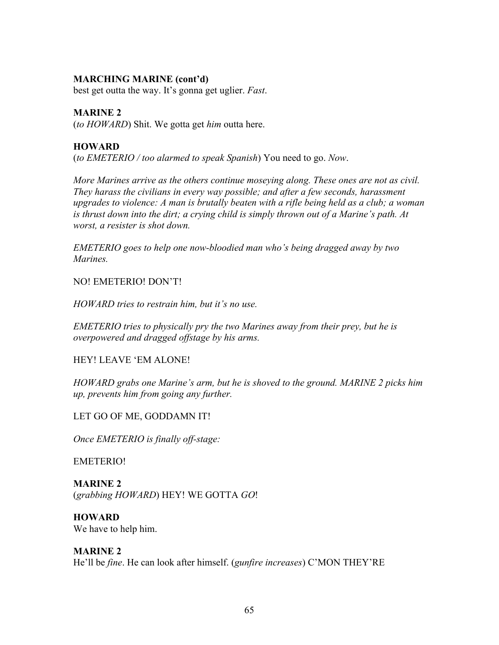### **MARCHING MARINE (cont'd)**

best get outta the way. It's gonna get uglier. *Fast*.

### **MARINE 2**

(*to HOWARD*) Shit. We gotta get *him* outta here.

### **HOWARD**

(*to EMETERIO / too alarmed to speak Spanish*) You need to go. *Now*.

*More Marines arrive as the others continue moseying along. These ones are not as civil. They harass the civilians in every way possible; and after a few seconds, harassment upgrades to violence: A man is brutally beaten with a rifle being held as a club; a woman is thrust down into the dirt; a crying child is simply thrown out of a Marine's path. At worst, a resister is shot down.* 

*EMETERIO goes to help one now-bloodied man who's being dragged away by two Marines.* 

NO! EMETERIO! DON'T!

*HOWARD tries to restrain him, but it's no use.* 

*EMETERIO tries to physically pry the two Marines away from their prey, but he is overpowered and dragged offstage by his arms.* 

HEY! LEAVE 'EM ALONE!

*HOWARD grabs one Marine's arm, but he is shoved to the ground. MARINE 2 picks him up, prevents him from going any further.* 

LET GO OF ME, GODDAMN IT!

*Once EMETERIO is finally off-stage:*

EMETERIO!

**MARINE 2** (*grabbing HOWARD*) HEY! WE GOTTA *GO*!

**HOWARD** We have to help him.

## **MARINE 2**

He'll be *fine*. He can look after himself. (*gunfire increases*) C'MON THEY'RE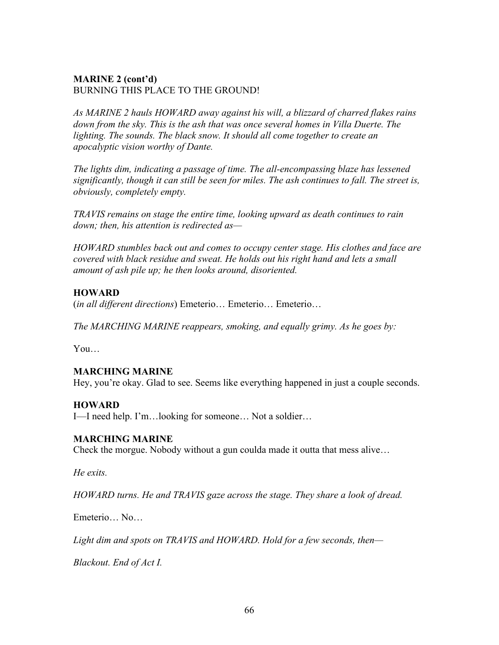## **MARINE 2 (cont'd)** BURNING THIS PLACE TO THE GROUND!

*As MARINE 2 hauls HOWARD away against his will, a blizzard of charred flakes rains*  down from the sky. This is the ash that was once several homes in Villa Duerte. The *lighting. The sounds. The black snow. It should all come together to create an apocalyptic vision worthy of Dante.* 

*The lights dim, indicating a passage of time. The all-encompassing blaze has lessened significantly, though it can still be seen for miles. The ash continues to fall. The street is, obviously, completely empty.* 

*TRAVIS remains on stage the entire time, looking upward as death continues to rain down; then, his attention is redirected as—*

*HOWARD stumbles back out and comes to occupy center stage. His clothes and face are covered with black residue and sweat. He holds out his right hand and lets a small amount of ash pile up; he then looks around, disoriented.*

## **HOWARD**

(*in all different directions*) Emeterio… Emeterio… Emeterio…

*The MARCHING MARINE reappears, smoking, and equally grimy. As he goes by:*

You…

## **MARCHING MARINE**

Hey, you're okay. Glad to see. Seems like everything happened in just a couple seconds.

## **HOWARD**

I—I need help. I'm…looking for someone… Not a soldier…

## **MARCHING MARINE**

Check the morgue. Nobody without a gun coulda made it outta that mess alive…

*He exits.* 

*HOWARD turns. He and TRAVIS gaze across the stage. They share a look of dread.*

Emeterio… No…

*Light dim and spots on TRAVIS and HOWARD. Hold for a few seconds, then—*

*Blackout. End of Act I.*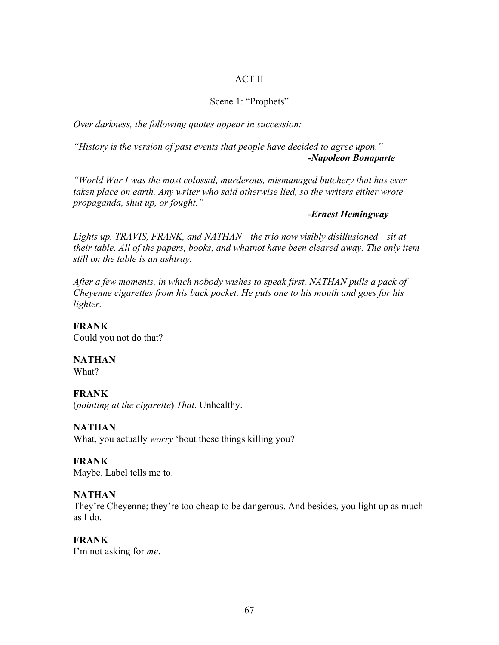#### ACT II

#### Scene 1: "Prophets"

*Over darkness, the following quotes appear in succession:*

*"History is the version of past events that people have decided to agree upon." -Napoleon Bonaparte* 

*"World War I was the most colossal, murderous, mismanaged butchery that has ever taken place on earth. Any writer who said otherwise lied, so the writers either wrote propaganda, shut up, or fought."*

#### *-Ernest Hemingway*

*Lights up. TRAVIS, FRANK, and NATHAN—the trio now visibly disillusioned—sit at their table. All of the papers, books, and whatnot have been cleared away. The only item still on the table is an ashtray.*

*After a few moments, in which nobody wishes to speak first, NATHAN pulls a pack of Cheyenne cigarettes from his back pocket. He puts one to his mouth and goes for his lighter.* 

**FRANK** Could you not do that?

**NATHAN** What?

#### **FRANK**

(*pointing at the cigarette*) *That*. Unhealthy.

#### **NATHAN**

What, you actually *worry* 'bout these things killing you?

### **FRANK**

Maybe. Label tells me to.

#### **NATHAN**

They're Cheyenne; they're too cheap to be dangerous. And besides, you light up as much as I do.

#### **FRANK**

I'm not asking for *me*.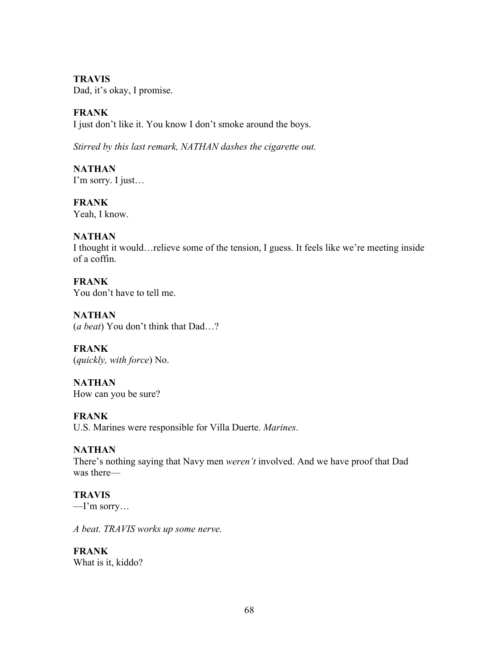## **TRAVIS**

Dad, it's okay, I promise.

## **FRANK**

I just don't like it. You know I don't smoke around the boys.

*Stirred by this last remark, NATHAN dashes the cigarette out.*

**NATHAN** I'm sorry. I just…

**FRANK** Yeah, I know.

## **NATHAN**

I thought it would…relieve some of the tension, I guess. It feels like we're meeting inside of a coffin.

**FRANK** You don't have to tell me.

**NATHAN** (*a beat*) You don't think that Dad…?

**FRANK** (*quickly, with force*) No.

**NATHAN** How can you be sure?

**FRANK** U.S. Marines were responsible for Villa Duerte. *Marines*.

## **NATHAN**

There's nothing saying that Navy men *weren't* involved. And we have proof that Dad was there—

## **TRAVIS**

 $-I'm$  sorry...

*A beat. TRAVIS works up some nerve.* 

# **FRANK**

What is it, kiddo?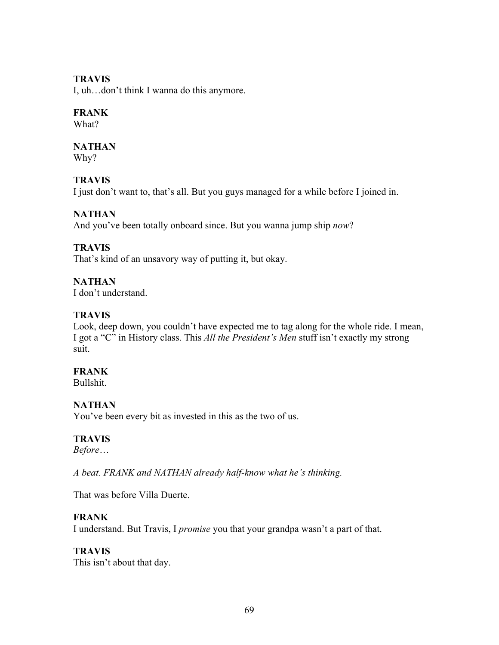### **TRAVIS**

I, uh…don't think I wanna do this anymore.

### **FRANK**

What?

### **NATHAN**

Why?

## **TRAVIS**

I just don't want to, that's all. But you guys managed for a while before I joined in.

## **NATHAN**

And you've been totally onboard since. But you wanna jump ship *now*?

## **TRAVIS**

That's kind of an unsavory way of putting it, but okay.

## **NATHAN**

I don't understand.

## **TRAVIS**

Look, deep down, you couldn't have expected me to tag along for the whole ride. I mean, I got a "C" in History class. This *All the President's Men* stuff isn't exactly my strong suit.

## **FRANK**

Bullshit.

## **NATHAN**

You've been every bit as invested in this as the two of us.

## **TRAVIS**

*Before*…

*A beat. FRANK and NATHAN already half-know what he's thinking.*

That was before Villa Duerte.

## **FRANK**

I understand. But Travis, I *promise* you that your grandpa wasn't a part of that.

## **TRAVIS**

This isn't about that day.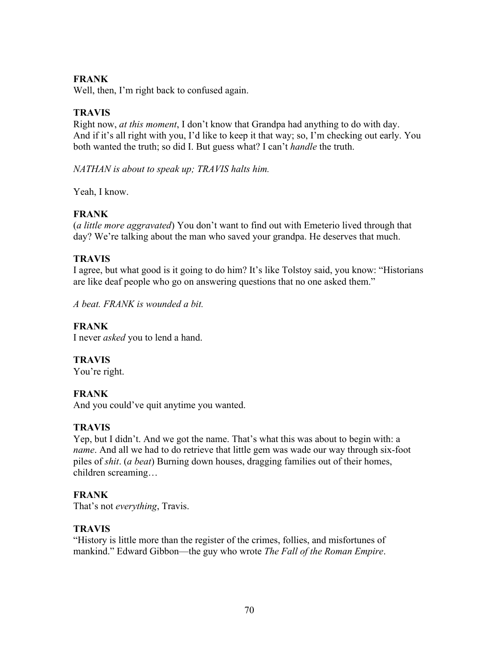## **FRANK**

Well, then, I'm right back to confused again.

## **TRAVIS**

Right now, *at this moment*, I don't know that Grandpa had anything to do with day. And if it's all right with you, I'd like to keep it that way; so, I'm checking out early. You both wanted the truth; so did I. But guess what? I can't *handle* the truth.

*NATHAN is about to speak up; TRAVIS halts him.* 

Yeah, I know.

## **FRANK**

(*a little more aggravated*) You don't want to find out with Emeterio lived through that day? We're talking about the man who saved your grandpa. He deserves that much.

## **TRAVIS**

I agree, but what good is it going to do him? It's like Tolstoy said, you know: "Historians are like deaf people who go on answering questions that no one asked them."

*A beat. FRANK is wounded a bit.*

## **FRANK**

I never *asked* you to lend a hand.

**TRAVIS**

You're right.

## **FRANK**

And you could've quit anytime you wanted.

## **TRAVIS**

Yep, but I didn't. And we got the name. That's what this was about to begin with: a *name*. And all we had to do retrieve that little gem was wade our way through six-foot piles of *shit*. (*a beat*) Burning down houses, dragging families out of their homes, children screaming…

## **FRANK**

That's not *everything*, Travis.

## **TRAVIS**

"History is little more than the register of the crimes, follies, and misfortunes of mankind." Edward Gibbon—the guy who wrote *The Fall of the Roman Empire*.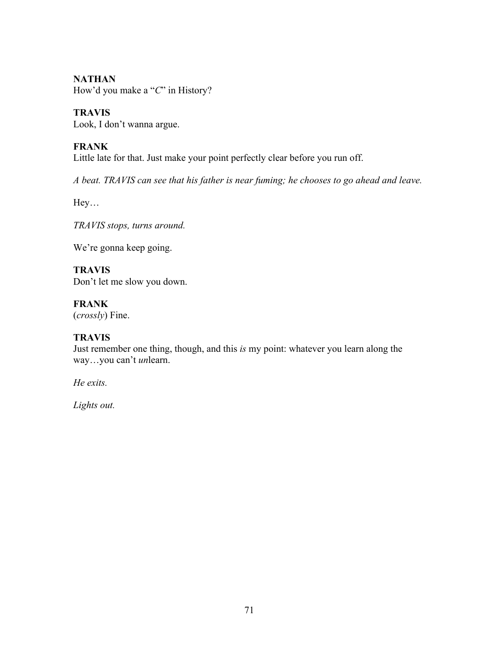**NATHAN**

How'd you make a "*C*" in History?

**TRAVIS**

Look, I don't wanna argue.

## **FRANK**

Little late for that. Just make your point perfectly clear before you run off.

*A beat. TRAVIS can see that his father is near fuming; he chooses to go ahead and leave.*

Hey…

*TRAVIS stops, turns around.*

We're gonna keep going.

**TRAVIS** Don't let me slow you down.

**FRANK** (*crossly*) Fine.

## **TRAVIS**

Just remember one thing, though, and this *is* my point: whatever you learn along the way…you can't *un*learn.

*He exits.*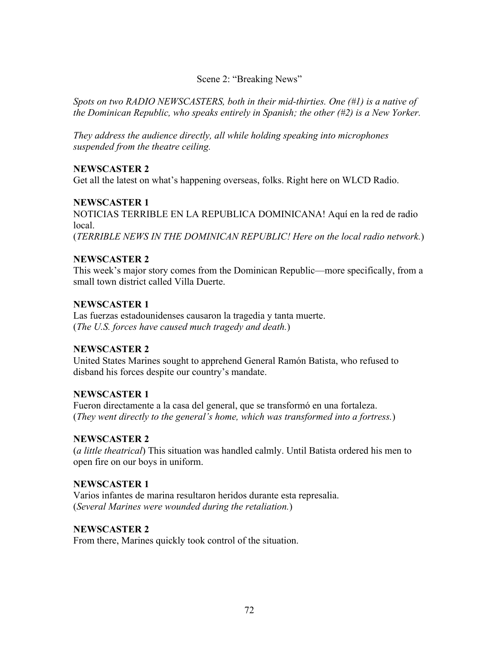### Scene 2: "Breaking News"

*Spots on two RADIO NEWSCASTERS, both in their mid-thirties. One (#1) is a native of the Dominican Republic, who speaks entirely in Spanish; the other (#2) is a New Yorker.*

*They address the audience directly, all while holding speaking into microphones suspended from the theatre ceiling.* 

### **NEWSCASTER 2**

Get all the latest on what's happening overseas, folks. Right here on WLCD Radio.

### **NEWSCASTER 1**

NOTICIAS TERRIBLE EN LA REPUBLICA DOMINICANA! Aquí en la red de radio local.

(*TERRIBLE NEWS IN THE DOMINICAN REPUBLIC! Here on the local radio network.*)

### **NEWSCASTER 2**

This week's major story comes from the Dominican Republic—more specifically, from a small town district called Villa Duerte.

## **NEWSCASTER 1**

Las fuerzas estadounidenses causaron la tragedia y tanta muerte. (*The U.S. forces have caused much tragedy and death.*)

## **NEWSCASTER 2**

United States Marines sought to apprehend General Ramón Batista, who refused to disband his forces despite our country's mandate.

#### **NEWSCASTER 1**

Fueron directamente a la casa del general, que se transformó en una fortaleza. (*They went directly to the general's home, which was transformed into a fortress.*)

#### **NEWSCASTER 2**

(*a little theatrical*) This situation was handled calmly. Until Batista ordered his men to open fire on our boys in uniform.

## **NEWSCASTER 1**

Varios infantes de marina resultaron heridos durante esta represalia. (*Several Marines were wounded during the retaliation.*)

#### **NEWSCASTER 2**

From there, Marines quickly took control of the situation.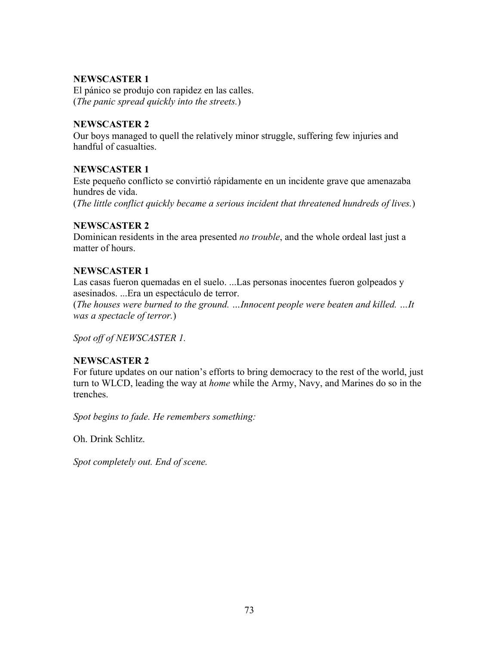### **NEWSCASTER 1**

El pánico se produjo con rapidez en las calles. (*The panic spread quickly into the streets.*)

### **NEWSCASTER 2**

Our boys managed to quell the relatively minor struggle, suffering few injuries and handful of casualties.

## **NEWSCASTER 1**

Este pequeño conflicto se convirtió rápidamente en un incidente grave que amenazaba hundres de vida. (*The little conflict quickly became a serious incident that threatened hundreds of lives.*)

## **NEWSCASTER 2**

Dominican residents in the area presented *no trouble*, and the whole ordeal last just a matter of hours.

## **NEWSCASTER 1**

Las casas fueron quemadas en el suelo. ...Las personas inocentes fueron golpeados y asesinados. ...Era un espectáculo de terror.

(*The houses were burned to the ground. …Innocent people were beaten and killed. …It was a spectacle of terror.*)

*Spot off of NEWSCASTER 1.*

## **NEWSCASTER 2**

For future updates on our nation's efforts to bring democracy to the rest of the world, just turn to WLCD, leading the way at *home* while the Army, Navy, and Marines do so in the trenches.

*Spot begins to fade. He remembers something:*

Oh. Drink Schlitz.

*Spot completely out. End of scene.*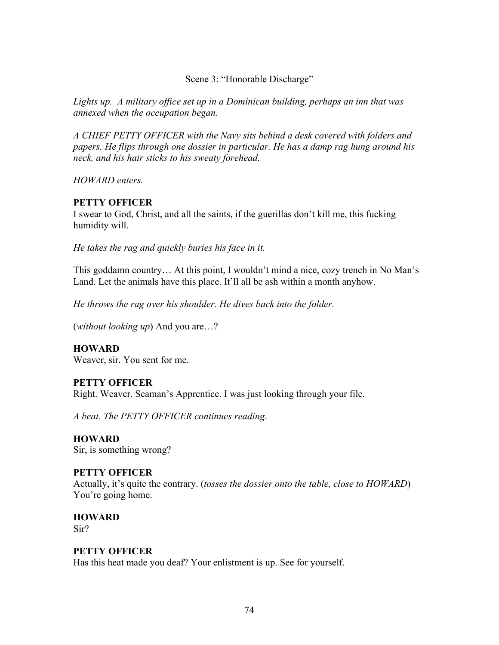#### Scene 3: "Honorable Discharge"

*Lights up. A military office set up in a Dominican building, perhaps an inn that was annexed when the occupation began.*

*A CHIEF PETTY OFFICER with the Navy sits behind a desk covered with folders and papers. He flips through one dossier in particular. He has a damp rag hung around his neck, and his hair sticks to his sweaty forehead.* 

*HOWARD enters.*

## **PETTY OFFICER**

I swear to God, Christ, and all the saints, if the guerillas don't kill me, this fucking humidity will.

*He takes the rag and quickly buries his face in it.* 

This goddamn country… At this point, I wouldn't mind a nice, cozy trench in No Man's Land. Let the animals have this place. It'll all be ash within a month anyhow.

*He throws the rag over his shoulder. He dives back into the folder.* 

(*without looking up*) And you are…?

**HOWARD** Weaver, sir. You sent for me.

## **PETTY OFFICER**

Right. Weaver. Seaman's Apprentice. I was just looking through your file.

*A beat. The PETTY OFFICER continues reading*.

**HOWARD** Sir, is something wrong?

#### **PETTY OFFICER**

Actually, it's quite the contrary. (*tosses the dossier onto the table, close to HOWARD*) You're going home.

**HOWARD** Sir?

## **PETTY OFFICER**

Has this heat made you deaf? Your enlistment is up. See for yourself.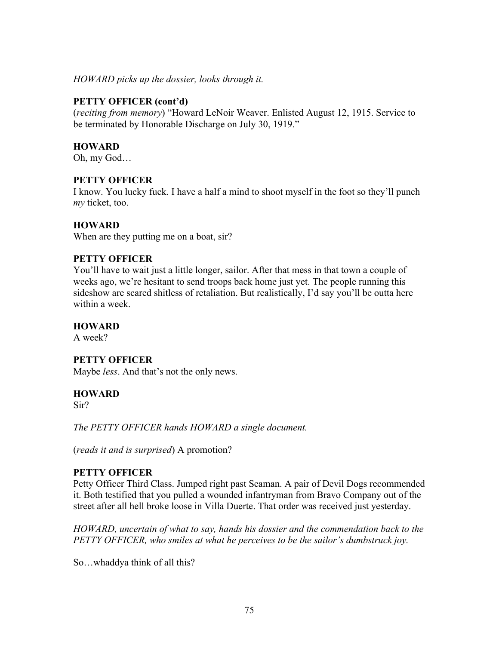*HOWARD picks up the dossier, looks through it.*

#### **PETTY OFFICER (cont'd)**

(*reciting from memory*) "Howard LeNoir Weaver. Enlisted August 12, 1915. Service to be terminated by Honorable Discharge on July 30, 1919."

#### **HOWARD**

Oh, my God…

#### **PETTY OFFICER**

I know. You lucky fuck. I have a half a mind to shoot myself in the foot so they'll punch *my* ticket, too.

#### **HOWARD**

When are they putting me on a boat, sir?

#### **PETTY OFFICER**

You'll have to wait just a little longer, sailor. After that mess in that town a couple of weeks ago, we're hesitant to send troops back home just yet. The people running this sideshow are scared shitless of retaliation. But realistically, I'd say you'll be outta here within a week.

#### **HOWARD**

A week?

#### **PETTY OFFICER**

Maybe *less*. And that's not the only news.

#### **HOWARD**

Sir?

*The PETTY OFFICER hands HOWARD a single document.*

(*reads it and is surprised*) A promotion?

#### **PETTY OFFICER**

Petty Officer Third Class. Jumped right past Seaman. A pair of Devil Dogs recommended it. Both testified that you pulled a wounded infantryman from Bravo Company out of the street after all hell broke loose in Villa Duerte. That order was received just yesterday.

*HOWARD, uncertain of what to say, hands his dossier and the commendation back to the PETTY OFFICER, who smiles at what he perceives to be the sailor's dumbstruck joy.*

So…whaddya think of all this?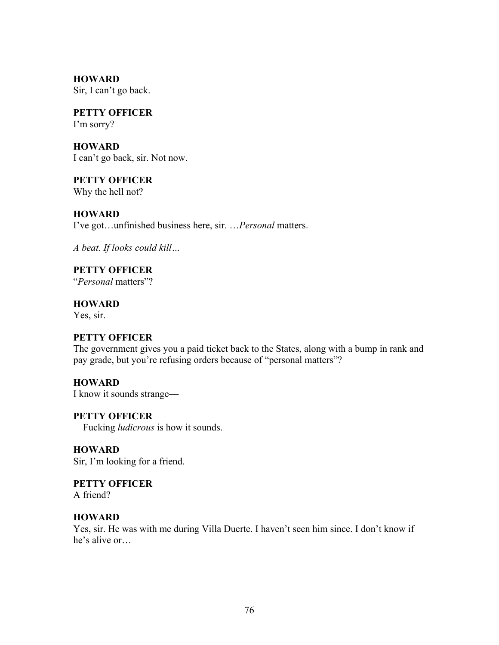**HOWARD** Sir, I can't go back.

**PETTY OFFICER** I'm sorry?

**HOWARD** I can't go back, sir. Not now.

**PETTY OFFICER** Why the hell not?

**HOWARD** I've got…unfinished business here, sir. …*Personal* matters.

*A beat. If looks could kill…*

**PETTY OFFICER** "*Personal* matters"?

**HOWARD** Yes, sir.

## **PETTY OFFICER**

The government gives you a paid ticket back to the States, along with a bump in rank and pay grade, but you're refusing orders because of "personal matters"?

**HOWARD** I know it sounds strange—

**PETTY OFFICER** —Fucking *ludicrous* is how it sounds.

**HOWARD** Sir, I'm looking for a friend.

**PETTY OFFICER** A friend?

## **HOWARD**

Yes, sir. He was with me during Villa Duerte. I haven't seen him since. I don't know if he's alive or…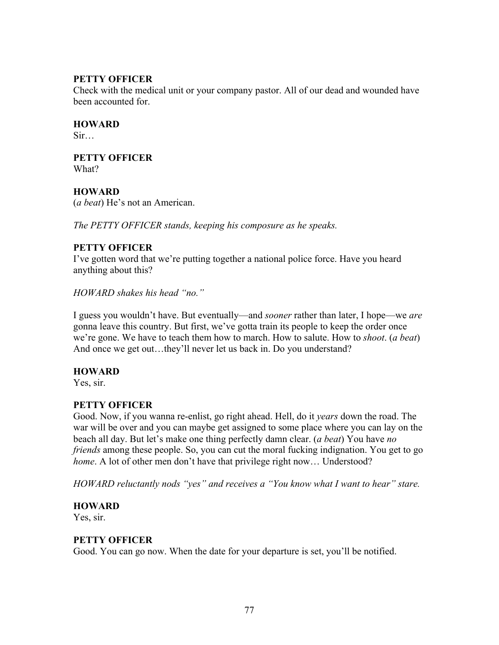### **PETTY OFFICER**

Check with the medical unit or your company pastor. All of our dead and wounded have been accounted for

**HOWARD**

 $Sir...$ 

**PETTY OFFICER** What?

### **HOWARD**

(*a beat*) He's not an American.

*The PETTY OFFICER stands, keeping his composure as he speaks.*

## **PETTY OFFICER**

I've gotten word that we're putting together a national police force. Have you heard anything about this?

*HOWARD shakes his head "no."*

I guess you wouldn't have. But eventually—and *sooner* rather than later, I hope—we *are* gonna leave this country. But first, we've gotta train its people to keep the order once we're gone. We have to teach them how to march. How to salute. How to *shoot*. (*a beat*) And once we get out…they'll never let us back in. Do you understand?

## **HOWARD**

Yes, sir.

## **PETTY OFFICER**

Good. Now, if you wanna re-enlist, go right ahead. Hell, do it *years* down the road. The war will be over and you can maybe get assigned to some place where you can lay on the beach all day. But let's make one thing perfectly damn clear. (*a beat*) You have *no friends* among these people. So, you can cut the moral fucking indignation. You get to go *home*. A lot of other men don't have that privilege right now... Understood?

*HOWARD reluctantly nods "yes" and receives a "You know what I want to hear" stare.*

## **HOWARD**

Yes, sir.

## **PETTY OFFICER**

Good. You can go now. When the date for your departure is set, you'll be notified.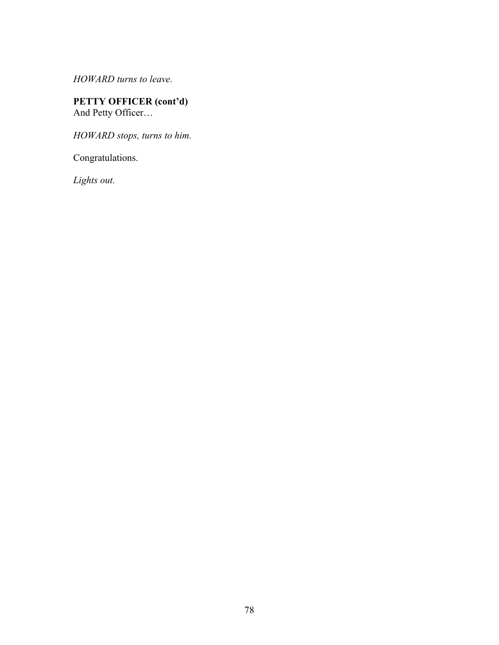*HOWARD turns to leave.*

#### **PETTY OFFICER (cont'd)** And Petty Officer…

*HOWARD stops, turns to him.*

Congratulations.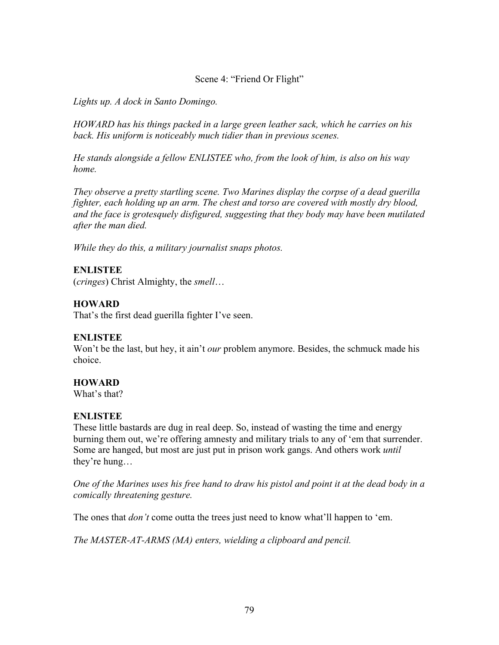### Scene 4: "Friend Or Flight"

*Lights up. A dock in Santo Domingo.* 

*HOWARD has his things packed in a large green leather sack, which he carries on his back. His uniform is noticeably much tidier than in previous scenes.* 

*He stands alongside a fellow ENLISTEE who, from the look of him, is also on his way home.*

*They observe a pretty startling scene. Two Marines display the corpse of a dead guerilla fighter, each holding up an arm. The chest and torso are covered with mostly dry blood, and the face is grotesquely disfigured, suggesting that they body may have been mutilated after the man died.* 

*While they do this, a military journalist snaps photos.*

## **ENLISTEE**

(*cringes*) Christ Almighty, the *smell*…

## **HOWARD**

That's the first dead guerilla fighter I've seen.

## **ENLISTEE**

Won't be the last, but hey, it ain't *our* problem anymore. Besides, the schmuck made his choice.

## **HOWARD**

What's that?

## **ENLISTEE**

These little bastards are dug in real deep. So, instead of wasting the time and energy burning them out, we're offering amnesty and military trials to any of 'em that surrender. Some are hanged, but most are just put in prison work gangs. And others work *until* they're hung…

*One of the Marines uses his free hand to draw his pistol and point it at the dead body in a comically threatening gesture.*

The ones that *don't* come outta the trees just need to know what'll happen to 'em.

*The MASTER-AT-ARMS (MA) enters, wielding a clipboard and pencil.*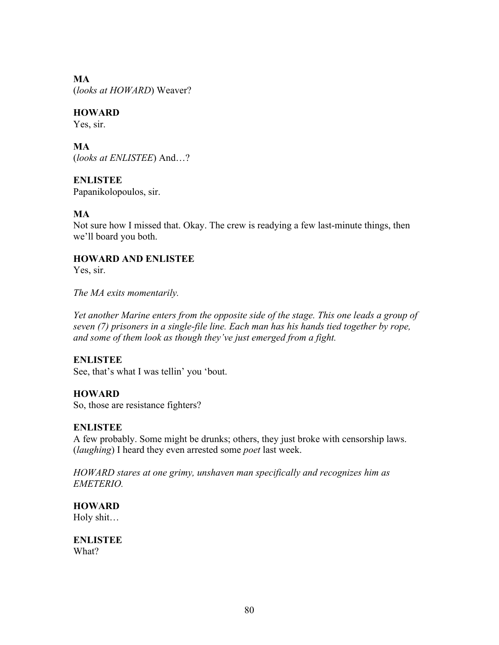## **MA**

(*looks at HOWARD*) Weaver?

## **HOWARD**

Yes, sir.

## **MA**

(*looks at ENLISTEE*) And…?

## **ENLISTEE**

Papanikolopoulos, sir.

## **MA**

Not sure how I missed that. Okay. The crew is readying a few last-minute things, then we'll board you both.

## **HOWARD AND ENLISTEE**

Yes, sir.

*The MA exits momentarily.*

*Yet another Marine enters from the opposite side of the stage. This one leads a group of seven (7) prisoners in a single-file line. Each man has his hands tied together by rope, and some of them look as though they've just emerged from a fight.*

## **ENLISTEE**

See, that's what I was tellin' you 'bout.

## **HOWARD**

So, those are resistance fighters?

## **ENLISTEE**

A few probably. Some might be drunks; others, they just broke with censorship laws. (*laughing*) I heard they even arrested some *poet* last week.

*HOWARD stares at one grimy, unshaven man specifically and recognizes him as EMETERIO.* 

## **HOWARD**

Holy shit…

**ENLISTEE** What?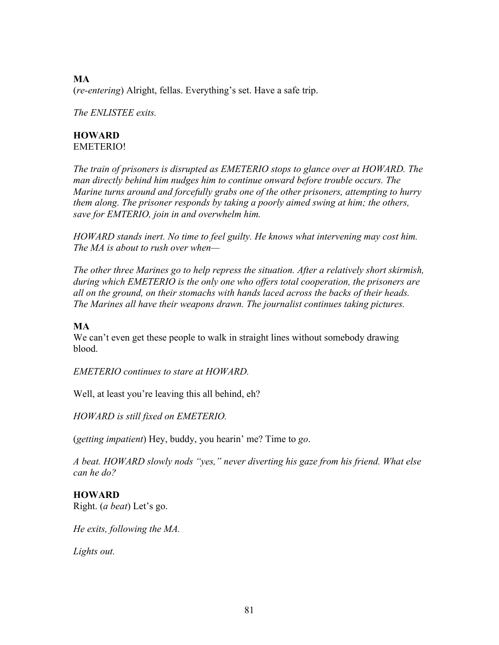## **MA** (*re-entering*) Alright, fellas. Everything's set. Have a safe trip.

*The ENLISTEE exits.*

#### **HOWARD** EMETERIO!

*The train of prisoners is disrupted as EMETERIO stops to glance over at HOWARD. The man directly behind him nudges him to continue onward before trouble occurs. The Marine turns around and forcefully grabs one of the other prisoners, attempting to hurry them along. The prisoner responds by taking a poorly aimed swing at him; the others, save for EMTERIO, join in and overwhelm him.*

*HOWARD stands inert. No time to feel guilty. He knows what intervening may cost him. The MA is about to rush over when—*

*The other three Marines go to help repress the situation. After a relatively short skirmish, during which EMETERIO is the only one who offers total cooperation, the prisoners are all on the ground, on their stomachs with hands laced across the backs of their heads. The Marines all have their weapons drawn. The journalist continues taking pictures.*

### **MA**

We can't even get these people to walk in straight lines without somebody drawing blood.

*EMETERIO continues to stare at HOWARD.*

Well, at least you're leaving this all behind, eh?

*HOWARD is still fixed on EMETERIO.* 

(*getting impatient*) Hey, buddy, you hearin' me? Time to *go*.

*A beat. HOWARD slowly nods "yes," never diverting his gaze from his friend. What else can he do?* 

## **HOWARD**

Right. (*a beat*) Let's go.

*He exits, following the MA.*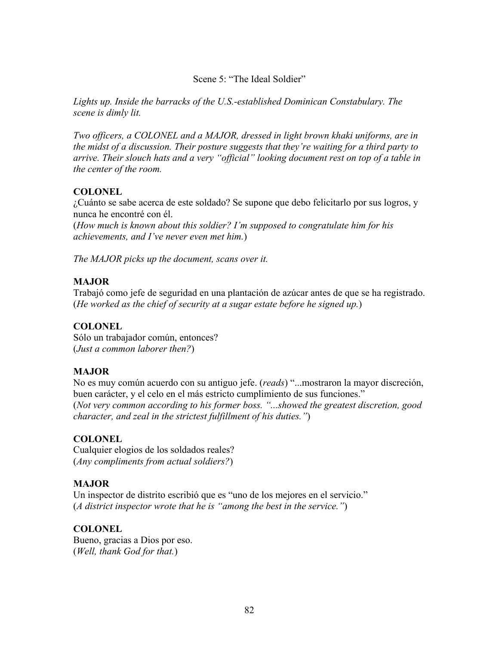Scene 5: "The Ideal Soldier"

*Lights up. Inside the barracks of the U.S.-established Dominican Constabulary. The scene is dimly lit.* 

*Two officers, a COLONEL and a MAJOR, dressed in light brown khaki uniforms, are in the midst of a discussion. Their posture suggests that they're waiting for a third party to arrive. Their slouch hats and a very "official" looking document rest on top of a table in the center of the room.* 

## **COLONEL**

¿Cuánto se sabe acerca de este soldado? Se supone que debo felicitarlo por sus logros, y nunca he encontré con él.

(*How much is known about this soldier? I'm supposed to congratulate him for his achievements, and I've never even met him.*)

*The MAJOR picks up the document, scans over it.*

## **MAJOR**

Trabajó como jefe de seguridad en una plantación de azúcar antes de que se ha registrado. (*He worked as the chief of security at a sugar estate before he signed up.*)

## **COLONEL**

Sólo un trabajador común, entonces? (*Just a common laborer then?*)

## **MAJOR**

No es muy común acuerdo con su antiguo jefe. (*reads*) "...mostraron la mayor discreción, buen carácter, y el celo en el más estricto cumplimiento de sus funciones." (*Not very common according to his former boss. "...showed the greatest discretion, good character, and zeal in the strictest fulfillment of his duties."*)

## **COLONEL**

Cualquier elogios de los soldados reales? (*Any compliments from actual soldiers?*)

## **MAJOR**

Un inspector de distrito escribió que es "uno de los mejores en el servicio." (*A district inspector wrote that he is "among the best in the service."*)

## **COLONEL**

Bueno, gracias a Dios por eso. (*Well, thank God for that.*)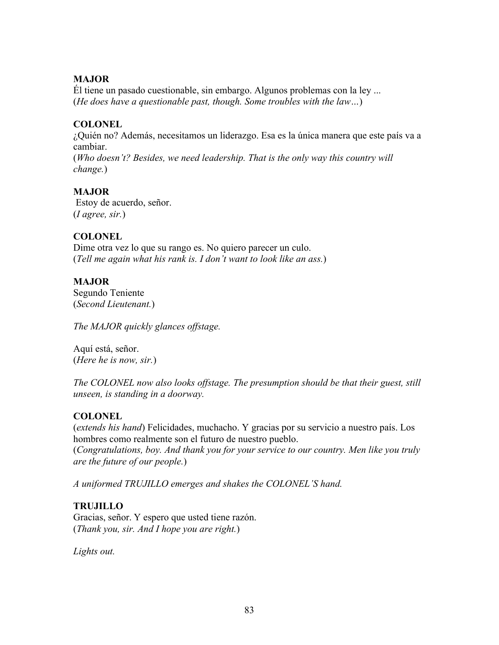## **MAJOR**

Él tiene un pasado cuestionable, sin embargo. Algunos problemas con la ley ... (*He does have a questionable past, though. Some troubles with the law…*)

### **COLONEL**

¿Quién no? Además, necesitamos un liderazgo. Esa es la única manera que este país va a cambiar.

(*Who doesn't? Besides, we need leadership. That is the only way this country will change.*)

### **MAJOR**

Estoy de acuerdo, señor. (*I agree, sir.*)

## **COLONEL**

Dime otra vez lo que su rango es. No quiero parecer un culo. (*Tell me again what his rank is. I don't want to look like an ass.*)

### **MAJOR**

Segundo Teniente (*Second Lieutenant.*)

*The MAJOR quickly glances offstage.*

Aquí está, señor. (*Here he is now, sir.*)

*The COLONEL now also looks offstage. The presumption should be that their guest, still unseen, is standing in a doorway.* 

## **COLONEL**

(*extends his hand*) Felicidades, muchacho. Y gracias por su servicio a nuestro país. Los hombres como realmente son el futuro de nuestro pueblo. (*Congratulations, boy. And thank you for your service to our country. Men like you truly are the future of our people.*)

*A uniformed TRUJILLO emerges and shakes the COLONEL'S hand.*

## **TRUJILLO**

Gracias, señor. Y espero que usted tiene razón. (*Thank you, sir. And I hope you are right.*)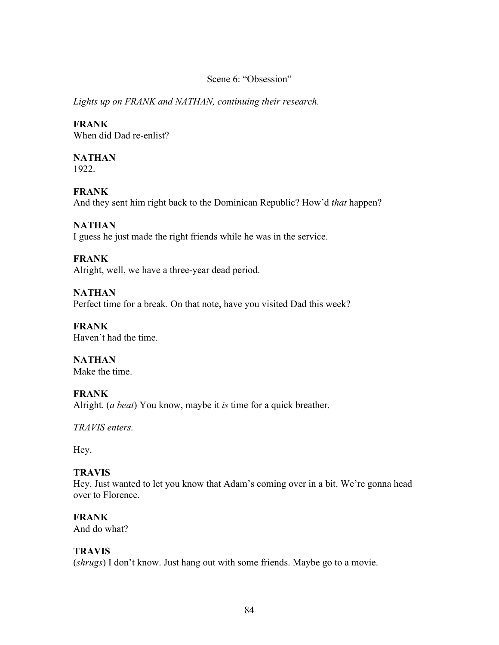#### Scene 6: "Obsession"

*Lights up on FRANK and NATHAN, continuing their research.*

## **FRANK**

When did Dad re-enlist?

## **NATHAN**

1922.

## **FRANK**

And they sent him right back to the Dominican Republic? How'd *that* happen?

## **NATHAN**

I guess he just made the right friends while he was in the service.

## **FRANK**

Alright, well, we have a three-year dead period.

## **NATHAN**

Perfect time for a break. On that note, have you visited Dad this week?

#### **FRANK** Haven't had the time.

**NATHAN** Make the time.

## **FRANK**

Alright. (*a beat*) You know, maybe it *is* time for a quick breather.

*TRAVIS enters.* 

Hey.

## **TRAVIS**

Hey. Just wanted to let you know that Adam's coming over in a bit. We're gonna head over to Florence.

## **FRANK**

And do what?

## **TRAVIS**

(*shrugs*) I don't know. Just hang out with some friends. Maybe go to a movie.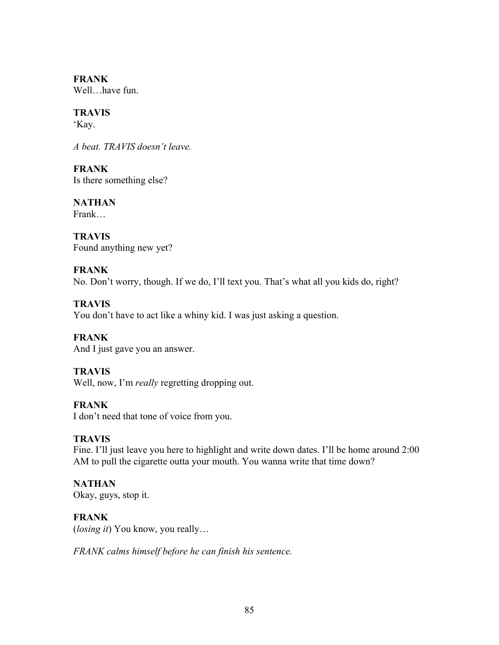**FRANK** Well...have fun.

## **TRAVIS**

'Kay.

*A beat. TRAVIS doesn't leave.*

**FRANK** Is there something else?

**NATHAN** Frank…

**TRAVIS** Found anything new yet?

## **FRANK**

No. Don't worry, though. If we do, I'll text you. That's what all you kids do, right?

## **TRAVIS**

You don't have to act like a whiny kid. I was just asking a question.

**FRANK**  And I just gave you an answer.

## **TRAVIS**

Well, now, I'm *really* regretting dropping out.

## **FRANK**

I don't need that tone of voice from you.

## **TRAVIS**

Fine. I'll just leave you here to highlight and write down dates. I'll be home around 2:00 AM to pull the cigarette outta your mouth. You wanna write that time down?

# **NATHAN**

Okay, guys, stop it.

## **FRANK**

(*losing it*) You know, you really…

*FRANK calms himself before he can finish his sentence.*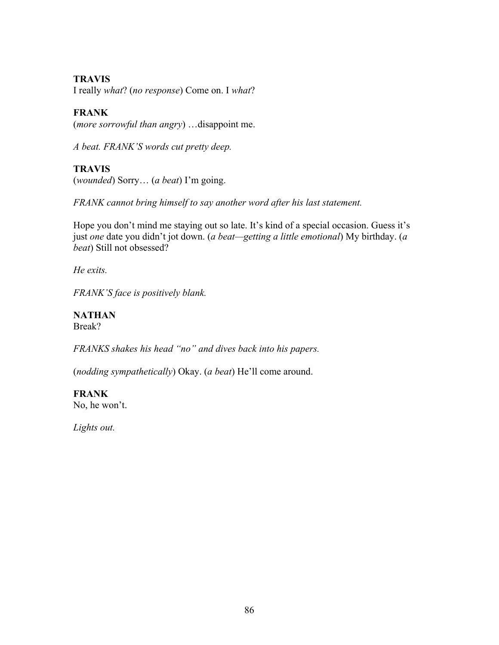## **TRAVIS**

I really *what*? (*no response*) Come on. I *what*?

## **FRANK**

(*more sorrowful than angry*) …disappoint me.

*A beat. FRANK'S words cut pretty deep.* 

## **TRAVIS**

(*wounded*) Sorry… (*a beat*) I'm going.

*FRANK cannot bring himself to say another word after his last statement.*

Hope you don't mind me staying out so late. It's kind of a special occasion. Guess it's just *one* date you didn't jot down. (*a beat—getting a little emotional*) My birthday. (*a beat*) Still not obsessed?

*He exits.* 

*FRANK'S face is positively blank.* 

**NATHAN** Break?

*FRANKS shakes his head "no" and dives back into his papers.*

(*nodding sympathetically*) Okay. (*a beat*) He'll come around.

### **FRANK** No, he won't.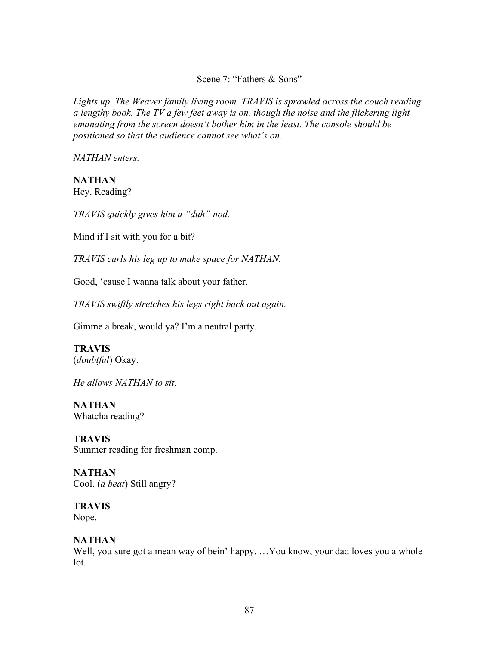Scene 7: "Fathers & Sons"

*Lights up. The Weaver family living room. TRAVIS is sprawled across the couch reading a lengthy book. The TV a few feet away is on, though the noise and the flickering light emanating from the screen doesn't bother him in the least. The console should be positioned so that the audience cannot see what's on.*

*NATHAN enters.*

**NATHAN** Hey. Reading?

*TRAVIS quickly gives him a "duh" nod.*

Mind if I sit with you for a bit?

*TRAVIS curls his leg up to make space for NATHAN.*

Good, 'cause I wanna talk about your father.

*TRAVIS swiftly stretches his legs right back out again.* 

Gimme a break, would ya? I'm a neutral party.

## **TRAVIS**

(*doubtful*) Okay.

*He allows NATHAN to sit.*

**NATHAN** Whatcha reading?

**TRAVIS** Summer reading for freshman comp.

**NATHAN** Cool. (*a beat*) Still angry?

**TRAVIS** Nope.

## **NATHAN**

Well, you sure got a mean way of bein' happy. ... You know, your dad loves you a whole lot.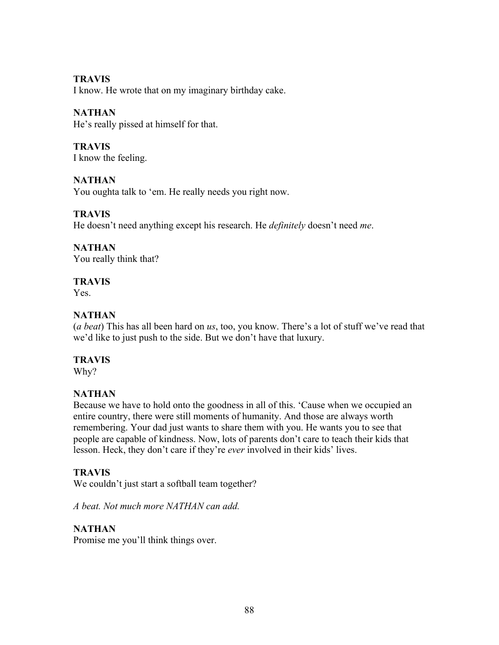## **TRAVIS**

I know. He wrote that on my imaginary birthday cake.

## **NATHAN**

He's really pissed at himself for that.

# **TRAVIS**

I know the feeling.

## **NATHAN**

You oughta talk to 'em. He really needs you right now.

## **TRAVIS**

He doesn't need anything except his research. He *definitely* doesn't need *me*.

## **NATHAN**

You really think that?

## **TRAVIS**

Yes.

## **NATHAN**

(*a beat*) This has all been hard on *us*, too, you know. There's a lot of stuff we've read that we'd like to just push to the side. But we don't have that luxury.

## **TRAVIS**

Why?

## **NATHAN**

Because we have to hold onto the goodness in all of this. 'Cause when we occupied an entire country, there were still moments of humanity. And those are always worth remembering. Your dad just wants to share them with you. He wants you to see that people are capable of kindness. Now, lots of parents don't care to teach their kids that lesson. Heck, they don't care if they're *ever* involved in their kids' lives.

## **TRAVIS**

We couldn't just start a softball team together?

*A beat. Not much more NATHAN can add.*

## **NATHAN**

Promise me you'll think things over.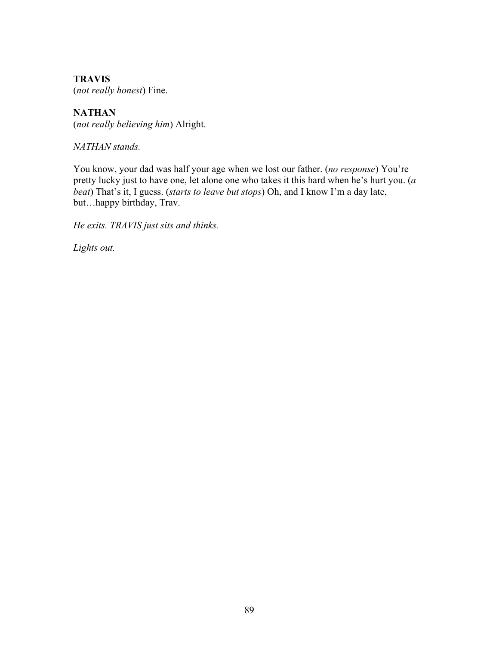**TRAVIS** (*not really honest*) Fine.

**NATHAN** (*not really believing him*) Alright.

*NATHAN stands.*

You know, your dad was half your age when we lost our father. (*no response*) You're pretty lucky just to have one, let alone one who takes it this hard when he's hurt you. (*a beat*) That's it, I guess. (*starts to leave but stops*) Oh, and I know I'm a day late, but…happy birthday, Trav.

*He exits. TRAVIS just sits and thinks.*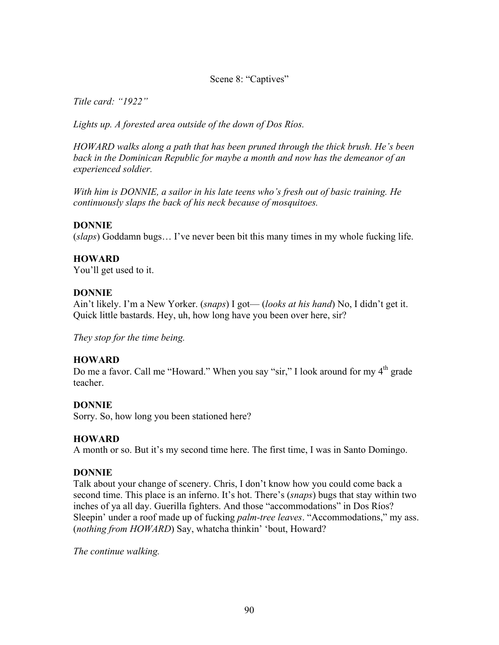## Scene 8: "Captives"

*Title card: "1922"*

*Lights up. A forested area outside of the down of Dos Ríos.* 

*HOWARD walks along a path that has been pruned through the thick brush. He's been back in the Dominican Republic for maybe a month and now has the demeanor of an experienced soldier.*

*With him is DONNIE, a sailor in his late teens who's fresh out of basic training. He continuously slaps the back of his neck because of mosquitoes.*

#### **DONNIE**

(*slaps*) Goddamn bugs… I've never been bit this many times in my whole fucking life.

### **HOWARD**

You'll get used to it.

#### **DONNIE**

Ain't likely. I'm a New Yorker. (*snaps*) I got— (*looks at his hand*) No, I didn't get it. Quick little bastards. Hey, uh, how long have you been over here, sir?

*They stop for the time being.*

## **HOWARD**

Do me a favor. Call me "Howard." When you say "sir," I look around for my  $4<sup>th</sup>$  grade teacher.

## **DONNIE**

Sorry. So, how long you been stationed here?

#### **HOWARD**

A month or so. But it's my second time here. The first time, I was in Santo Domingo.

#### **DONNIE**

Talk about your change of scenery. Chris, I don't know how you could come back a second time. This place is an inferno. It's hot. There's (*snaps*) bugs that stay within two inches of ya all day. Guerilla fighters. And those "accommodations" in Dos Ríos? Sleepin' under a roof made up of fucking *palm-tree leaves*. "Accommodations," my ass. (*nothing from HOWARD*) Say, whatcha thinkin' 'bout, Howard?

*The continue walking.*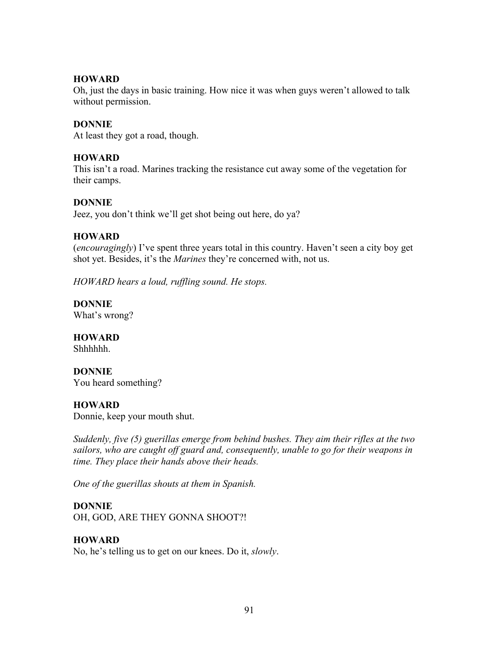### **HOWARD**

Oh, just the days in basic training. How nice it was when guys weren't allowed to talk without permission.

### **DONNIE**

At least they got a road, though.

### **HOWARD**

This isn't a road. Marines tracking the resistance cut away some of the vegetation for their camps.

#### **DONNIE**

Jeez, you don't think we'll get shot being out here, do ya?

### **HOWARD**

(*encouragingly*) I've spent three years total in this country. Haven't seen a city boy get shot yet. Besides, it's the *Marines* they're concerned with, not us.

*HOWARD hears a loud, ruffling sound. He stops.* 

**DONNIE** What's wrong?

## **HOWARD**

Shhhhhh.

#### **DONNIE**

You heard something?

## **HOWARD**

Donnie, keep your mouth shut.

*Suddenly, five (5) guerillas emerge from behind bushes. They aim their rifles at the two sailors, who are caught off guard and, consequently, unable to go for their weapons in time. They place their hands above their heads.*

*One of the guerillas shouts at them in Spanish.* 

#### **DONNIE**

OH, GOD, ARE THEY GONNA SHOOT?!

## **HOWARD**

No, he's telling us to get on our knees. Do it, *slowly*.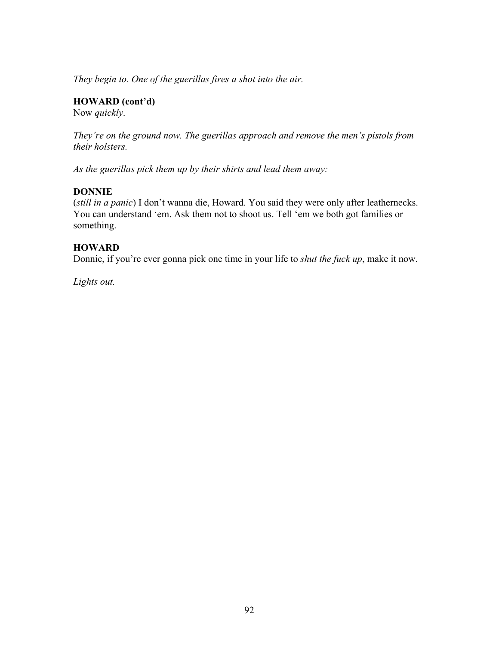*They begin to. One of the guerillas fires a shot into the air.*

**HOWARD (cont'd)**

Now *quickly*.

*They're on the ground now. The guerillas approach and remove the men's pistols from their holsters.*

*As the guerillas pick them up by their shirts and lead them away:* 

#### **DONNIE**

(*still in a panic*) I don't wanna die, Howard. You said they were only after leathernecks. You can understand 'em. Ask them not to shoot us. Tell 'em we both got families or something.

### **HOWARD**

Donnie, if you're ever gonna pick one time in your life to *shut the fuck up*, make it now.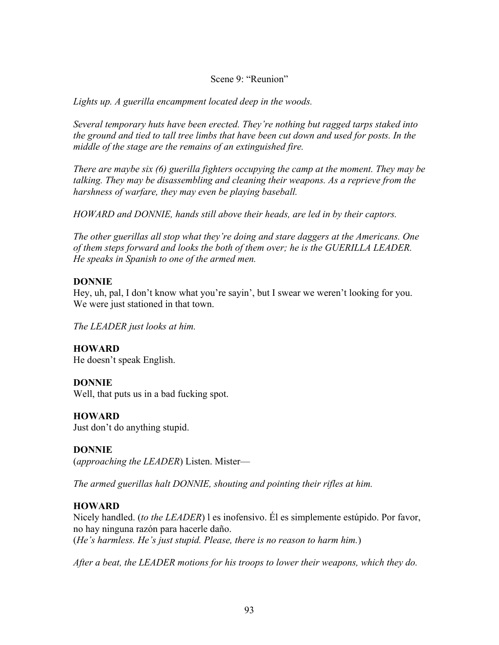Scene 9: "Reunion"

*Lights up. A guerilla encampment located deep in the woods.* 

*Several temporary huts have been erected. They're nothing but ragged tarps staked into the ground and tied to tall tree limbs that have been cut down and used for posts. In the middle of the stage are the remains of an extinguished fire.* 

*There are maybe six (6) guerilla fighters occupying the camp at the moment. They may be talking. They may be disassembling and cleaning their weapons. As a reprieve from the harshness of warfare, they may even be playing baseball.* 

*HOWARD and DONNIE, hands still above their heads, are led in by their captors.*

*The other guerillas all stop what they're doing and stare daggers at the Americans. One of them steps forward and looks the both of them over; he is the GUERILLA LEADER. He speaks in Spanish to one of the armed men.*

## **DONNIE**

Hey, uh, pal, I don't know what you're sayin', but I swear we weren't looking for you. We were just stationed in that town.

*The LEADER just looks at him.*

**HOWARD** He doesn't speak English.

## **DONNIE**

Well, that puts us in a bad fucking spot.

**HOWARD** Just don't do anything stupid.

**DONNIE** (*approaching the LEADER*) Listen. Mister—

*The armed guerillas halt DONNIE, shouting and pointing their rifles at him.*

## **HOWARD**

Nicely handled. (*to the LEADER*) l es inofensivo. Él es simplemente estúpido. Por favor, no hay ninguna razón para hacerle daño. (*He's harmless. He's just stupid. Please, there is no reason to harm him.*)

*After a beat, the LEADER motions for his troops to lower their weapons, which they do.*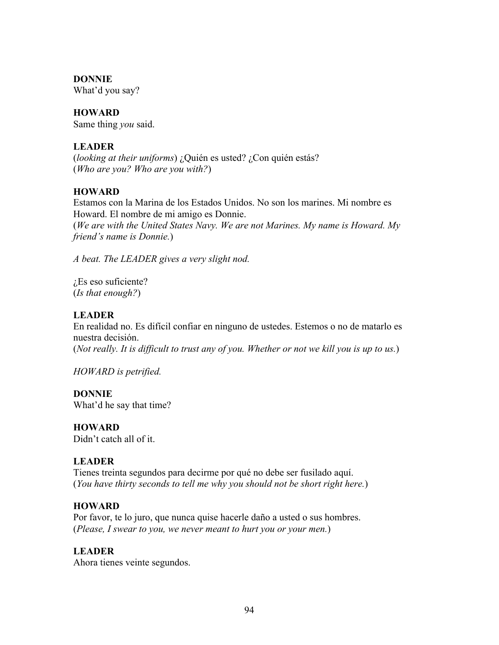### **DONNIE**

What'd you say?

### **HOWARD**

Same thing *you* said.

## **LEADER**

(*looking at their uniforms*) ¿Quién es usted? ¿Con quién estás? (*Who are you? Who are you with?*)

### **HOWARD**

Estamos con la Marina de los Estados Unidos. No son los marines. Mi nombre es Howard. El nombre de mi amigo es Donnie. (*We are with the United States Navy. We are not Marines. My name is Howard. My friend's name is Donnie.*)

*A beat. The LEADER gives a very slight nod.* 

¿Es eso suficiente? (*Is that enough?*)

### **LEADER**

En realidad no. Es difícil confiar en ninguno de ustedes. Estemos o no de matarlo es nuestra decisión.

(*Not really. It is difficult to trust any of you. Whether or not we kill you is up to us.*)

*HOWARD is petrified.*

#### **DONNIE**

What'd he say that time?

#### **HOWARD**

Didn't catch all of it.

## **LEADER**

Tienes treinta segundos para decirme por qué no debe ser fusilado aquí. (*You have thirty seconds to tell me why you should not be short right here.*)

#### **HOWARD**

Por favor, te lo juro, que nunca quise hacerle daño a usted o sus hombres. (*Please, I swear to you, we never meant to hurt you or your men.*)

## **LEADER**

Ahora tienes veinte segundos.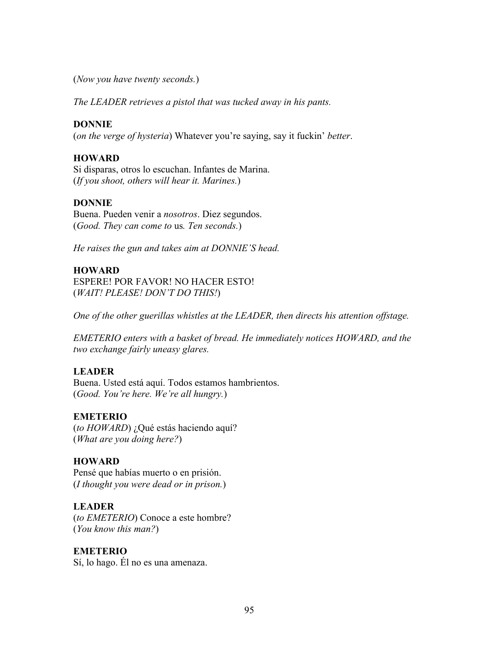(*Now you have twenty seconds.*)

*The LEADER retrieves a pistol that was tucked away in his pants.* 

#### **DONNIE**

(*on the verge of hysteria*) Whatever you're saying, say it fuckin' *better*.

#### **HOWARD**

Si disparas, otros lo escuchan. Infantes de Marina. (*If you shoot, others will hear it. Marines.*)

#### **DONNIE**

Buena. Pueden venir a *nosotros*. Diez segundos. (*Good. They can come to* us*. Ten seconds.*)

*He raises the gun and takes aim at DONNIE'S head.*

#### **HOWARD**

ESPERE! POR FAVOR! NO HACER ESTO! (*WAIT! PLEASE! DON'T DO THIS!*)

*One of the other guerillas whistles at the LEADER, then directs his attention offstage.*

*EMETERIO enters with a basket of bread. He immediately notices HOWARD, and the two exchange fairly uneasy glares.* 

#### **LEADER**

Buena. Usted está aquí. Todos estamos hambrientos. (*Good. You're here. We're all hungry.*)

#### **EMETERIO**

(*to HOWARD*) ¿Qué estás haciendo aquí? (*What are you doing here?*)

#### **HOWARD**

Pensé que habías muerto o en prisión. (*I thought you were dead or in prison.*)

#### **LEADER**

(*to EMETERIO*) Conoce a este hombre? (*You know this man?*)

#### **EMETERIO**

Sí, lo hago. Él no es una amenaza.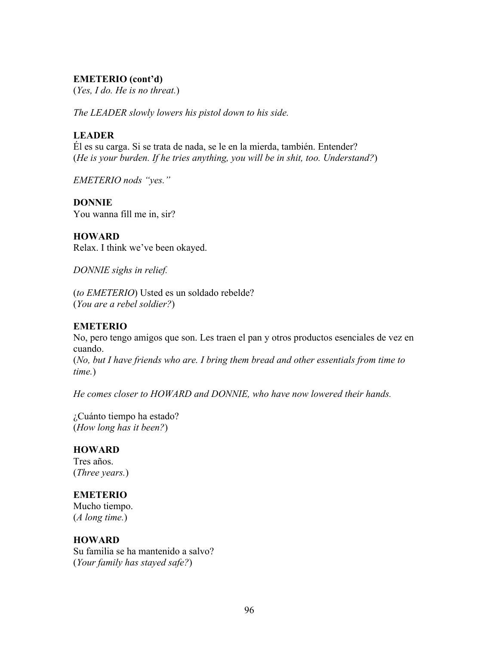### **EMETERIO (cont'd)**

(*Yes, I do. He is no threat.*)

*The LEADER slowly lowers his pistol down to his side.*

### **LEADER**

Él es su carga. Si se trata de nada, se le en la mierda, también. Entender? (*He is your burden. If he tries anything, you will be in shit, too. Understand?*)

*EMETERIO nods "yes."*

#### **DONNIE**

You wanna fill me in, sir?

#### **HOWARD**

Relax. I think we've been okayed.

*DONNIE sighs in relief.* 

(*to EMETERIO*) Usted es un soldado rebelde? (*You are a rebel soldier?*)

#### **EMETERIO**

No, pero tengo amigos que son. Les traen el pan y otros productos esenciales de vez en cuando.

(*No, but I have friends who are. I bring them bread and other essentials from time to time.*)

*He comes closer to HOWARD and DONNIE, who have now lowered their hands.*

¿Cuánto tiempo ha estado? (*How long has it been?*)

#### **HOWARD**

Tres años. (*Three years.*)

#### **EMETERIO**

Mucho tiempo. (*A long time.*)

#### **HOWARD**

Su familia se ha mantenido a salvo? (*Your family has stayed safe?*)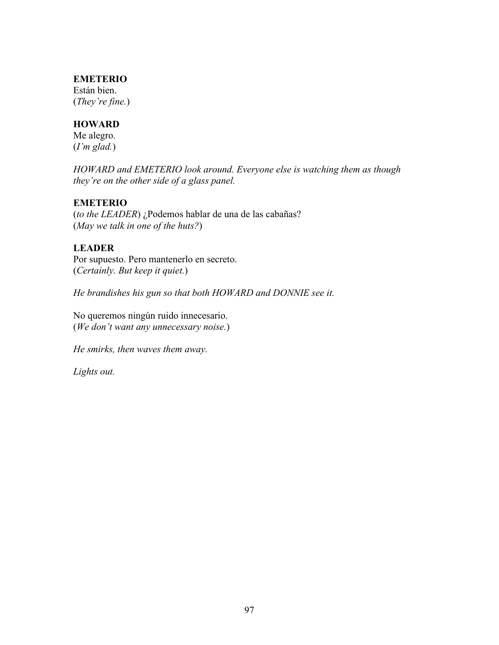#### **EMETERIO**

Están bien. (*They're fine.*)

## **HOWARD**

Me alegro. (*I'm glad.*)

*HOWARD and EMETERIO look around. Everyone else is watching them as though they're on the other side of a glass panel.* 

### **EMETERIO**

(*to the LEADER*) ¿Podemos hablar de una de las cabañas? (*May we talk in one of the huts?*)

## **LEADER**

Por supuesto. Pero mantenerlo en secreto. (*Certainly. But keep it quiet.*)

*He brandishes his gun so that both HOWARD and DONNIE see it.*

No queremos ningún ruido innecesario. (*We don't want any unnecessary noise.*)

*He smirks, then waves them away.*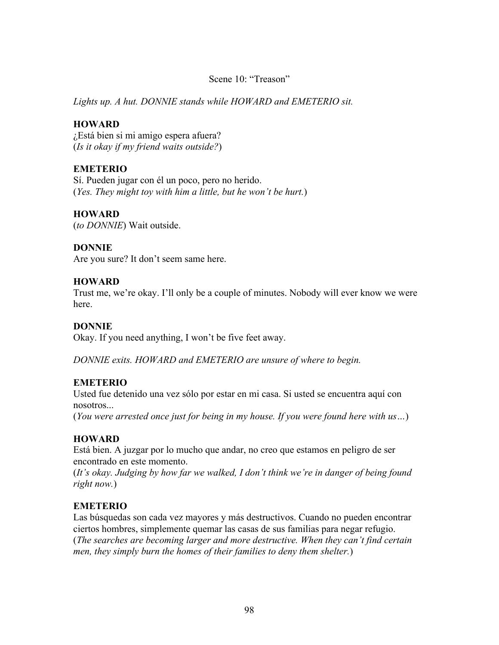### Scene 10: "Treason"

*Lights up. A hut. DONNIE stands while HOWARD and EMETERIO sit.* 

### **HOWARD**

¿Está bien si mi amigo espera afuera? (*Is it okay if my friend waits outside?*)

## **EMETERIO**

Sí. Pueden jugar con él un poco, pero no herido. (*Yes. They might toy with him a little, but he won't be hurt.*)

## **HOWARD**

(*to DONNIE*) Wait outside.

## **DONNIE**

Are you sure? It don't seem same here.

## **HOWARD**

Trust me, we're okay. I'll only be a couple of minutes. Nobody will ever know we were here.

## **DONNIE**

Okay. If you need anything, I won't be five feet away.

*DONNIE exits. HOWARD and EMETERIO are unsure of where to begin.*

## **EMETERIO**

Usted fue detenido una vez sólo por estar en mi casa. Si usted se encuentra aquí con nosotros...

(*You were arrested once just for being in my house. If you were found here with us…*)

## **HOWARD**

Está bien. A juzgar por lo mucho que andar, no creo que estamos en peligro de ser encontrado en este momento.

(*It's okay. Judging by how far we walked, I don't think we're in danger of being found right now.*)

## **EMETERIO**

Las búsquedas son cada vez mayores y más destructivos. Cuando no pueden encontrar ciertos hombres, simplemente quemar las casas de sus familias para negar refugio. (*The searches are becoming larger and more destructive. When they can't find certain men, they simply burn the homes of their families to deny them shelter.*)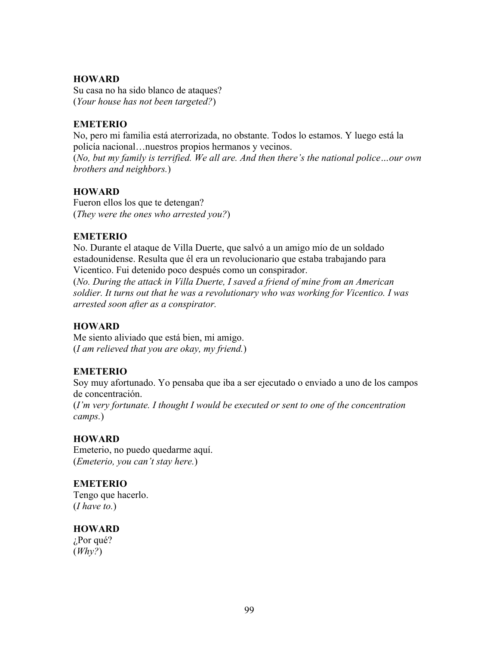## **HOWARD**

Su casa no ha sido blanco de ataques? (*Your house has not been targeted?*)

## **EMETERIO**

No, pero mi familia está aterrorizada, no obstante. Todos lo estamos. Y luego está la policía nacional…nuestros propios hermanos y vecinos.

(*No, but my family is terrified. We all are. And then there's the national police…our own brothers and neighbors.*)

## **HOWARD**

Fueron ellos los que te detengan? (*They were the ones who arrested you?*)

## **EMETERIO**

No. Durante el ataque de Villa Duerte, que salvó a un amigo mío de un soldado estadounidense. Resulta que él era un revolucionario que estaba trabajando para Vicentico. Fui detenido poco después como un conspirador.

(*No. During the attack in Villa Duerte, I saved a friend of mine from an American soldier. It turns out that he was a revolutionary who was working for Vicentico. I was arrested soon after as a conspirator.* 

## **HOWARD**

Me siento aliviado que está bien, mi amigo. (*I am relieved that you are okay, my friend.*)

## **EMETERIO**

Soy muy afortunado. Yo pensaba que iba a ser ejecutado o enviado a uno de los campos de concentración.

(*I'm very fortunate. I thought I would be executed or sent to one of the concentration camps.*)

## **HOWARD**

Emeterio, no puedo quedarme aquí. (*Emeterio, you can't stay here.*)

## **EMETERIO**

Tengo que hacerlo. (*I have to.*)

## **HOWARD**

¿Por qué? (*Why?*)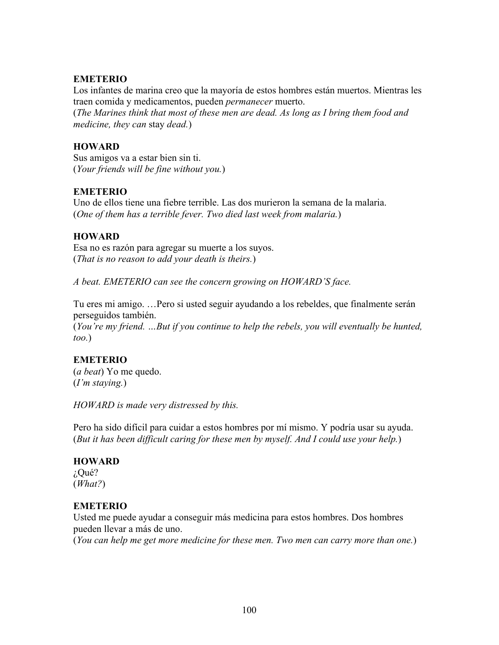## **EMETERIO**

Los infantes de marina creo que la mayoría de estos hombres están muertos. Mientras les traen comida y medicamentos, pueden *permanecer* muerto. (*The Marines think that most of these men are dead. As long as I bring them food and medicine, they can* stay *dead.*)

## **HOWARD**

Sus amigos va a estar bien sin ti. (*Your friends will be fine without you.*)

## **EMETERIO**

Uno de ellos tiene una fiebre terrible. Las dos murieron la semana de la malaria. (*One of them has a terrible fever. Two died last week from malaria.*)

## **HOWARD**

Esa no es razón para agregar su muerte a los suyos. (*That is no reason to add your death is theirs.*)

*A beat. EMETERIO can see the concern growing on HOWARD'S face.* 

Tu eres mi amigo. …Pero si usted seguir ayudando a los rebeldes, que finalmente serán perseguidos también.

(*You're my friend. …But if you continue to help the rebels, you will eventually be hunted, too.*)

## **EMETERIO**

(*a beat*) Yo me quedo. (*I'm staying.*)

*HOWARD is made very distressed by this.*

Pero ha sido difícil para cuidar a estos hombres por mí mismo. Y podría usar su ayuda. (*But it has been difficult caring for these men by myself. And I could use your help.*)

## **HOWARD**

¿Qué? (*What?*)

## **EMETERIO**

Usted me puede ayudar a conseguir más medicina para estos hombres. Dos hombres pueden llevar a más de uno.

(*You can help me get more medicine for these men. Two men can carry more than one.*)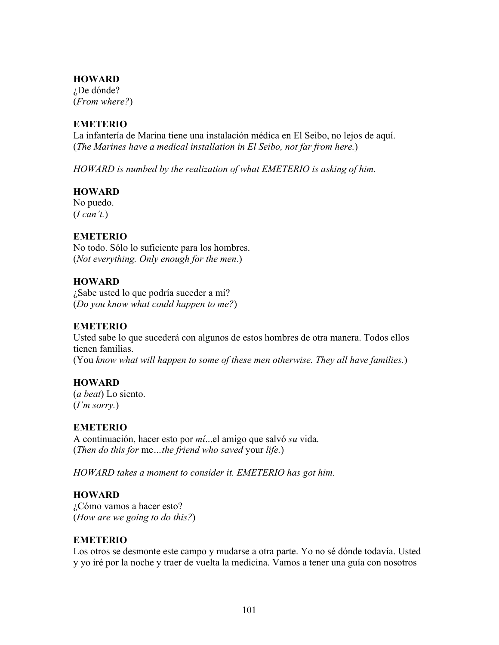#### **HOWARD**

¿De dónde? (*From where?*)

#### **EMETERIO**

La infantería de Marina tiene una instalación médica en El Seibo, no lejos de aquí. (*The Marines have a medical installation in El Seibo, not far from here.*)

*HOWARD is numbed by the realization of what EMETERIO is asking of him.* 

#### **HOWARD**

No puedo. (*I can't.*)

#### **EMETERIO**

No todo. Sólo lo suficiente para los hombres. (*Not everything. Only enough for the men*.)

#### **HOWARD**

¿Sabe usted lo que podría suceder a mí? (*Do you know what could happen to me?*)

#### **EMETERIO**

Usted sabe lo que sucederá con algunos de estos hombres de otra manera. Todos ellos tienen familias. (You *know what will happen to some of these men otherwise. They all have families.*)

#### **HOWARD**

(*a beat*) Lo siento. (*I'm sorry.*)

# **EMETERIO**

A continuación, hacer esto por *mí*...el amigo que salvó *su* vida. (*Then do this for* me*…the friend who saved* your *life.*)

*HOWARD takes a moment to consider it. EMETERIO has got him.*

#### **HOWARD**

¿Cómo vamos a hacer esto? (*How are we going to do this?*)

#### **EMETERIO**

Los otros se desmonte este campo y mudarse a otra parte. Yo no sé dónde todavía. Usted y yo iré por la noche y traer de vuelta la medicina. Vamos a tener una guía con nosotros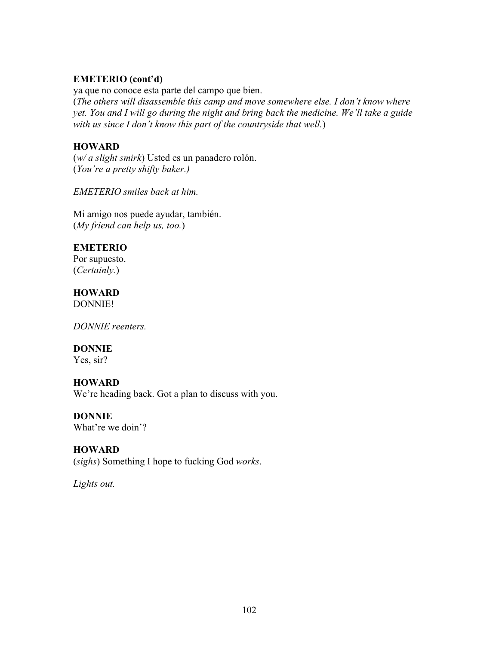#### **EMETERIO (cont'd)**

ya que no conoce esta parte del campo que bien. (*The others will disassemble this camp and move somewhere else. I don't know where yet. You and I will go during the night and bring back the medicine. We'll take a guide with us since I don't know this part of the countryside that well.*)

# **HOWARD**

(*w/ a slight smirk*) Usted es un panadero rolón. (*You're a pretty shifty baker.)*

*EMETERIO smiles back at him.*

Mi amigo nos puede ayudar, también. (*My friend can help us, too.*)

# **EMETERIO**

Por supuesto. (*Certainly.*)

# **HOWARD**

DONNIE!

*DONNIE reenters.* 

# **DONNIE**

Yes, sir?

# **HOWARD**

We're heading back. Got a plan to discuss with you.

# **DONNIE**

What're we doin'?

# **HOWARD**

(*sighs*) Something I hope to fucking God *works*.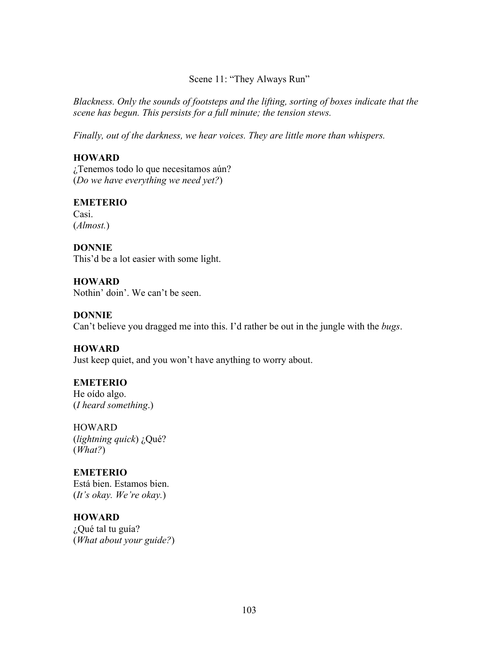Scene 11: "They Always Run"

*Blackness. Only the sounds of footsteps and the lifting, sorting of boxes indicate that the scene has begun. This persists for a full minute; the tension stews.* 

*Finally, out of the darkness, we hear voices. They are little more than whispers.* 

# **HOWARD**

¿Tenemos todo lo que necesitamos aún? (*Do we have everything we need yet?*)

# **EMETERIO**

Casi. (*Almost.*)

**DONNIE** This'd be a lot easier with some light.

**HOWARD** Nothin' doin'. We can't be seen.

#### **DONNIE**

Can't believe you dragged me into this. I'd rather be out in the jungle with the *bugs*.

#### **HOWARD**

Just keep quiet, and you won't have anything to worry about.

#### **EMETERIO**

He oído algo. (*I heard something*.)

**HOWARD** (*lightning quick*) ¿Qué? (*What?*)

### **EMETERIO**

Está bien. Estamos bien. (*It's okay. We're okay.*)

# **HOWARD**

¿Qué tal tu guía? (*What about your guide?*)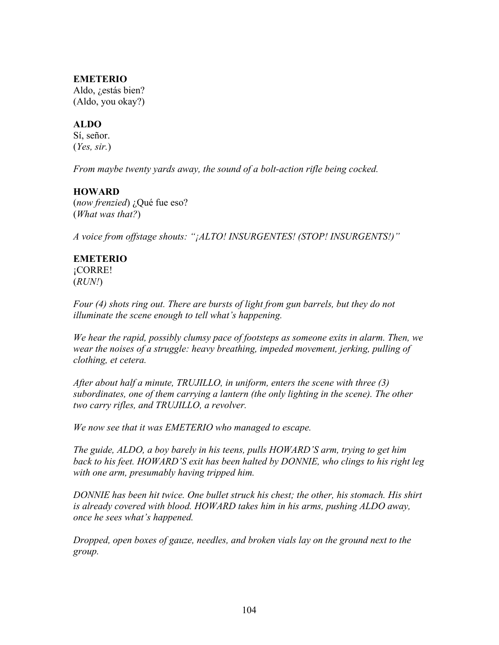#### **EMETERIO**

Aldo, ¿estás bien? (Aldo, you okay?)

#### **ALDO**

Sí, señor. (*Yes, sir.*)

*From maybe twenty yards away, the sound of a bolt-action rifle being cocked.*

#### **HOWARD**

(*now frenzied*) ¿Qué fue eso? (*What was that?*)

*A voice from offstage shouts: "¡ALTO! INSURGENTES! (STOP! INSURGENTS!)"*

#### **EMETERIO** ¡CORRE!

(*RUN!*)

*Four (4) shots ring out. There are bursts of light from gun barrels, but they do not illuminate the scene enough to tell what's happening.*

*We hear the rapid, possibly clumsy pace of footsteps as someone exits in alarm. Then, we wear the noises of a struggle: heavy breathing, impeded movement, jerking, pulling of clothing, et cetera.* 

*After about half a minute, TRUJILLO, in uniform, enters the scene with three (3) subordinates, one of them carrying a lantern (the only lighting in the scene). The other two carry rifles, and TRUJILLO, a revolver.* 

*We now see that it was EMETERIO who managed to escape.* 

*The guide, ALDO, a boy barely in his teens, pulls HOWARD'S arm, trying to get him back to his feet. HOWARD'S exit has been halted by DONNIE, who clings to his right leg with one arm, presumably having tripped him.* 

*DONNIE has been hit twice. One bullet struck his chest; the other, his stomach. His shirt is already covered with blood. HOWARD takes him in his arms, pushing ALDO away, once he sees what's happened.* 

*Dropped, open boxes of gauze, needles, and broken vials lay on the ground next to the group.*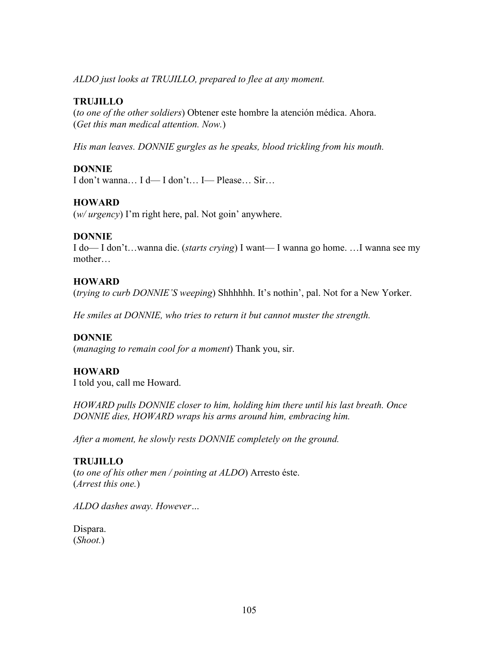*ALDO just looks at TRUJILLO, prepared to flee at any moment.*

# **TRUJILLO**

(*to one of the other soldiers*) Obtener este hombre la atención médica. Ahora. (*Get this man medical attention. Now.*)

*His man leaves. DONNIE gurgles as he speaks, blood trickling from his mouth.*

#### **DONNIE**

I don't wanna… I d— I don't… I— Please… Sir…

#### **HOWARD**

(*w/ urgency*) I'm right here, pal. Not goin' anywhere.

#### **DONNIE**

I do— I don't…wanna die. (*starts crying*) I want— I wanna go home. …I wanna see my mother…

#### **HOWARD**

(*trying to curb DONNIE'S weeping*) Shhhhhh. It's nothin', pal. Not for a New Yorker.

*He smiles at DONNIE, who tries to return it but cannot muster the strength.*

#### **DONNIE**

(*managing to remain cool for a moment*) Thank you, sir.

#### **HOWARD**

I told you, call me Howard.

*HOWARD pulls DONNIE closer to him, holding him there until his last breath. Once DONNIE dies, HOWARD wraps his arms around him, embracing him.* 

*After a moment, he slowly rests DONNIE completely on the ground.* 

#### **TRUJILLO**

(*to one of his other men / pointing at ALDO*) Arresto éste. (*Arrest this one.*)

*ALDO dashes away. However…*

Dispara. (*Shoot.*)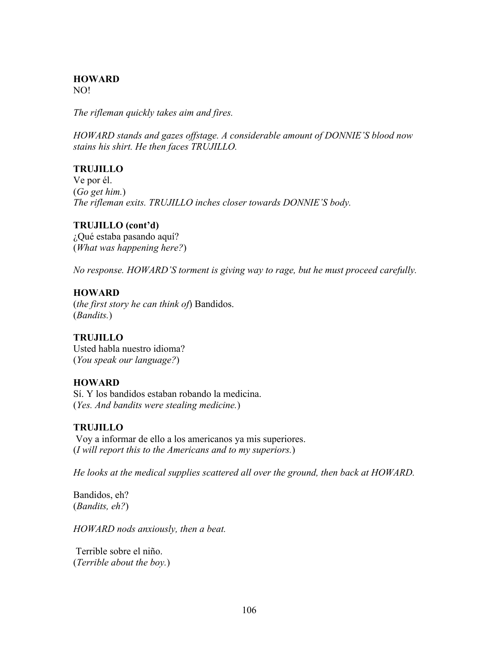# **HOWARD**

NO!

*The rifleman quickly takes aim and fires.* 

*HOWARD stands and gazes offstage. A considerable amount of DONNIE'S blood now stains his shirt. He then faces TRUJILLO.*

# **TRUJILLO**

Ve por él. (*Go get him.*) *The rifleman exits. TRUJILLO inches closer towards DONNIE'S body.*

# **TRUJILLO (cont'd)**

¿Qué estaba pasando aquí? (*What was happening here?*)

*No response. HOWARD'S torment is giving way to rage, but he must proceed carefully.*

# **HOWARD**

(*the first story he can think of*) Bandidos. (*Bandits.*)

#### **TRUJILLO**

Usted habla nuestro idioma? (*You speak our language?*)

#### **HOWARD**

Sí. Y los bandidos estaban robando la medicina. (*Yes. And bandits were stealing medicine.*)

#### **TRUJILLO**

 Voy a informar de ello a los americanos ya mis superiores. (*I will report this to the Americans and to my superiors.*)

*He looks at the medical supplies scattered all over the ground, then back at HOWARD.*

Bandidos, eh? (*Bandits, eh?*)

*HOWARD nods anxiously, then a beat.*

 Terrible sobre el niño. (*Terrible about the boy.*)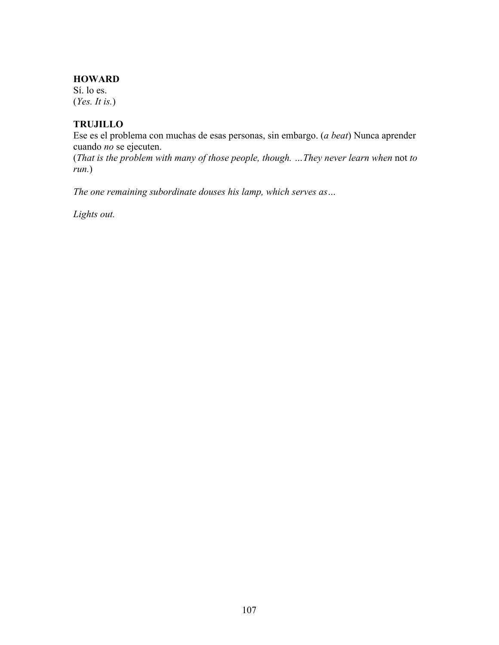#### **HOWARD**

Sí. lo es. (*Yes. It is.*)

#### **TRUJILLO**

Ese es el problema con muchas de esas personas, sin embargo. (*a beat*) Nunca aprender cuando *no* se ejecuten.

(*That is the problem with many of those people, though. …They never learn when* not *to run.*)

*The one remaining subordinate douses his lamp, which serves as…*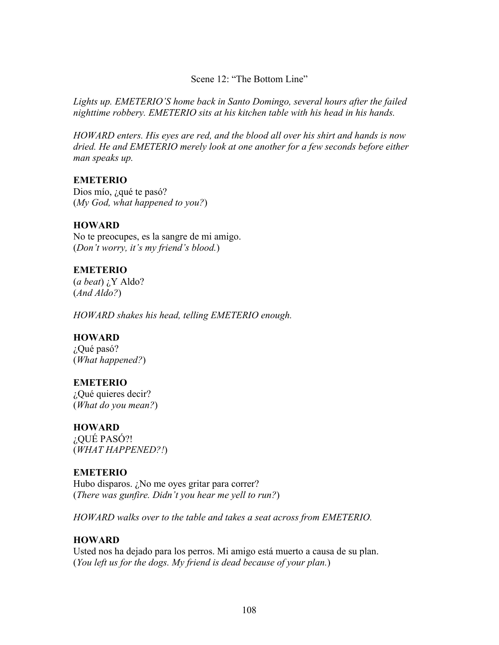Scene 12: "The Bottom Line"

*Lights up. EMETERIO'S home back in Santo Domingo, several hours after the failed nighttime robbery. EMETERIO sits at his kitchen table with his head in his hands.*

*HOWARD enters. His eyes are red, and the blood all over his shirt and hands is now dried. He and EMETERIO merely look at one another for a few seconds before either man speaks up.*

#### **EMETERIO**

Dios mío, ¿qué te pasó? (*My God, what happened to you?*)

#### **HOWARD**

No te preocupes, es la sangre de mi amigo. (*Don't worry, it's my friend's blood.*)

#### **EMETERIO**

(*a beat*) ¿Y Aldo? (*And Aldo?*)

*HOWARD shakes his head, telling EMETERIO enough.* 

#### **HOWARD**

¿Qué pasó? (*What happened?*)

#### **EMETERIO**

¿Qué quieres decir? (*What do you mean?*)

#### **HOWARD**

¿QUÉ PASÓ?! (*WHAT HAPPENED?!*)

### **EMETERIO**

Hubo disparos. ¿No me oyes gritar para correr? (*There was gunfire. Didn't you hear me yell to run?*)

*HOWARD walks over to the table and takes a seat across from EMETERIO.*

#### **HOWARD**

Usted nos ha dejado para los perros. Mi amigo está muerto a causa de su plan. (*You left us for the dogs. My friend is dead because of your plan.*)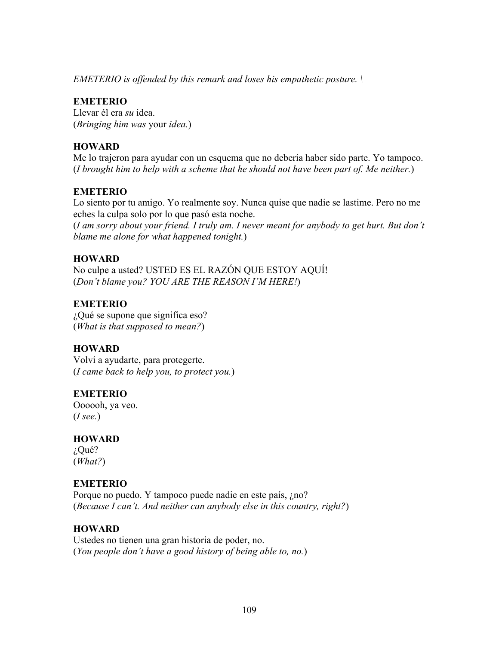*EMETERIO is offended by this remark and loses his empathetic posture. \*

# **EMETERIO**

Llevar él era *su* idea. (*Bringing him was* your *idea.*)

# **HOWARD**

Me lo trajeron para ayudar con un esquema que no debería haber sido parte. Yo tampoco. (*I brought him to help with a scheme that he should not have been part of. Me neither.*)

# **EMETERIO**

Lo siento por tu amigo. Yo realmente soy. Nunca quise que nadie se lastime. Pero no me eches la culpa solo por lo que pasó esta noche.

(*I am sorry about your friend. I truly am. I never meant for anybody to get hurt. But don't blame me alone for what happened tonight.*)

# **HOWARD**

No culpe a usted? USTED ES EL RAZÓN QUE ESTOY AQUÍ! (*Don't blame you? YOU ARE THE REASON I'M HERE!*)

# **EMETERIO**

¿Qué se supone que significa eso? (*What is that supposed to mean?*)

# **HOWARD**

Volví a ayudarte, para protegerte. (*I came back to help you, to protect you.*)

# **EMETERIO**

Oooooh, ya veo. (*I see.*)

#### **HOWARD** ¿Qué?

(*What?*)

# **EMETERIO**

Porque no puedo. Y tampoco puede nadie en este país, ¿no? (*Because I can't. And neither can anybody else in this country, right?*)

# **HOWARD**

Ustedes no tienen una gran historia de poder, no. (*You people don't have a good history of being able to, no.*)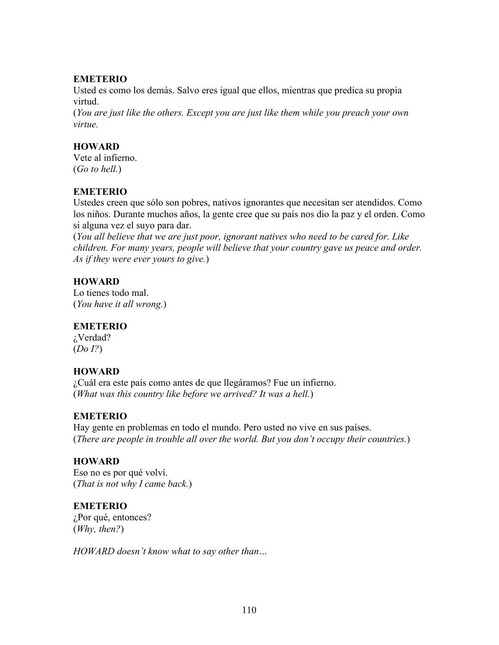### **EMETERIO**

Usted es como los demás. Salvo eres igual que ellos, mientras que predica su propia virtud.

(*You are just like the others. Except you are just like them while you preach your own virtue.*

# **HOWARD**

Vete al infierno. (*Go to hell.*)

# **EMETERIO**

Ustedes creen que sólo son pobres, nativos ignorantes que necesitan ser atendidos. Como los niños. Durante muchos años, la gente cree que su país nos dio la paz y el orden. Como si alguna vez el suyo para dar.

(*You all believe that we are just poor, ignorant natives who need to be cared for. Like children. For many years, people will believe that your country gave us peace and order. As if they were ever yours to give.*)

# **HOWARD**

Lo tienes todo mal. (*You have it all wrong.*)

#### **EMETERIO**

¿Verdad? (*Do I?*)

# **HOWARD**

¿Cuál era este país como antes de que llegáramos? Fue un infierno. (*What was this country like before we arrived? It was a hell.*)

#### **EMETERIO**

Hay gente en problemas en todo el mundo. Pero usted no vive en sus países. (*There are people in trouble all over the world. But you don't occupy their countries.*)

# **HOWARD**

Eso no es por qué volví. (*That is not why I came back.*)

# **EMETERIO**

¿Por qué, entonces? (*Why, then?*)

*HOWARD doesn't know what to say other than…*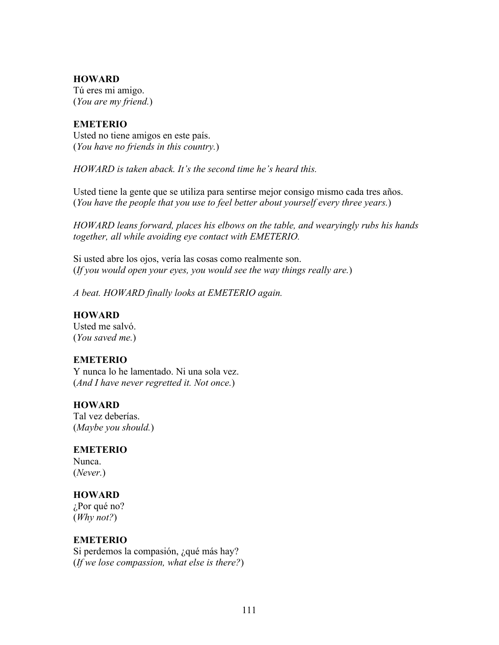#### **HOWARD**

Tú eres mi amigo. (*You are my friend.*)

#### **EMETERIO**

Usted no tiene amigos en este país. (*You have no friends in this country.*)

*HOWARD is taken aback. It's the second time he's heard this.* 

Usted tiene la gente que se utiliza para sentirse mejor consigo mismo cada tres años. (*You have the people that you use to feel better about yourself every three years.*)

*HOWARD leans forward, places his elbows on the table, and wearyingly rubs his hands together, all while avoiding eye contact with EMETERIO.* 

Si usted abre los ojos, vería las cosas como realmente son. (*If you would open your eyes, you would see the way things really are.*)

*A beat. HOWARD finally looks at EMETERIO again.*

#### **HOWARD**

Usted me salvó. (*You saved me.*)

#### **EMETERIO**

Y nunca lo he lamentado. Ni una sola vez. (*And I have never regretted it. Not once.*)

#### **HOWARD**

Tal vez deberías. (*Maybe you should.*)

#### **EMETERIO**

Nunca. (*Never.*)

#### **HOWARD**

¿Por qué no? (*Why not?*)

#### **EMETERIO**

Si perdemos la compasión, ¿qué más hay? (*If we lose compassion, what else is there?*)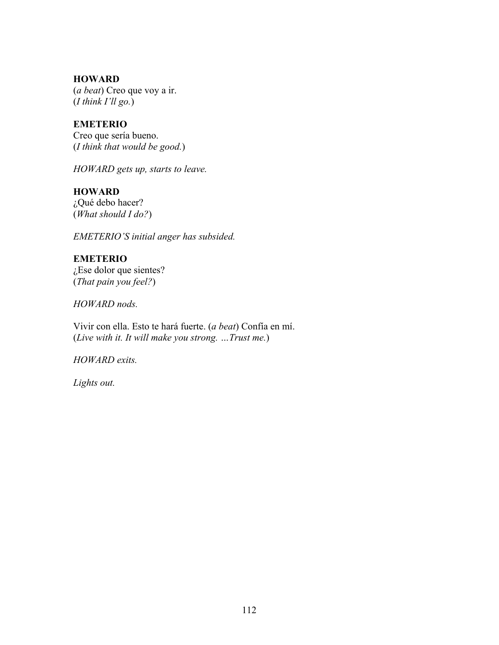**HOWARD** (*a beat*) Creo que voy a ir. (*I think I'll go.*)

**EMETERIO** Creo que sería bueno.

(*I think that would be good.*)

*HOWARD gets up, starts to leave.*

**HOWARD** ¿Qué debo hacer? (*What should I do?*)

*EMETERIO'S initial anger has subsided.* 

**EMETERIO** ¿Ese dolor que sientes? (*That pain you feel?*)

*HOWARD nods.*

Vivir con ella. Esto te hará fuerte. (*a beat*) Confía en mí. (*Live with it. It will make you strong. …Trust me.*)

*HOWARD exits.*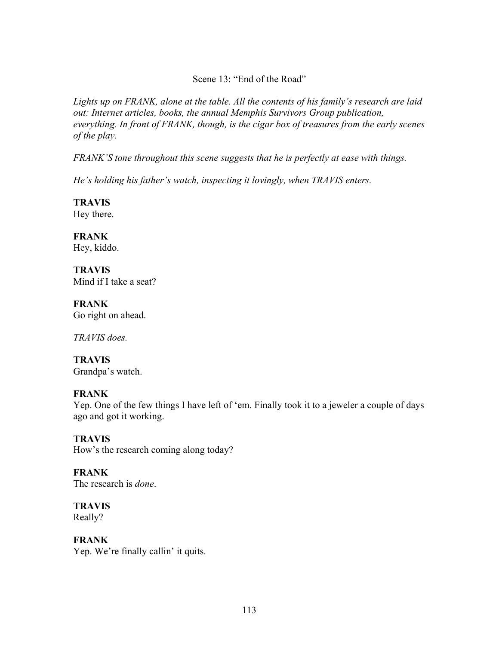Scene 13: "End of the Road"

*Lights up on FRANK, alone at the table. All the contents of his family's research are laid out: Internet articles, books, the annual Memphis Survivors Group publication, everything. In front of FRANK, though, is the cigar box of treasures from the early scenes of the play.* 

*FRANK'S tone throughout this scene suggests that he is perfectly at ease with things.* 

*He's holding his father's watch, inspecting it lovingly, when TRAVIS enters.*

**TRAVIS** Hey there.

**FRANK** Hey, kiddo.

**TRAVIS** Mind if I take a seat?

**FRANK** Go right on ahead.

*TRAVIS does.*

**TRAVIS** Grandpa's watch.

#### **FRANK**

Yep. One of the few things I have left of 'em. Finally took it to a jeweler a couple of days ago and got it working.

**TRAVIS** How's the research coming along today?

**FRANK** The research is *done*.

**TRAVIS** Really?

**FRANK**

Yep. We're finally callin' it quits.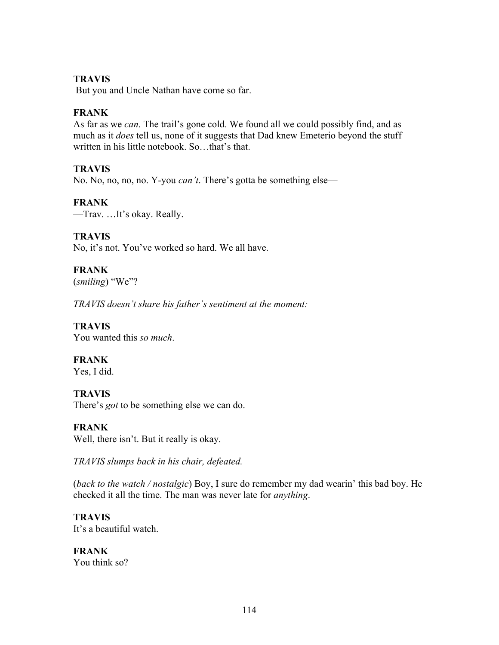#### **TRAVIS**

But you and Uncle Nathan have come so far.

#### **FRANK**

As far as we *can*. The trail's gone cold. We found all we could possibly find, and as much as it *does* tell us, none of it suggests that Dad knew Emeterio beyond the stuff written in his little notebook. So…that's that.

#### **TRAVIS**

No. No, no, no, no. Y-you *can't*. There's gotta be something else—

#### **FRANK**

—Trav. …It's okay. Really.

#### **TRAVIS**

No, it's not. You've worked so hard. We all have.

# **FRANK**

(*smiling*) "We"?

*TRAVIS doesn't share his father's sentiment at the moment:*

#### **TRAVIS**

You wanted this *so much*.

# **FRANK**

Yes, I did.

#### **TRAVIS**

There's *got* to be something else we can do.

#### **FRANK**

Well, there isn't. But it really is okay.

*TRAVIS slumps back in his chair, defeated.* 

(*back to the watch / nostalgic*) Boy, I sure do remember my dad wearin' this bad boy. He checked it all the time. The man was never late for *anything*.

#### **TRAVIS**

It's a beautiful watch.

# **FRANK**

You think so?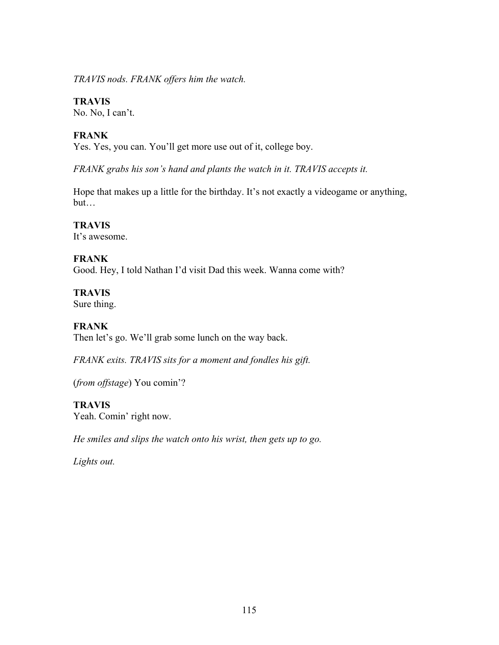*TRAVIS nods. FRANK offers him the watch.*

### **TRAVIS**

No. No, I can't.

# **FRANK**

Yes. Yes, you can. You'll get more use out of it, college boy.

*FRANK grabs his son's hand and plants the watch in it. TRAVIS accepts it.*

Hope that makes up a little for the birthday. It's not exactly a videogame or anything, but…

**TRAVIS** It's awesome.

# **FRANK**

Good. Hey, I told Nathan I'd visit Dad this week. Wanna come with?

**TRAVIS** 

Sure thing.

### **FRANK**

Then let's go. We'll grab some lunch on the way back.

*FRANK exits. TRAVIS sits for a moment and fondles his gift.*

(*from offstage*) You comin'?

# **TRAVIS**

Yeah. Comin' right now.

*He smiles and slips the watch onto his wrist, then gets up to go.*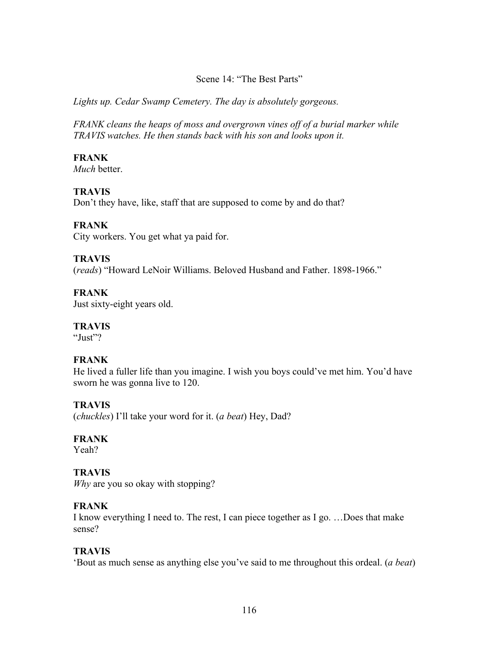#### Scene 14: "The Best Parts"

*Lights up. Cedar Swamp Cemetery. The day is absolutely gorgeous.*

*FRANK cleans the heaps of moss and overgrown vines off of a burial marker while TRAVIS watches. He then stands back with his son and looks upon it.*

### **FRANK**

*Much* better.

# **TRAVIS**

Don't they have, like, staff that are supposed to come by and do that?

# **FRANK**

City workers. You get what ya paid for.

# **TRAVIS**

(*reads*) "Howard LeNoir Williams. Beloved Husband and Father. 1898-1966."

# **FRANK**

Just sixty-eight years old.

# **TRAVIS**

"Just"?

# **FRANK**

He lived a fuller life than you imagine. I wish you boys could've met him. You'd have sworn he was gonna live to 120.

# **TRAVIS**

(*chuckles*) I'll take your word for it. (*a beat*) Hey, Dad?

# **FRANK**

Yeah?

# **TRAVIS**

*Why* are you so okay with stopping?

#### **FRANK**

I know everything I need to. The rest, I can piece together as I go. …Does that make sense?

#### **TRAVIS**

'Bout as much sense as anything else you've said to me throughout this ordeal. (*a beat*)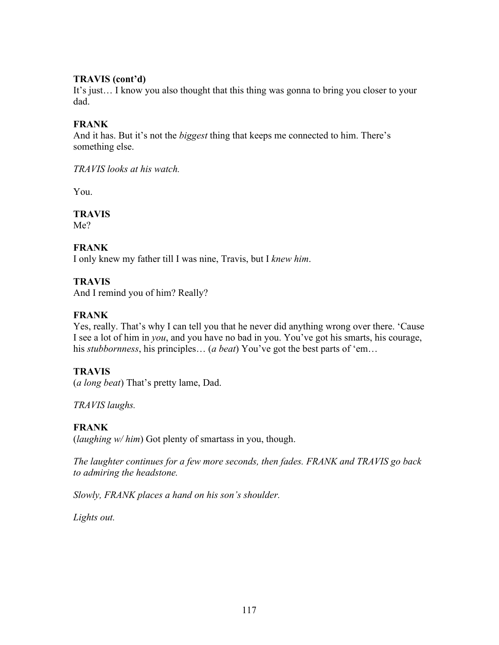#### **TRAVIS (cont'd)**

It's just… I know you also thought that this thing was gonna to bring you closer to your dad.

#### **FRANK**

And it has. But it's not the *biggest* thing that keeps me connected to him. There's something else.

*TRAVIS looks at his watch.*

You.

**TRAVIS** Me?

# **FRANK**

I only knew my father till I was nine, Travis, but I *knew him*.

#### **TRAVIS**

And I remind you of him? Really?

# **FRANK**

Yes, really. That's why I can tell you that he never did anything wrong over there. 'Cause I see a lot of him in *you*, and you have no bad in you. You've got his smarts, his courage, his *stubbornness*, his principles… (*a beat*) You've got the best parts of 'em…

#### **TRAVIS**

(*a long beat*) That's pretty lame, Dad.

*TRAVIS laughs.*

# **FRANK**

(*laughing w/ him*) Got plenty of smartass in you, though.

*The laughter continues for a few more seconds, then fades. FRANK and TRAVIS go back to admiring the headstone.*

*Slowly, FRANK places a hand on his son's shoulder.*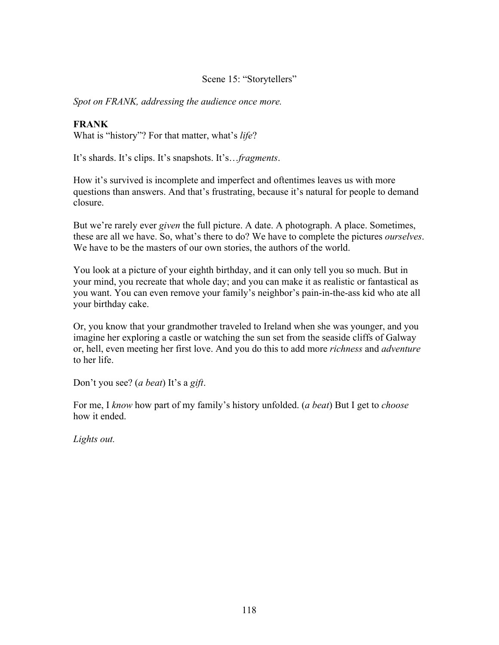Scene 15: "Storytellers"

*Spot on FRANK, addressing the audience once more.*

#### **FRANK**

What is "history"? For that matter, what's *life*?

It's shards. It's clips. It's snapshots. It's…*fragments*.

How it's survived is incomplete and imperfect and oftentimes leaves us with more questions than answers. And that's frustrating, because it's natural for people to demand closure.

But we're rarely ever *given* the full picture. A date. A photograph. A place. Sometimes, these are all we have. So, what's there to do? We have to complete the pictures *ourselves*. We have to be the masters of our own stories, the authors of the world.

You look at a picture of your eighth birthday, and it can only tell you so much. But in your mind, you recreate that whole day; and you can make it as realistic or fantastical as you want. You can even remove your family's neighbor's pain-in-the-ass kid who ate all your birthday cake.

Or, you know that your grandmother traveled to Ireland when she was younger, and you imagine her exploring a castle or watching the sun set from the seaside cliffs of Galway or, hell, even meeting her first love. And you do this to add more *richness* and *adventure* to her life.

Don't you see? (*a beat*) It's a *gift*.

For me, I *know* how part of my family's history unfolded. (*a beat*) But I get to *choose*  how it ended.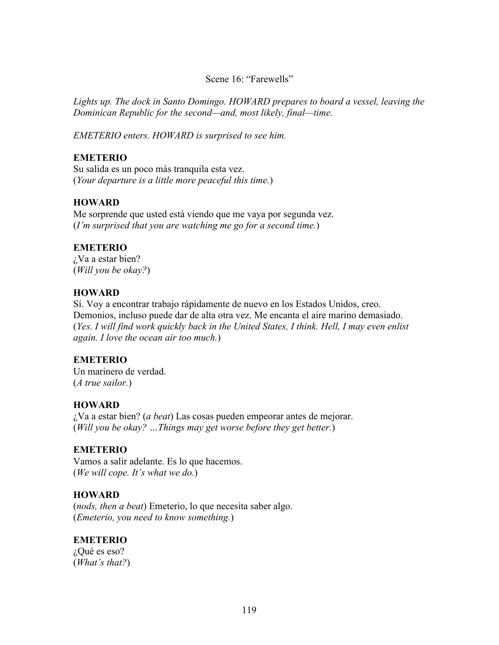#### Scene 16: "Farewells"

*Lights up. The dock in Santo Domingo. HOWARD prepares to board a vessel, leaving the Dominican Republic for the second—and, most likely, final—time.* 

*EMETERIO enters. HOWARD is surprised to see him.*

#### **EMETERIO**

Su salida es un poco más tranquila esta vez. (*Your departure is a little more peaceful this time.*)

#### **HOWARD**

Me sorprende que usted está viendo que me vaya por segunda vez. (*I'm surprised that you are watching me go for a second time.*)

#### **EMETERIO**

¿Va a estar bien? (*Will you be okay?*)

#### **HOWARD**

Sí. Voy a encontrar trabajo rápidamente de nuevo en los Estados Unidos, creo. Demonios, incluso puede dar de alta otra vez. Me encanta el aire marino demasiado. (*Yes. I will find work quickly back in the United States, I think. Hell, I may even enlist again. I love the ocean air too much.*)

#### **EMETERIO**

Un marinero de verdad. (*A true sailor.*)

#### **HOWARD**

¿Va a estar bien? (*a beat*) Las cosas pueden empeorar antes de mejorar. (*Will you be okay? …Things may get worse before they get better.*)

#### **EMETERIO**

Vamos a salir adelante. Es lo que hacemos. (*We will cope. It's what we do.*)

#### **HOWARD**

(*nods, then a beat*) Emeterio, lo que necesita saber algo. (*Emeterio, you need to know something.*)

#### **EMETERIO**

¿Qué es eso? (*What's that?*)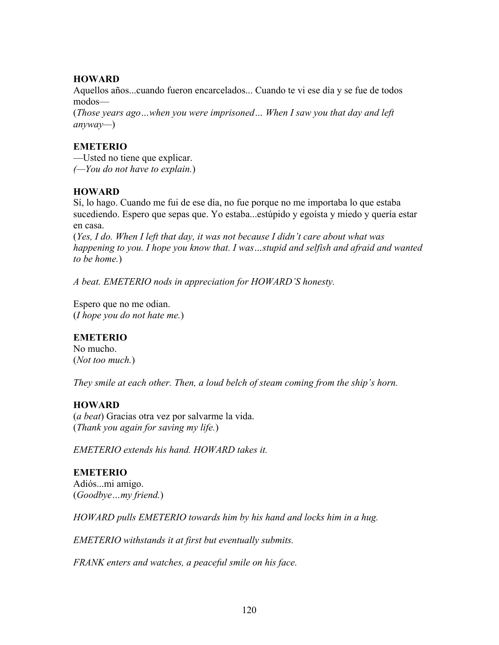### **HOWARD**

Aquellos años...cuando fueron encarcelados... Cuando te vi ese día y se fue de todos modos—

(*Those years ago…when you were imprisoned… When I saw you that day and left anyway—*)

# **EMETERIO**

—Usted no tiene que explicar. *(—You do not have to explain.*)

# **HOWARD**

Sí, lo hago. Cuando me fui de ese día, no fue porque no me importaba lo que estaba sucediendo. Espero que sepas que. Yo estaba...estúpido y egoísta y miedo y quería estar en casa.

(*Yes, I do. When I left that day, it was not because I didn't care about what was happening to you. I hope you know that. I was…stupid and selfish and afraid and wanted to be home.*)

*A beat. EMETERIO nods in appreciation for HOWARD'S honesty.* 

Espero que no me odian. (*I hope you do not hate me.*)

# **EMETERIO**

No mucho. (*Not too much.*)

*They smile at each other. Then, a loud belch of steam coming from the ship's horn.*

# **HOWARD**

(*a beat*) Gracias otra vez por salvarme la vida. (*Thank you again for saving my life.*)

*EMETERIO extends his hand. HOWARD takes it.*

# **EMETERIO**

Adiós...mi amigo. (*Goodbye…my friend.*)

*HOWARD pulls EMETERIO towards him by his hand and locks him in a hug.*

*EMETERIO withstands it at first but eventually submits.* 

*FRANK enters and watches, a peaceful smile on his face.*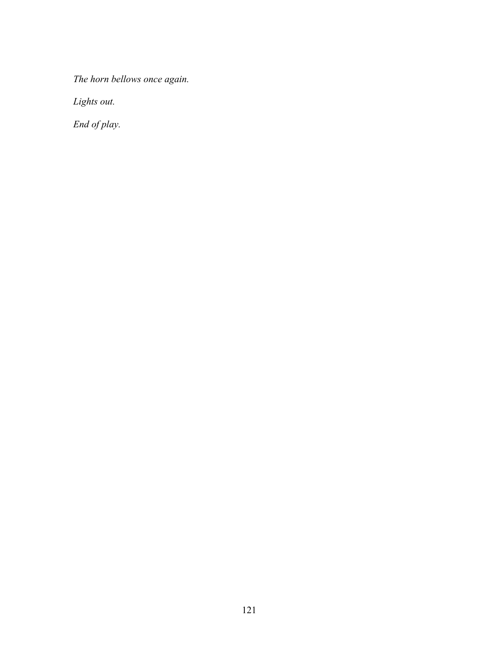*The horn bellows once again.*

*Lights out.* 

*End of play.*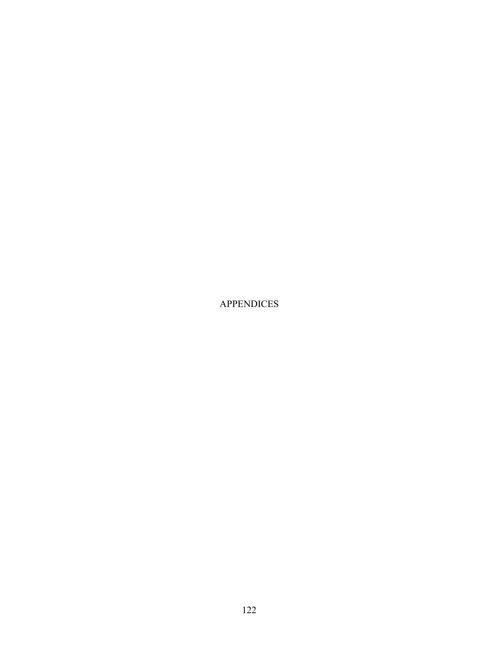APPENDICES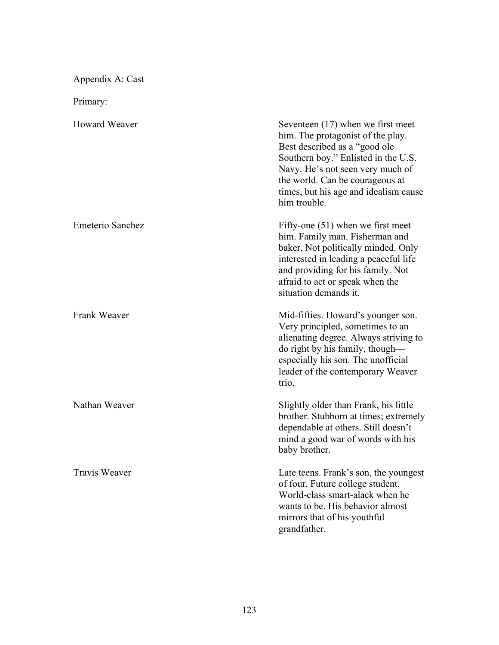Appendix A: Cast

Primary:

| <b>Howard Weaver</b> | Seventeen $(17)$ when we first meet<br>him. The protagonist of the play.<br>Best described as a "good ole<br>Southern boy." Enlisted in the U.S.<br>Navy. He's not seen very much of<br>the world. Can be courageous at<br>times, but his age and idealism cause<br>him trouble. |
|----------------------|----------------------------------------------------------------------------------------------------------------------------------------------------------------------------------------------------------------------------------------------------------------------------------|
| Emeterio Sanchez     | Fifty-one $(51)$ when we first meet<br>him. Family man. Fisherman and<br>baker. Not politically minded. Only<br>interested in leading a peaceful life<br>and providing for his family. Not<br>afraid to act or speak when the<br>situation demands it.                           |
| Frank Weaver         | Mid-fifties. Howard's younger son.<br>Very principled, sometimes to an<br>alienating degree. Always striving to<br>do right by his family, though-<br>especially his son. The unofficial<br>leader of the contemporary Weaver<br>trio.                                           |
| Nathan Weaver        | Slightly older than Frank, his little<br>brother. Stubborn at times; extremely<br>dependable at others. Still doesn't<br>mind a good war of words with his<br>baby brother.                                                                                                      |
| <b>Travis Weaver</b> | Late teens. Frank's son, the youngest<br>of four. Future college student.<br>World-class smart-alack when he<br>wants to be. His behavior almost<br>mirrors that of his youthful<br>grandfather.                                                                                 |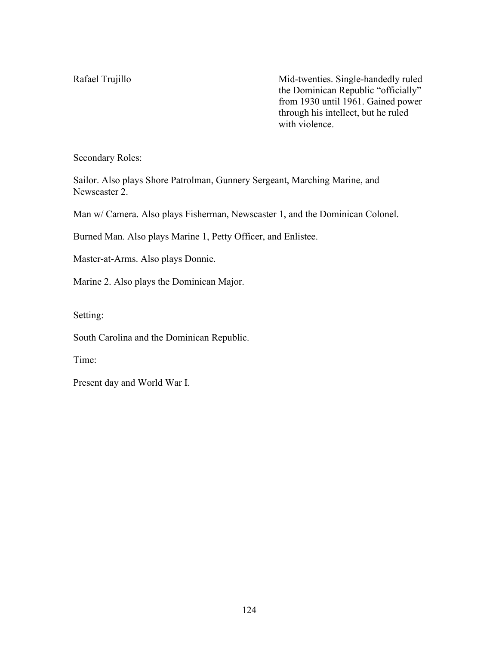Rafael Trujillo Mid-twenties. Single-handedly ruled the Dominican Republic "officially" from 1930 until 1961. Gained power through his intellect, but he ruled with violence.

Secondary Roles:

Sailor. Also plays Shore Patrolman, Gunnery Sergeant, Marching Marine, and Newscaster 2.

Man w/ Camera. Also plays Fisherman, Newscaster 1, and the Dominican Colonel.

Burned Man. Also plays Marine 1, Petty Officer, and Enlistee.

Master-at-Arms. Also plays Donnie.

Marine 2. Also plays the Dominican Major.

Setting:

South Carolina and the Dominican Republic.

Time:

Present day and World War I.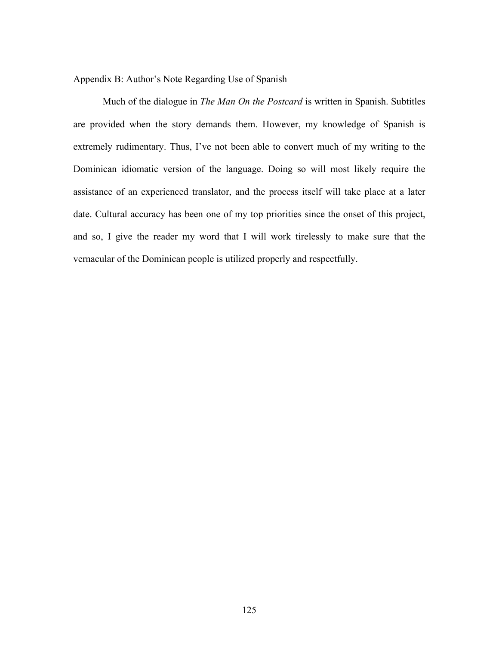Appendix B: Author's Note Regarding Use of Spanish

Much of the dialogue in *The Man On the Postcard* is written in Spanish. Subtitles are provided when the story demands them. However, my knowledge of Spanish is extremely rudimentary. Thus, I've not been able to convert much of my writing to the Dominican idiomatic version of the language. Doing so will most likely require the assistance of an experienced translator, and the process itself will take place at a later date. Cultural accuracy has been one of my top priorities since the onset of this project, and so, I give the reader my word that I will work tirelessly to make sure that the vernacular of the Dominican people is utilized properly and respectfully.